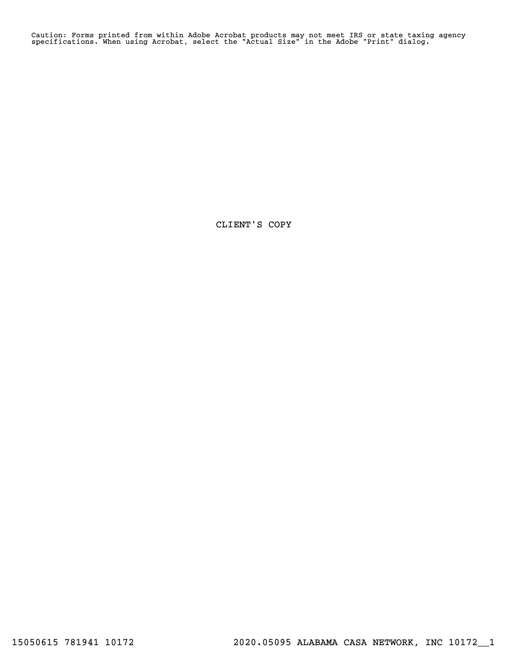Caution: Forms printed from within Adobe Acrobat products may not meet IRS or state taxing agency specifications. When using Acrobat, select the "Actual Size" in the Adobe "Print" dialog.

CLIENT'S COPY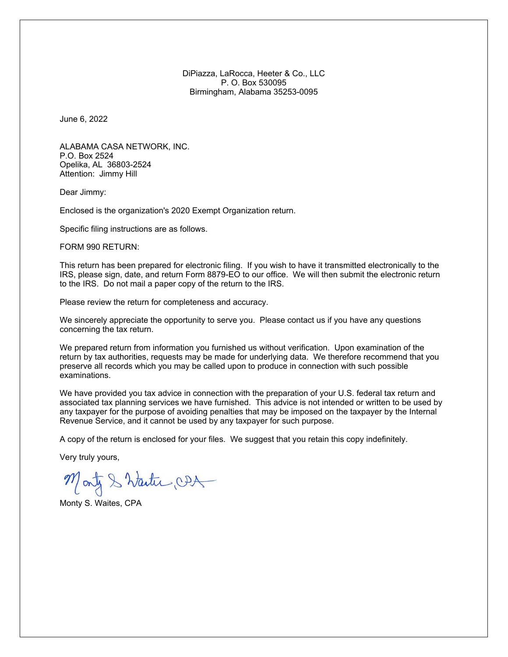DiPiazza, LaRocca, Heeter & Co., LLC P. O. Box 530095 Birmingham, Alabama 35253-0095

June 6, 2022

ALABAMA CASA NETWORK, INC. P.O. Box 2524 Opelika, AL 36803-2524 Attention: Jimmy Hill

Dear Jimmy:

Enclosed is the organization's 2020 Exempt Organization return.

Specific filing instructions are as follows.

FORM 990 RETURN:

This return has been prepared for electronic filing. If you wish to have it transmitted electronically to the IRS, please sign, date, and return Form 8879-EO to our office. We will then submit the electronic return to the IRS. Do not mail a paper copy of the return to the IRS.

Please review the return for completeness and accuracy.

We sincerely appreciate the opportunity to serve you. Please contact us if you have any questions concerning the tax return.

We prepared return from information you furnished us without verification. Upon examination of the return by tax authorities, requests may be made for underlying data. We therefore recommend that you preserve all records which you may be called upon to produce in connection with such possible examinations.

We have provided you tax advice in connection with the preparation of your U.S. federal tax return and associated tax planning services we have furnished. This advice is not intended or written to be used by any taxpayer for the purpose of avoiding penalties that may be imposed on the taxpayer by the Internal Revenue Service, and it cannot be used by any taxpayer for such purpose.

A copy of the return is enclosed for your files. We suggest that you retain this copy indefinitely.

Very truly yours,

Montz & Wanter CDA

Monty S. Waites, CPA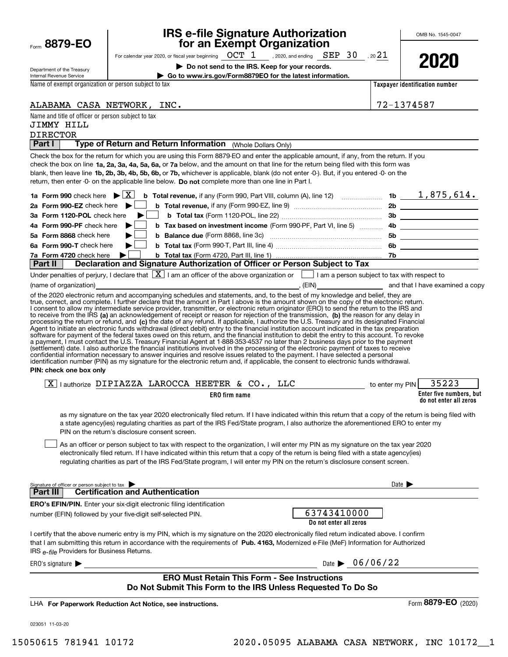| Form | 8879-EO |  |
|------|---------|--|
|      |         |  |

Department of the Treasury

# **IRS e-file Signature Authorization for an Exempt Organization**

OMB No. 1545-0047

| For calendar year 2020, or fiscal year beginning $\rm ~OCT~1$ , 2020, and ending $\rm ~SEP~$ $30$ $\rm ~$ , 20 $21$ |  |  |
|---------------------------------------------------------------------------------------------------------------------|--|--|

**| Do not send to the IRS. Keep for your records.**

**| Go to www.irs.gov/Form8879EO for the latest information.**

**2020**

|     | Internal Revenue Service |  |  |
|-----|--------------------------|--|--|
|     |                          |  |  |
| . . |                          |  |  |

Name of exempt organization or person subject to tax

**Taxpayer identification number**

ALABAMA CASA NETWORK, INC. 72-1374587

# Name and title of officer or person subject to tax

## DIRECTOR JIMMY HILL

**Part I** | Type of Return and Return Information (Whole Dollars Only)

check the box on line **1a, 2a, 3a, 4a, 5a, 6a,** or **7a** below, and the amount on that line for the return being filed with this form was blank, then leave line **1b, 2b, 3b, 4b, 5b, 6b, or 7b,** whichever is applicable, blank (do not enter -0-). But, if you entered -0- on the return, then enter -0- on the applicable line below. **Do not** complete more than one line in Part I. Check the box for the return for which you are using this Form 8879-EO and enter the applicable amount, if any, from the return. If you

|                                                                                             |  | 4b Form 990-PF check here <b>b</b> b Tax based on investment income (Form 990-PF, Part VI, line 5)  4b |     |  |  |  |
|---------------------------------------------------------------------------------------------|--|--------------------------------------------------------------------------------------------------------|-----|--|--|--|
|                                                                                             |  | 5a Form 8868 check here but be Balance due (Form 8868, line 3c) [[[[[[[[[[[[[[[[[]]]]]]                | 5b  |  |  |  |
|                                                                                             |  |                                                                                                        | 6b. |  |  |  |
|                                                                                             |  |                                                                                                        |     |  |  |  |
| <b>Dart II   Deparation and Signature Authorization of Officer or Person Subject to Tax</b> |  |                                                                                                        |     |  |  |  |

Under penalties of perjury, I declare that  $[\![\bf X]\!]$  I am an officer of the above organization or  $[\![\;]\!]$  I am a person subject to tax with respect to **Part II Declaration and Signature Authorization of Officer or Person Subject to Tax**

(name of organization) (name of organization) , (EIN) and that I have examined a copy

to receive from the IRS **(a)** an acknowledgement of receipt or reason for rejection of the transmission, **(b)** the reason for any delay in processing the return or refund, and (**c)** the date of any refund. If applicable, I authorize the U.S. Treasury and its designated Financial of the 2020 electronic return and accompanying schedules and statements, and, to the best of my knowledge and belief, they are true, correct, and complete. I further declare that the amount in Part I above is the amount shown on the copy of the electronic return. I consent to allow my intermediate service provider, transmitter, or electronic return originator (ERO) to send the return to the IRS and Agent to initiate an electronic funds withdrawal (direct debit) entry to the financial institution account indicated in the tax preparation<br>software for payment of the federal taxes owed on this return, and the financial i a payment, I must contact the U.S. Treasury Financial Agent at 1-888-353-4537 no later than 2 business days prior to the payment (settlement) date. I also authorize the financial institutions involved in the processing of the electronic payment of taxes to receive<br>confidential information necessary to answer inquiries and resolve issues related to t identification number (PIN) as my signature for the electronic return and, if applicable, the consent to electronic funds withdrawal.

**PIN: check one box only**

| $\overline{\mathbf{X}}$ .<br>authorize | AZZA<br>י | $\mathcal{C}$ A<br>- AROCC | HEETER      | $\alpha$ | $\sim$ | יחד | <b>PIN</b><br>∵mv<br>enter ر<br>to e |                                                   |  |
|----------------------------------------|-----------|----------------------------|-------------|----------|--------|-----|--------------------------------------|---------------------------------------------------|--|
|                                        |           |                            | ER0<br>firm | name     |        |     |                                      | Enter five numbers, but<br>do not enter all zeros |  |

as my signature on the tax year 2020 electronically filed return. If I have indicated within this return that a copy of the return is being filed with a state agency(ies) regulating charities as part of the IRS Fed/State program, I also authorize the aforementioned ERO to enter my PIN on the return's disclosure consent screen.

As an officer or person subject to tax with respect to the organization, I will enter my PIN as my signature on the tax year 2020 electronically filed return. If I have indicated within this return that a copy of the return is being filed with a state agency(ies) regulating charities as part of the IRS Fed/State program, I will enter my PIN on the return's disclosure consent screen.  $\mathcal{L}^{\text{max}}$ 

| Signature of officer or person subject to tax                                                                                                                                                                                                                                                                                     | Date $\blacktriangleright$     |  |  |  |  |
|-----------------------------------------------------------------------------------------------------------------------------------------------------------------------------------------------------------------------------------------------------------------------------------------------------------------------------------|--------------------------------|--|--|--|--|
| <b>Certification and Authentication</b><br>Part III                                                                                                                                                                                                                                                                               |                                |  |  |  |  |
| <b>ERO's EFIN/PIN.</b> Enter your six-digit electronic filing identification                                                                                                                                                                                                                                                      | 63743410000                    |  |  |  |  |
| number (EFIN) followed by your five-digit self-selected PIN.                                                                                                                                                                                                                                                                      | Do not enter all zeros         |  |  |  |  |
| I certify that the above numeric entry is my PIN, which is my signature on the 2020 electronically filed return indicated above. I confirm<br>that I am submitting this return in accordance with the requirements of Pub. 4163, Modernized e-File (MeF) Information for Authorized<br>IRS e-file Providers for Business Returns. |                                |  |  |  |  |
| ERO's signature                                                                                                                                                                                                                                                                                                                   | Date $\triangleright$ 06/06/22 |  |  |  |  |
| <b>ERO Must Retain This Form - See Instructions</b>                                                                                                                                                                                                                                                                               |                                |  |  |  |  |
| Do Not Submit This Form to the IRS Unless Requested To Do So                                                                                                                                                                                                                                                                      |                                |  |  |  |  |

**For Paperwork Reduction Act Notice, see instructions.** LHA

023051 11-03-20

Form (2020) **8879-EO**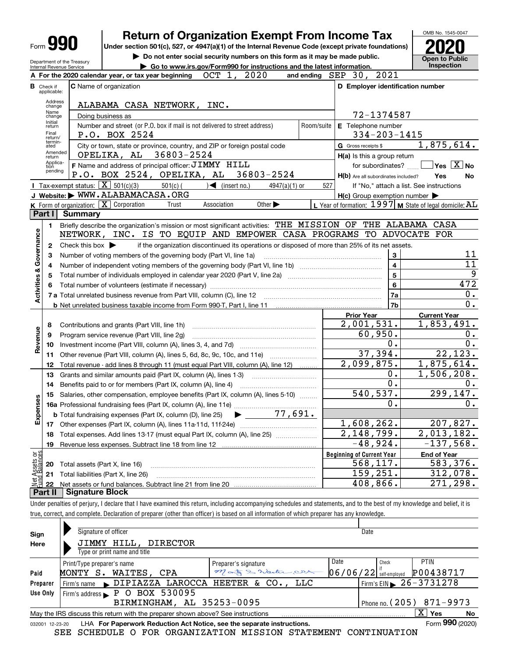|                                |                   |                                                            | <b>Return of Organization Exempt From Income Tax</b>                                                                                                                              |            |                                                             | OMB No. 1545-0047                      |
|--------------------------------|-------------------|------------------------------------------------------------|-----------------------------------------------------------------------------------------------------------------------------------------------------------------------------------|------------|-------------------------------------------------------------|----------------------------------------|
| Form 990                       |                   |                                                            |                                                                                                                                                                                   |            |                                                             |                                        |
|                                |                   |                                                            | Under section 501(c), 527, or 4947(a)(1) of the Internal Revenue Code (except private foundations)<br>Do not enter social security numbers on this form as it may be made public. |            |                                                             | <b>Open to Public</b>                  |
|                                |                   | Department of the Treasury<br>Internal Revenue Service     | Go to www.irs.gov/Form990 for instructions and the latest information.                                                                                                            |            |                                                             | Inspection                             |
|                                |                   |                                                            | OCT 1, 2020<br>A For the 2020 calendar year, or tax year beginning                                                                                                                |            | and ending $SEP$ 30, 2021                                   |                                        |
|                                | <b>B</b> Check if |                                                            | <b>C</b> Name of organization                                                                                                                                                     |            | D Employer identification number                            |                                        |
|                                | applicable:       |                                                            |                                                                                                                                                                                   |            |                                                             |                                        |
|                                | Address<br>change |                                                            | ALABAMA CASA NETWORK, INC.                                                                                                                                                        |            |                                                             |                                        |
|                                | Name<br>change    |                                                            | Doing business as                                                                                                                                                                 |            | 72-1374587                                                  |                                        |
|                                | Initial<br>return |                                                            | Number and street (or P.O. box if mail is not delivered to street address)                                                                                                        | Room/suite | E Telephone number                                          |                                        |
|                                | Final<br>return/  |                                                            | P.O. BOX 2524                                                                                                                                                                     |            | $334 - 203 - 1415$                                          |                                        |
|                                | termin-<br>ated   |                                                            | City or town, state or province, country, and ZIP or foreign postal code                                                                                                          |            | G Gross receipts \$                                         | 1,875,614.                             |
|                                | Amended<br>return |                                                            | OPELIKA, AL<br>36803-2524                                                                                                                                                         |            | H(a) Is this a group return                                 |                                        |
|                                | Applica-<br>tion  |                                                            | F Name and address of principal officer: JIMMY HILL                                                                                                                               |            | for subordinates?                                           | $\sqrt{\ }$ Yes $\sqrt{\ \text{X}}$ No |
|                                | pending           |                                                            | P.O. BOX 2524, OPELIKA, AL<br>36803-2524                                                                                                                                          |            | H(b) Are all subordinates included?                         | Yes<br>No                              |
|                                |                   | <b>I</b> Tax-exempt status: $\boxed{\mathbf{X}}$ 501(c)(3) | $\sqrt{\phantom{a}}$ (insert no.)<br>$501(c)$ (<br>$4947(a)(1)$ or                                                                                                                | 527        | If "No," attach a list. See instructions                    |                                        |
|                                |                   |                                                            | J Website: WWW.ALABAMACASA.ORG                                                                                                                                                    |            | $H(c)$ Group exemption number $\blacktriangleright$         |                                        |
|                                |                   | K Form of organization:   X Corporation                    | Other $\blacktriangleright$<br>Association<br>Trust                                                                                                                               |            | L Year of formation: $1997$ M State of legal domicile: $AL$ |                                        |
|                                | Part I            | Summary                                                    |                                                                                                                                                                                   |            |                                                             |                                        |
|                                | 1                 |                                                            | Briefly describe the organization's mission or most significant activities: THE MISSION OF THE ALABAMA CASA                                                                       |            |                                                             |                                        |
| Governance                     |                   |                                                            | NETWORK, INC. IS TO EQUIP AND EMPOWER CASA PROGRAMS TO ADVOCATE FOR                                                                                                               |            |                                                             |                                        |
|                                | 2                 | Check this box $\blacktriangleright$                       | if the organization discontinued its operations or disposed of more than 25% of its net assets.                                                                                   |            |                                                             |                                        |
|                                | з                 |                                                            | Number of voting members of the governing body (Part VI, line 1a)                                                                                                                 |            | 3                                                           | 11                                     |
|                                | 4                 |                                                            |                                                                                                                                                                                   |            | $\overline{4}$                                              | 11                                     |
|                                | 5                 |                                                            |                                                                                                                                                                                   |            | $\overline{5}$                                              | $\overline{9}$                         |
| <b>Activities &amp;</b>        | 6                 |                                                            |                                                                                                                                                                                   |            | $6\phantom{a}$                                              | 472                                    |
|                                |                   |                                                            |                                                                                                                                                                                   |            | <b>7a</b>                                                   | $0$ .                                  |
|                                |                   |                                                            |                                                                                                                                                                                   |            | 7b                                                          | 0.                                     |
|                                |                   |                                                            |                                                                                                                                                                                   |            | <b>Prior Year</b>                                           | <b>Current Year</b>                    |
|                                | 8                 |                                                            | Contributions and grants (Part VIII, line 1h)                                                                                                                                     |            | 2,001,531.                                                  | 1,853,491.                             |
|                                | 9                 |                                                            | Program service revenue (Part VIII, line 2g)                                                                                                                                      |            | 60,950.                                                     | 0.                                     |
| Revenue                        | 10                |                                                            |                                                                                                                                                                                   |            | 0.                                                          | 0.                                     |
|                                | 11                |                                                            | Other revenue (Part VIII, column (A), lines 5, 6d, 8c, 9c, 10c, and 11e)                                                                                                          |            | 37,394.                                                     | 22, 123.                               |
|                                | 12                |                                                            | Total revenue - add lines 8 through 11 (must equal Part VIII, column (A), line 12)                                                                                                |            | 2,099,875.                                                  | 1,875,614.                             |
|                                | 13                |                                                            | Grants and similar amounts paid (Part IX, column (A), lines 1-3)                                                                                                                  |            | 0.                                                          | 1,506,208.                             |
|                                | 14                |                                                            | Benefits paid to or for members (Part IX, column (A), line 4)                                                                                                                     |            | $\overline{0}$ .                                            | 0.                                     |
| 8                              | 15                |                                                            | Salaries, other compensation, employee benefits (Part IX, column (A), lines 5-10)                                                                                                 |            | 540, 537.                                                   | 299,147.                               |
|                                |                   |                                                            |                                                                                                                                                                                   |            | $\overline{0}$ .                                            | υ.                                     |
| Expense                        |                   |                                                            | $\blacktriangleright$ 77,691.<br><b>b</b> Total fundraising expenses (Part IX, column (D), line 25)                                                                               |            |                                                             |                                        |
|                                |                   |                                                            |                                                                                                                                                                                   |            | 1,608,262.                                                  | 207,827.                               |
|                                | 18                |                                                            | Total expenses. Add lines 13-17 (must equal Part IX, column (A), line 25) [                                                                                                       |            | 2,148,799.                                                  | 2,013,182.                             |
|                                | 19                |                                                            |                                                                                                                                                                                   |            | $-48,924.$                                                  | $-137,568.$                            |
| Net Assets or<br>Fund Balances |                   |                                                            |                                                                                                                                                                                   |            | <b>Beginning of Current Year</b>                            | <b>End of Year</b>                     |
|                                | 20                | Total assets (Part X, line 16)                             |                                                                                                                                                                                   |            | 568, 117.                                                   | 583,376.                               |
|                                | 21                |                                                            | Total liabilities (Part X, line 26)                                                                                                                                               |            | 159,251.                                                    | 312,078.                               |
|                                | 22                |                                                            |                                                                                                                                                                                   |            | $\overline{4}08, 866$ .                                     | 271,298.                               |
|                                | Part II           | <b>Signature Block</b>                                     |                                                                                                                                                                                   |            |                                                             |                                        |
|                                |                   |                                                            | Under penalties of perjury, I declare that I have examined this return, including accompanying schedules and statements, and to the best of my knowledge and belief, it is        |            |                                                             |                                        |
|                                |                   |                                                            | true, correct, and complete. Declaration of preparer (other than officer) is based on all information of which preparer has any knowledge.                                        |            |                                                             |                                        |
|                                |                   |                                                            |                                                                                                                                                                                   |            |                                                             |                                        |

| Sign<br>Here     | Signature of officer<br>JIMMY HILL, DIRECTOR<br>Type or print name and title                                                             |                                           |      | Date                                                                          |                          |  |  |
|------------------|------------------------------------------------------------------------------------------------------------------------------------------|-------------------------------------------|------|-------------------------------------------------------------------------------|--------------------------|--|--|
| Paid<br>Preparer | Print/Type preparer's name<br>MONTY S. WAITES, CPA<br>Firm's name DIPIAZZA LAROCCA HEETER & CO., LLC                                     | Preparer's signature<br>Many & Warter cer | Date | Check<br>$06/06/22$ self-employed<br>Firm's EIN $\triangleright$ 26 - 3731278 | PTIN<br>P00438717        |  |  |
| Use Only         | Firm's address P O BOX 530095<br>BIRMINGHAM, AL 35253-0095                                                                               |                                           |      |                                                                               | Phone no. (205) 871-9973 |  |  |
|                  | X  <br>Yes<br>May the IRS discuss this return with the preparer shown above? See instructions<br>No                                      |                                           |      |                                                                               |                          |  |  |
| 032001 12-23-20  | LHA For Paperwork Reduction Act Notice, see the separate instructions.<br>SEE SCHEDULE O FOR ORGANIZATION MISSION STATEMENT CONTINUATION |                                           |      |                                                                               | Form 990 (2020)          |  |  |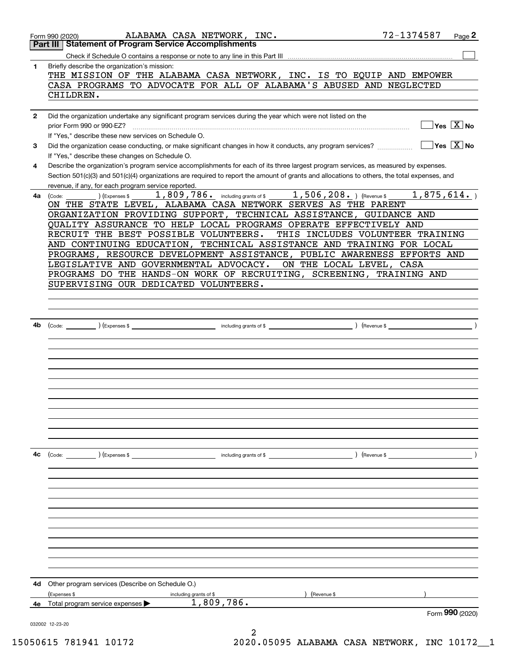|              | ALABAMA CASA NETWORK, INC.<br>Form 990 (2020)                                                                                                                                                                                                                                                                                                                                                                                                                                                                                                                                                                                              | 72-1374587<br>Page 2               |  |
|--------------|--------------------------------------------------------------------------------------------------------------------------------------------------------------------------------------------------------------------------------------------------------------------------------------------------------------------------------------------------------------------------------------------------------------------------------------------------------------------------------------------------------------------------------------------------------------------------------------------------------------------------------------------|------------------------------------|--|
|              | <b>Part III   Statement of Program Service Accomplishments</b>                                                                                                                                                                                                                                                                                                                                                                                                                                                                                                                                                                             |                                    |  |
|              |                                                                                                                                                                                                                                                                                                                                                                                                                                                                                                                                                                                                                                            |                                    |  |
| 1            | Briefly describe the organization's mission:                                                                                                                                                                                                                                                                                                                                                                                                                                                                                                                                                                                               |                                    |  |
|              | THE MISSION OF THE ALABAMA CASA NETWORK, INC. IS TO EQUIP AND EMPOWER<br>CASA PROGRAMS TO ADVOCATE FOR ALL OF ALABAMA'S ABUSED AND NEGLECTED                                                                                                                                                                                                                                                                                                                                                                                                                                                                                               |                                    |  |
|              | CHILDREN.                                                                                                                                                                                                                                                                                                                                                                                                                                                                                                                                                                                                                                  |                                    |  |
|              |                                                                                                                                                                                                                                                                                                                                                                                                                                                                                                                                                                                                                                            |                                    |  |
| $\mathbf{2}$ | Did the organization undertake any significant program services during the year which were not listed on the                                                                                                                                                                                                                                                                                                                                                                                                                                                                                                                               |                                    |  |
|              | prior Form 990 or 990-EZ?                                                                                                                                                                                                                                                                                                                                                                                                                                                                                                                                                                                                                  | $\sqrt{\frac{X}{N}}$ No            |  |
|              | If "Yes," describe these new services on Schedule O.                                                                                                                                                                                                                                                                                                                                                                                                                                                                                                                                                                                       |                                    |  |
| 3            | Did the organization cease conducting, or make significant changes in how it conducts, any program services?                                                                                                                                                                                                                                                                                                                                                                                                                                                                                                                               | $\Box$ Yes $\boxed{\mathrm{X}}$ No |  |
|              | If "Yes," describe these changes on Schedule O.                                                                                                                                                                                                                                                                                                                                                                                                                                                                                                                                                                                            |                                    |  |
| 4            | Describe the organization's program service accomplishments for each of its three largest program services, as measured by expenses.                                                                                                                                                                                                                                                                                                                                                                                                                                                                                                       |                                    |  |
|              | Section 501(c)(3) and 501(c)(4) organizations are required to report the amount of grants and allocations to others, the total expenses, and                                                                                                                                                                                                                                                                                                                                                                                                                                                                                               |                                    |  |
|              | revenue, if any, for each program service reported.                                                                                                                                                                                                                                                                                                                                                                                                                                                                                                                                                                                        |                                    |  |
| 4а           | 1,809,786. including grants of \$1,506,208. Thevenue \$<br>(Expenses \$<br>(Code:                                                                                                                                                                                                                                                                                                                                                                                                                                                                                                                                                          | 1,875,614.                         |  |
|              | ON THE STATE LEVEL, ALABAMA CASA NETWORK SERVES AS THE PARENT                                                                                                                                                                                                                                                                                                                                                                                                                                                                                                                                                                              |                                    |  |
|              | ORGANIZATION PROVIDING SUPPORT, TECHNICAL ASSISTANCE, GUIDANCE AND<br>QUALITY ASSURANCE TO HELP LOCAL PROGRAMS OPERATE EFFECTIVELY AND                                                                                                                                                                                                                                                                                                                                                                                                                                                                                                     |                                    |  |
|              | RECRUIT THE BEST POSSIBLE VOLUNTEERS.<br>THIS INCLUDES VOLUNTEER TRAINING                                                                                                                                                                                                                                                                                                                                                                                                                                                                                                                                                                  |                                    |  |
|              | AND CONTINUING EDUCATION, TECHNICAL ASSISTANCE AND TRAINING FOR LOCAL                                                                                                                                                                                                                                                                                                                                                                                                                                                                                                                                                                      |                                    |  |
|              | PROGRAMS, RESOURCE DEVELOPMENT ASSISTANCE, PUBLIC AWARENESS EFFORTS AND                                                                                                                                                                                                                                                                                                                                                                                                                                                                                                                                                                    |                                    |  |
|              | LEGISLATIVE AND GOVERNMENTAL ADVOCACY.<br>ON THE LOCAL LEVEL, CASA                                                                                                                                                                                                                                                                                                                                                                                                                                                                                                                                                                         |                                    |  |
|              | PROGRAMS DO THE HANDS-ON WORK OF RECRUITING, SCREENING, TRAINING AND                                                                                                                                                                                                                                                                                                                                                                                                                                                                                                                                                                       |                                    |  |
|              | SUPERVISING OUR DEDICATED VOLUNTEERS.                                                                                                                                                                                                                                                                                                                                                                                                                                                                                                                                                                                                      |                                    |  |
|              |                                                                                                                                                                                                                                                                                                                                                                                                                                                                                                                                                                                                                                            |                                    |  |
|              |                                                                                                                                                                                                                                                                                                                                                                                                                                                                                                                                                                                                                                            |                                    |  |
|              |                                                                                                                                                                                                                                                                                                                                                                                                                                                                                                                                                                                                                                            |                                    |  |
| 4b           | $\overbrace{\text{Code:}}$ $\overbrace{\text{Expenses $}}$ $\overbrace{\text{The } \overbrace{\text{The } \overbrace{\text{The } \overbrace{\text{The } \overbrace{\text{The } \overbrace{\text{The } \overbrace{\text{The } \overbrace{\text{The } \overbrace{\text{The } \overbrace{\text{The } \overbrace{\text{The } \overbrace{\text{The } \overbrace{\text{The } \overbrace{\text{The } \overbrace{\text{The } \overbrace{\text{The } \overbrace{\text{The } \overbrace{\text{The } \overbrace{\text{The } \overbrace{\text{The } \overbrace{\text{The } \overbrace{\text{The } \overbrace{\text{The } \overbrace{\text{The } \over$ |                                    |  |
|              |                                                                                                                                                                                                                                                                                                                                                                                                                                                                                                                                                                                                                                            |                                    |  |
|              |                                                                                                                                                                                                                                                                                                                                                                                                                                                                                                                                                                                                                                            |                                    |  |
|              |                                                                                                                                                                                                                                                                                                                                                                                                                                                                                                                                                                                                                                            |                                    |  |
|              |                                                                                                                                                                                                                                                                                                                                                                                                                                                                                                                                                                                                                                            |                                    |  |
|              |                                                                                                                                                                                                                                                                                                                                                                                                                                                                                                                                                                                                                                            |                                    |  |
|              |                                                                                                                                                                                                                                                                                                                                                                                                                                                                                                                                                                                                                                            |                                    |  |
|              |                                                                                                                                                                                                                                                                                                                                                                                                                                                                                                                                                                                                                                            |                                    |  |
|              |                                                                                                                                                                                                                                                                                                                                                                                                                                                                                                                                                                                                                                            |                                    |  |
|              |                                                                                                                                                                                                                                                                                                                                                                                                                                                                                                                                                                                                                                            |                                    |  |
|              |                                                                                                                                                                                                                                                                                                                                                                                                                                                                                                                                                                                                                                            |                                    |  |
|              |                                                                                                                                                                                                                                                                                                                                                                                                                                                                                                                                                                                                                                            |                                    |  |
| 4c           | (Code: ) (Expenses \$<br>including grants of \$<br>) (Revenue \$                                                                                                                                                                                                                                                                                                                                                                                                                                                                                                                                                                           |                                    |  |
|              |                                                                                                                                                                                                                                                                                                                                                                                                                                                                                                                                                                                                                                            |                                    |  |
|              |                                                                                                                                                                                                                                                                                                                                                                                                                                                                                                                                                                                                                                            |                                    |  |
|              |                                                                                                                                                                                                                                                                                                                                                                                                                                                                                                                                                                                                                                            |                                    |  |
|              |                                                                                                                                                                                                                                                                                                                                                                                                                                                                                                                                                                                                                                            |                                    |  |
|              |                                                                                                                                                                                                                                                                                                                                                                                                                                                                                                                                                                                                                                            |                                    |  |
|              |                                                                                                                                                                                                                                                                                                                                                                                                                                                                                                                                                                                                                                            |                                    |  |
|              |                                                                                                                                                                                                                                                                                                                                                                                                                                                                                                                                                                                                                                            |                                    |  |
|              |                                                                                                                                                                                                                                                                                                                                                                                                                                                                                                                                                                                                                                            |                                    |  |
|              |                                                                                                                                                                                                                                                                                                                                                                                                                                                                                                                                                                                                                                            |                                    |  |
|              |                                                                                                                                                                                                                                                                                                                                                                                                                                                                                                                                                                                                                                            |                                    |  |
|              |                                                                                                                                                                                                                                                                                                                                                                                                                                                                                                                                                                                                                                            |                                    |  |
| 4d           | Other program services (Describe on Schedule O.)                                                                                                                                                                                                                                                                                                                                                                                                                                                                                                                                                                                           |                                    |  |
|              | (Expenses \$<br>(Revenue \$<br>including grants of \$                                                                                                                                                                                                                                                                                                                                                                                                                                                                                                                                                                                      |                                    |  |
| 4е           | 1,809,786.<br>Total program service expenses                                                                                                                                                                                                                                                                                                                                                                                                                                                                                                                                                                                               |                                    |  |
|              |                                                                                                                                                                                                                                                                                                                                                                                                                                                                                                                                                                                                                                            | Form 990 (2020)                    |  |
|              | 032002 12-23-20                                                                                                                                                                                                                                                                                                                                                                                                                                                                                                                                                                                                                            |                                    |  |
|              |                                                                                                                                                                                                                                                                                                                                                                                                                                                                                                                                                                                                                                            |                                    |  |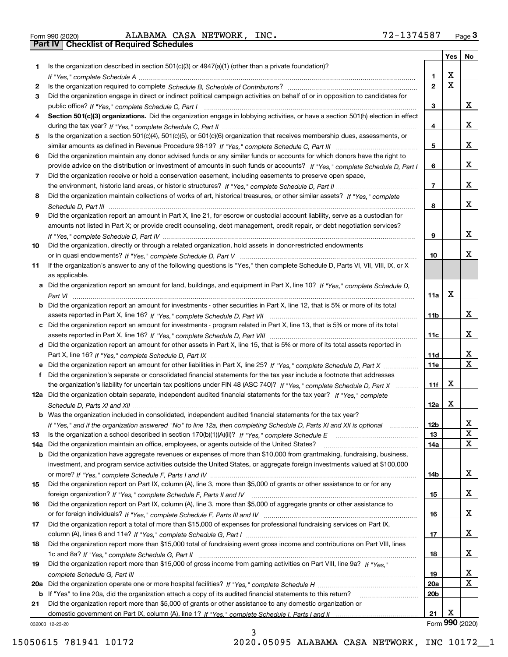|  | Form 990 (2020) |
|--|-----------------|

Form 990 (2020) ALABAMA CASA NETWORK, INC **.** 7 2-1 3 7 4 5 8 7 <sub>Page</sub> 3<br>**Part IV** | Checklist of Required Schedules

|     |                                                                                                                                       |                 | Yes                     | No              |
|-----|---------------------------------------------------------------------------------------------------------------------------------------|-----------------|-------------------------|-----------------|
| 1.  | Is the organization described in section $501(c)(3)$ or $4947(a)(1)$ (other than a private foundation)?                               |                 |                         |                 |
|     |                                                                                                                                       | 1               | х                       |                 |
| 2   |                                                                                                                                       | $\overline{2}$  | $\overline{\mathbf{x}}$ |                 |
| 3   | Did the organization engage in direct or indirect political campaign activities on behalf of or in opposition to candidates for       |                 |                         |                 |
|     |                                                                                                                                       | 3               |                         | x               |
| 4   | Section 501(c)(3) organizations. Did the organization engage in lobbying activities, or have a section 501(h) election in effect      |                 |                         |                 |
|     |                                                                                                                                       | 4               |                         | x               |
| 5   | Is the organization a section 501(c)(4), 501(c)(5), or 501(c)(6) organization that receives membership dues, assessments, or          |                 |                         |                 |
|     |                                                                                                                                       | 5               |                         | x               |
| 6   | Did the organization maintain any donor advised funds or any similar funds or accounts for which donors have the right to             |                 |                         |                 |
|     | provide advice on the distribution or investment of amounts in such funds or accounts? If "Yes," complete Schedule D, Part I          | 6               |                         | x               |
| 7   | Did the organization receive or hold a conservation easement, including easements to preserve open space,                             |                 |                         |                 |
|     |                                                                                                                                       | $\overline{7}$  |                         | x               |
| 8   | Did the organization maintain collections of works of art, historical treasures, or other similar assets? If "Yes," complete          |                 |                         |                 |
|     |                                                                                                                                       | 8               |                         | x               |
| 9   | Did the organization report an amount in Part X, line 21, for escrow or custodial account liability, serve as a custodian for         |                 |                         |                 |
|     | amounts not listed in Part X; or provide credit counseling, debt management, credit repair, or debt negotiation services?             |                 |                         |                 |
|     |                                                                                                                                       | 9               |                         | х               |
| 10  | Did the organization, directly or through a related organization, hold assets in donor-restricted endowments                          |                 |                         |                 |
|     |                                                                                                                                       | 10              |                         | x               |
| 11  | If the organization's answer to any of the following questions is "Yes," then complete Schedule D, Parts VI, VII, VIII, IX, or X      |                 |                         |                 |
|     | as applicable.                                                                                                                        |                 |                         |                 |
|     | a Did the organization report an amount for land, buildings, and equipment in Part X, line 10? If "Yes," complete Schedule D,         |                 |                         |                 |
|     |                                                                                                                                       | 11a             | X                       |                 |
|     | <b>b</b> Did the organization report an amount for investments - other securities in Part X, line 12, that is 5% or more of its total |                 |                         |                 |
|     |                                                                                                                                       | 11b             |                         | х               |
|     | c Did the organization report an amount for investments - program related in Part X, line 13, that is 5% or more of its total         |                 |                         |                 |
|     |                                                                                                                                       | 11c             |                         | х               |
|     | d Did the organization report an amount for other assets in Part X, line 15, that is 5% or more of its total assets reported in       |                 |                         |                 |
|     |                                                                                                                                       | 11d             |                         | х               |
|     | e Did the organization report an amount for other liabilities in Part X, line 25? If "Yes," complete Schedule D, Part X               | 11e             |                         | $\mathbf{x}$    |
| f   | Did the organization's separate or consolidated financial statements for the tax year include a footnote that addresses               |                 |                         |                 |
|     | the organization's liability for uncertain tax positions under FIN 48 (ASC 740)? If "Yes," complete Schedule D, Part X                | 11f             | X                       |                 |
|     | 12a Did the organization obtain separate, independent audited financial statements for the tax year? If "Yes," complete               |                 |                         |                 |
|     |                                                                                                                                       | 12a             | х                       |                 |
|     | <b>b</b> Was the organization included in consolidated, independent audited financial statements for the tax year?                    |                 |                         |                 |
|     | If "Yes," and if the organization answered "No" to line 12a, then completing Schedule D, Parts XI and XII is optional                 | 12b             |                         | ▵<br>X          |
| 13  |                                                                                                                                       | 13              |                         | X               |
| 14a | Did the organization maintain an office, employees, or agents outside of the United States?                                           | 14a             |                         |                 |
|     | <b>b</b> Did the organization have aggregate revenues or expenses of more than \$10,000 from grantmaking, fundraising, business,      |                 |                         |                 |
|     | investment, and program service activities outside the United States, or aggregate foreign investments valued at \$100,000            |                 |                         | x               |
|     | Did the organization report on Part IX, column (A), line 3, more than \$5,000 of grants or other assistance to or for any             | 14b             |                         |                 |
| 15  |                                                                                                                                       |                 |                         | x               |
| 16  | Did the organization report on Part IX, column (A), line 3, more than \$5,000 of aggregate grants or other assistance to              | 15              |                         |                 |
|     |                                                                                                                                       | 16              |                         | x               |
| 17  | Did the organization report a total of more than \$15,000 of expenses for professional fundraising services on Part IX,               |                 |                         |                 |
|     |                                                                                                                                       | 17              |                         | x               |
| 18  | Did the organization report more than \$15,000 total of fundraising event gross income and contributions on Part VIII, lines          |                 |                         |                 |
|     |                                                                                                                                       | 18              |                         | x               |
| 19  | Did the organization report more than \$15,000 of gross income from gaming activities on Part VIII, line 9a? If "Yes."                |                 |                         |                 |
|     |                                                                                                                                       | 19              |                         | х               |
|     |                                                                                                                                       | 20a             |                         | X               |
|     | b If "Yes" to line 20a, did the organization attach a copy of its audited financial statements to this return?                        | 20 <sub>b</sub> |                         |                 |
| 21  | Did the organization report more than \$5,000 of grants or other assistance to any domestic organization or                           |                 |                         |                 |
|     |                                                                                                                                       | 21              | х                       |                 |
|     | 032003 12-23-20                                                                                                                       |                 |                         | Form 990 (2020) |

3

032003 12-23-20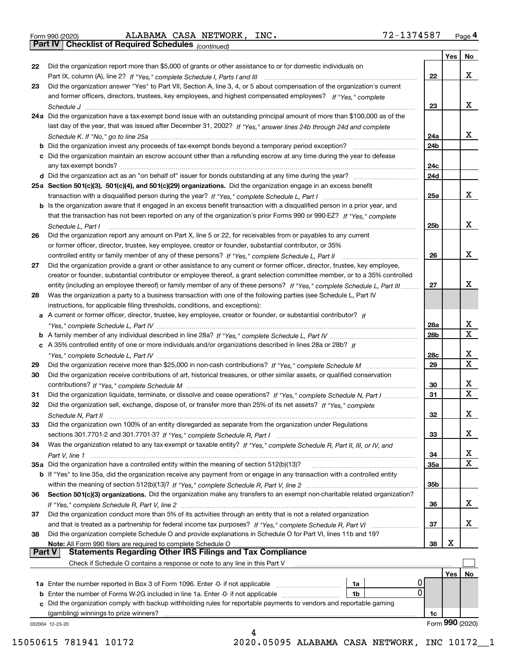Form 990 (2020) ALABAMA CASA NETWORK, INC **.** 7 2-1 3 7 4 5 8 7 <sub>Page</sub> 4<br>**Part IV** | Checklist of Required Schedules <sub>(continued)</sub>

*(continued)*

|               |                                                                                                                              |                 | Yes | <b>No</b>        |
|---------------|------------------------------------------------------------------------------------------------------------------------------|-----------------|-----|------------------|
| 22            | Did the organization report more than \$5,000 of grants or other assistance to or for domestic individuals on                |                 |     |                  |
|               |                                                                                                                              | 22              |     | х                |
| 23            | Did the organization answer "Yes" to Part VII, Section A, line 3, 4, or 5 about compensation of the organization's current   |                 |     |                  |
|               | and former officers, directors, trustees, key employees, and highest compensated employees? If "Yes," complete               |                 |     |                  |
|               |                                                                                                                              | 23              |     | х                |
|               | 24a Did the organization have a tax-exempt bond issue with an outstanding principal amount of more than \$100,000 as of the  |                 |     |                  |
|               | last day of the year, that was issued after December 31, 2002? If "Yes," answer lines 24b through 24d and complete           |                 |     |                  |
|               |                                                                                                                              | 24a             |     | x                |
|               | <b>b</b> Did the organization invest any proceeds of tax-exempt bonds beyond a temporary period exception?                   | 24 <sub>b</sub> |     |                  |
|               | c Did the organization maintain an escrow account other than a refunding escrow at any time during the year to defease       |                 |     |                  |
|               | any tax-exempt bonds?                                                                                                        | 24c             |     |                  |
|               | d Did the organization act as an "on behalf of" issuer for bonds outstanding at any time during the year?                    | 24d             |     |                  |
|               | 25a Section 501(c)(3), 501(c)(4), and 501(c)(29) organizations. Did the organization engage in an excess benefit             |                 |     |                  |
|               |                                                                                                                              | 25a             |     | х                |
|               | b Is the organization aware that it engaged in an excess benefit transaction with a disqualified person in a prior year, and |                 |     |                  |
|               | that the transaction has not been reported on any of the organization's prior Forms 990 or 990-EZ? If "Yes," complete        |                 |     |                  |
|               | Schedule L, Part I                                                                                                           | 25b             |     | х                |
| 26            | Did the organization report any amount on Part X, line 5 or 22, for receivables from or payables to any current              |                 |     |                  |
|               | or former officer, director, trustee, key employee, creator or founder, substantial contributor, or 35%                      |                 |     |                  |
|               |                                                                                                                              | 26              |     | х                |
| 27            | Did the organization provide a grant or other assistance to any current or former officer, director, trustee, key employee,  |                 |     |                  |
|               | creator or founder, substantial contributor or employee thereof, a grant selection committee member, or to a 35% controlled  |                 |     |                  |
|               | entity (including an employee thereof) or family member of any of these persons? If "Yes," complete Schedule L, Part III     | 27              |     | х                |
| 28            | Was the organization a party to a business transaction with one of the following parties (see Schedule L, Part IV            |                 |     |                  |
|               | instructions, for applicable filing thresholds, conditions, and exceptions):                                                 |                 |     |                  |
|               | a A current or former officer, director, trustee, key employee, creator or founder, or substantial contributor? If           |                 |     |                  |
|               |                                                                                                                              | 28a             |     | x                |
|               |                                                                                                                              | 28 <sub>b</sub> |     | $\mathbf X$      |
|               |                                                                                                                              |                 |     |                  |
|               | c A 35% controlled entity of one or more individuals and/or organizations described in lines 28a or 28b? If                  |                 |     | x                |
|               |                                                                                                                              | 28c             |     | $\mathbf X$      |
| 29            |                                                                                                                              | 29              |     |                  |
| 30            | Did the organization receive contributions of art, historical treasures, or other similar assets, or qualified conservation  |                 |     |                  |
|               |                                                                                                                              | 30              |     | x<br>$\mathbf x$ |
| 31            | Did the organization liquidate, terminate, or dissolve and cease operations? If "Yes," complete Schedule N, Part I           | 31              |     |                  |
| 32            | Did the organization sell, exchange, dispose of, or transfer more than 25% of its net assets? If "Yes," complete             |                 |     |                  |
|               | Schedule N, Part II                                                                                                          | 32              |     | x                |
| 33            | Did the organization own 100% of an entity disregarded as separate from the organization under Regulations                   |                 |     |                  |
|               |                                                                                                                              | 33              |     | х                |
| 34            | Was the organization related to any tax-exempt or taxable entity? If "Yes," complete Schedule R, Part II, III, or IV, and    |                 |     |                  |
|               |                                                                                                                              | 34              |     | х                |
|               | 35a Did the organization have a controlled entity within the meaning of section 512(b)(13)?                                  | 35a             |     | X                |
|               | b If "Yes" to line 35a, did the organization receive any payment from or engage in any transaction with a controlled entity  |                 |     |                  |
|               |                                                                                                                              | 35 <sub>b</sub> |     |                  |
| 36            | Section 501(c)(3) organizations. Did the organization make any transfers to an exempt non-charitable related organization?   |                 |     |                  |
|               |                                                                                                                              | 36              |     | x                |
| 37            | Did the organization conduct more than 5% of its activities through an entity that is not a related organization             |                 |     |                  |
|               | and that is treated as a partnership for federal income tax purposes? If "Yes," complete Schedule R, Part VI                 | 37              |     | x                |
| 38            | Did the organization complete Schedule O and provide explanations in Schedule O for Part VI, lines 11b and 19?               |                 |     |                  |
|               | Note: All Form 990 filers are required to complete Schedule O                                                                | 38              | х   |                  |
| <b>Part V</b> | <b>Statements Regarding Other IRS Filings and Tax Compliance</b>                                                             |                 |     |                  |
|               | Check if Schedule O contains a response or note to any line in this Part V                                                   |                 |     |                  |
|               |                                                                                                                              |                 | Yes | No               |
|               | <b>1a</b> Enter the number reported in Box 3 of Form 1096. Enter -0- if not applicable <i>manumumumum</i><br>1a              |                 |     |                  |
|               | 0<br><b>b</b> Enter the number of Forms W-2G included in line 1a. Enter -0- if not applicable<br>1b                          |                 |     |                  |
|               | c Did the organization comply with backup withholding rules for reportable payments to vendors and reportable gaming         |                 |     |                  |
|               | (gambling) winnings to prize winners?                                                                                        | 1c              |     |                  |
|               | 032004 12-23-20                                                                                                              |                 |     | Form 990 (2020)  |
|               | 4                                                                                                                            |                 |     |                  |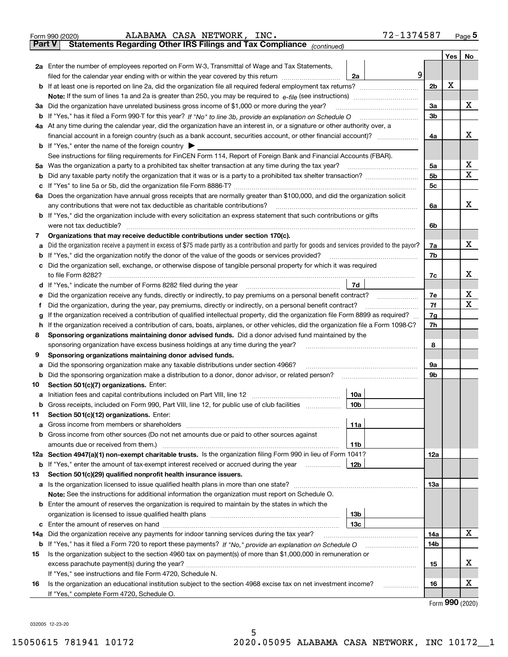|         | ALABAMA CASA NETWORK, INC.<br>Form 990 (2020)                                                                                                                                                                                                    |                 | 72-1374587 |                |   | <u>Page 5</u>  |
|---------|--------------------------------------------------------------------------------------------------------------------------------------------------------------------------------------------------------------------------------------------------|-----------------|------------|----------------|---|----------------|
|         | <b>Part V</b><br>Statements Regarding Other IRS Filings and Tax Compliance (continued)                                                                                                                                                           |                 |            |                |   |                |
|         |                                                                                                                                                                                                                                                  |                 |            |                |   | Yes $\vert$ No |
|         | 2a Enter the number of employees reported on Form W-3, Transmittal of Wage and Tax Statements,                                                                                                                                                   |                 |            |                |   |                |
|         | filed for the calendar year ending with or within the year covered by this return [[[[[[[[[[[[[[[[[[[[[[[[[[[                                                                                                                                    | 2a              | 9          |                |   |                |
|         |                                                                                                                                                                                                                                                  |                 |            | 2 <sub>b</sub> | х |                |
|         |                                                                                                                                                                                                                                                  |                 |            |                |   |                |
|         | 3a Did the organization have unrelated business gross income of \$1,000 or more during the year?                                                                                                                                                 |                 |            | 3a             |   | х              |
|         |                                                                                                                                                                                                                                                  |                 |            | 3b             |   |                |
|         | 4a At any time during the calendar year, did the organization have an interest in, or a signature or other authority over, a                                                                                                                     |                 |            |                |   |                |
|         |                                                                                                                                                                                                                                                  |                 |            | 4a             |   | х              |
|         | <b>b</b> If "Yes," enter the name of the foreign country $\blacktriangleright$                                                                                                                                                                   |                 |            |                |   |                |
|         | See instructions for filing requirements for FinCEN Form 114, Report of Foreign Bank and Financial Accounts (FBAR).                                                                                                                              |                 |            |                |   |                |
| 5a      | Was the organization a party to a prohibited tax shelter transaction at any time during the tax year?                                                                                                                                            |                 |            | 5a             |   | х              |
| b       |                                                                                                                                                                                                                                                  |                 |            | 5b             |   | x              |
| с       |                                                                                                                                                                                                                                                  |                 |            | 5c             |   |                |
| 6а      | Does the organization have annual gross receipts that are normally greater than \$100,000, and did the organization solicit                                                                                                                      |                 |            |                |   |                |
|         | any contributions that were not tax deductible as charitable contributions?                                                                                                                                                                      |                 |            | 6a             |   | х              |
|         | b If "Yes," did the organization include with every solicitation an express statement that such contributions or gifts                                                                                                                           |                 |            |                |   |                |
|         | were not tax deductible?                                                                                                                                                                                                                         |                 |            | 6b             |   |                |
| 7       | Organizations that may receive deductible contributions under section 170(c).                                                                                                                                                                    |                 |            |                |   |                |
| a       | Did the organization receive a payment in excess of \$75 made partly as a contribution and partly for goods and services provided to the payor?                                                                                                  |                 |            | 7a             |   | х              |
| b       | If "Yes," did the organization notify the donor of the value of the goods or services provided?                                                                                                                                                  |                 |            | 7b             |   |                |
|         | Did the organization sell, exchange, or otherwise dispose of tangible personal property for which it was required                                                                                                                                |                 |            |                |   | х              |
|         |                                                                                                                                                                                                                                                  |                 |            | 7c             |   |                |
| d       |                                                                                                                                                                                                                                                  | 7d              |            |                |   | х              |
| е       | Did the organization receive any funds, directly or indirectly, to pay premiums on a personal benefit contract?                                                                                                                                  |                 |            | 7e             |   | х              |
| f       | Did the organization, during the year, pay premiums, directly or indirectly, on a personal benefit contract?<br>If the organization received a contribution of qualified intellectual property, did the organization file Form 8899 as required? |                 |            | 7f<br>7g       |   |                |
| g<br>h. | If the organization received a contribution of cars, boats, airplanes, or other vehicles, did the organization file a Form 1098-C?                                                                                                               |                 |            | 7h             |   |                |
| 8       | Sponsoring organizations maintaining donor advised funds. Did a donor advised fund maintained by the                                                                                                                                             |                 |            |                |   |                |
|         | sponsoring organization have excess business holdings at any time during the year?                                                                                                                                                               |                 |            | 8              |   |                |
| 9       | Sponsoring organizations maintaining donor advised funds.                                                                                                                                                                                        |                 |            |                |   |                |
| a       | Did the sponsoring organization make any taxable distributions under section 4966?                                                                                                                                                               |                 |            | 9а             |   |                |
| b       | Did the sponsoring organization make a distribution to a donor, donor advisor, or related person?                                                                                                                                                |                 |            | 9b             |   |                |
| 10      | Section 501(c)(7) organizations. Enter:                                                                                                                                                                                                          |                 |            |                |   |                |
|         | a Initiation fees and capital contributions included on Part VIII, line 12 [111] [11] [12] [11] [12] [11] [12] [11] [12] [11] [12] [11] [12] [11] [12] [11] [12] [11] [12] [11] [12] [11] [12] [11] [12] [11] [12] [11] [12] [                   | 10a             |            |                |   |                |
|         | Gross receipts, included on Form 990, Part VIII, line 12, for public use of club facilities                                                                                                                                                      | 10 <sub>b</sub> |            |                |   |                |
| 11      | Section 501(c)(12) organizations. Enter:                                                                                                                                                                                                         |                 |            |                |   |                |
| a       | Gross income from members or shareholders                                                                                                                                                                                                        | 11a             |            |                |   |                |
|         | b Gross income from other sources (Do not net amounts due or paid to other sources against                                                                                                                                                       |                 |            |                |   |                |
|         |                                                                                                                                                                                                                                                  | 11 <sub>b</sub> |            |                |   |                |
|         | 12a Section 4947(a)(1) non-exempt charitable trusts. Is the organization filing Form 990 in lieu of Form 1041?                                                                                                                                   |                 |            | 12a            |   |                |
|         | <b>b</b> If "Yes," enter the amount of tax-exempt interest received or accrued during the year <i>manument</i>                                                                                                                                   | 12b             |            |                |   |                |
| 13      | Section 501(c)(29) qualified nonprofit health insurance issuers.                                                                                                                                                                                 |                 |            |                |   |                |
|         | a Is the organization licensed to issue qualified health plans in more than one state?                                                                                                                                                           |                 |            | 13a            |   |                |
|         | Note: See the instructions for additional information the organization must report on Schedule O.                                                                                                                                                |                 |            |                |   |                |
|         | <b>b</b> Enter the amount of reserves the organization is required to maintain by the states in which the                                                                                                                                        |                 |            |                |   |                |
|         |                                                                                                                                                                                                                                                  | 13b             |            |                |   |                |
|         |                                                                                                                                                                                                                                                  | 13с             |            |                |   |                |
| 14a     | Did the organization receive any payments for indoor tanning services during the tax year?                                                                                                                                                       |                 |            | 14a            |   | x              |
|         | <b>b</b> If "Yes," has it filed a Form 720 to report these payments? If "No," provide an explanation on Schedule O                                                                                                                               |                 |            | 14b            |   |                |
| 15      | Is the organization subject to the section 4960 tax on payment(s) of more than \$1,000,000 in remuneration or                                                                                                                                    |                 |            |                |   |                |
|         |                                                                                                                                                                                                                                                  |                 |            | 15             |   | х              |
|         | If "Yes," see instructions and file Form 4720, Schedule N.                                                                                                                                                                                       |                 |            |                |   |                |
| 16      | Is the organization an educational institution subject to the section 4968 excise tax on net investment income?                                                                                                                                  |                 |            | 16             |   | х              |
|         | If "Yes," complete Form 4720, Schedule O.                                                                                                                                                                                                        |                 |            |                |   |                |

Form (2020) **990**

032005 12-23-20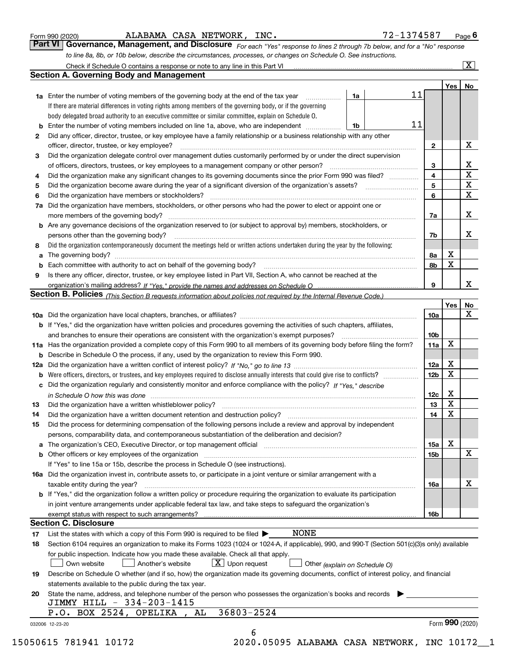|  | Form 990 (2020) |
|--|-----------------|
|  |                 |

ALABAMA CASA NETWORK, INC. 72-1374587

*For each "Yes" response to lines 2 through 7b below, and for a "No" response to line 8a, 8b, or 10b below, describe the circumstances, processes, or changes on Schedule O. See instructions.* Form 990 (2020) **ALABAMA CASA NETWORK, INC.** 72-1374587 Page 6<br>**Part VI Governance, Management, and Disclosure** For each "Yes" response to lines 2 through 7b below, and for a "No" response

|    |                                                                                                                                                                            |    |    |                 | Yes         | No                      |
|----|----------------------------------------------------------------------------------------------------------------------------------------------------------------------------|----|----|-----------------|-------------|-------------------------|
|    | <b>1a</b> Enter the number of voting members of the governing body at the end of the tax year <i>manumum</i>                                                               | 1a | 11 |                 |             |                         |
|    | If there are material differences in voting rights among members of the governing body, or if the governing                                                                |    |    |                 |             |                         |
|    | body delegated broad authority to an executive committee or similar committee, explain on Schedule O.                                                                      |    |    |                 |             |                         |
|    |                                                                                                                                                                            | 1b | 11 |                 |             |                         |
| 2  | Did any officer, director, trustee, or key employee have a family relationship or a business relationship with any other                                                   |    |    |                 |             |                         |
|    | officer, director, trustee, or key employee?                                                                                                                               |    |    | $\mathbf{2}$    |             | X                       |
| 3  | Did the organization delegate control over management duties customarily performed by or under the direct supervision                                                      |    |    |                 |             |                         |
|    |                                                                                                                                                                            |    |    | 3               |             | X                       |
|    |                                                                                                                                                                            |    |    | 4               |             | $\overline{\mathbf{x}}$ |
| 4  | Did the organization make any significant changes to its governing documents since the prior Form 990 was filed?                                                           |    |    | 5               |             | $\mathbf X$             |
| 5  |                                                                                                                                                                            |    |    |                 |             | $\mathbf X$             |
| 6  | Did the organization have members or stockholders?                                                                                                                         |    |    | 6               |             |                         |
|    | 7a Did the organization have members, stockholders, or other persons who had the power to elect or appoint one or                                                          |    |    |                 |             |                         |
|    |                                                                                                                                                                            |    |    | 7a              |             | X                       |
|    | <b>b</b> Are any governance decisions of the organization reserved to (or subject to approval by) members, stockholders, or                                                |    |    |                 |             |                         |
|    | persons other than the governing body?                                                                                                                                     |    |    | 7b              |             | X                       |
| 8  | Did the organization contemporaneously document the meetings held or written actions undertaken during the year by the following:                                          |    |    |                 |             |                         |
| a  |                                                                                                                                                                            |    |    | 8a              | X           |                         |
|    |                                                                                                                                                                            |    |    | 8b              | X           |                         |
| 9  | Is there any officer, director, trustee, or key employee listed in Part VII, Section A, who cannot be reached at the                                                       |    |    |                 |             |                         |
|    |                                                                                                                                                                            |    |    | 9               |             | х                       |
|    | Section B. Policies (This Section B requests information about policies not required by the Internal Revenue Code.)                                                        |    |    |                 |             |                         |
|    |                                                                                                                                                                            |    |    |                 | Yes∣        | No                      |
|    |                                                                                                                                                                            |    |    | 10a             |             | X                       |
|    |                                                                                                                                                                            |    |    |                 |             |                         |
|    | <b>b</b> If "Yes," did the organization have written policies and procedures governing the activities of such chapters, affiliates,                                        |    |    |                 |             |                         |
|    |                                                                                                                                                                            |    |    | 10 <sub>b</sub> |             |                         |
|    | 11a Has the organization provided a complete copy of this Form 990 to all members of its governing body before filing the form?                                            |    |    | 11a             | $\mathbf X$ |                         |
|    | <b>b</b> Describe in Schedule O the process, if any, used by the organization to review this Form 990.                                                                     |    |    |                 |             |                         |
|    |                                                                                                                                                                            |    |    | 12a             | X           |                         |
| b  |                                                                                                                                                                            |    |    | 12b             | X           |                         |
|    | c Did the organization regularly and consistently monitor and enforce compliance with the policy? If "Yes," describe                                                       |    |    |                 |             |                         |
|    | in Schedule O how this was done www.communication.com/www.communications.com/www.communications.com/                                                                       |    |    | 12c             | X           |                         |
| 13 |                                                                                                                                                                            |    |    | 13              | X           |                         |
| 14 | Did the organization have a written document retention and destruction policy? manufactured and the organization have a written document retention and destruction policy? |    |    | 14              | $\mathbf X$ |                         |
| 15 | Did the process for determining compensation of the following persons include a review and approval by independent                                                         |    |    |                 |             |                         |
|    | persons, comparability data, and contemporaneous substantiation of the deliberation and decision?                                                                          |    |    |                 |             |                         |
|    |                                                                                                                                                                            |    |    | 15a             | X           |                         |
|    |                                                                                                                                                                            |    |    | 15 <sub>b</sub> |             | X                       |
|    | If "Yes" to line 15a or 15b, describe the process in Schedule O (see instructions).                                                                                        |    |    |                 |             |                         |
|    |                                                                                                                                                                            |    |    |                 |             |                         |
|    | 16a Did the organization invest in, contribute assets to, or participate in a joint venture or similar arrangement with a                                                  |    |    |                 |             |                         |
|    | taxable entity during the year?                                                                                                                                            |    |    | 16a             |             | X                       |
|    | b If "Yes," did the organization follow a written policy or procedure requiring the organization to evaluate its participation                                             |    |    |                 |             |                         |
|    | in joint venture arrangements under applicable federal tax law, and take steps to safeguard the organization's                                                             |    |    |                 |             |                         |
|    |                                                                                                                                                                            |    |    | 16b             |             |                         |
|    | <b>Section C. Disclosure</b>                                                                                                                                               |    |    |                 |             |                         |
| 17 | NONE<br>List the states with which a copy of this Form 990 is required to be filed $\blacktriangleright$                                                                   |    |    |                 |             |                         |
| 18 | Section 6104 requires an organization to make its Forms 1023 (1024 or 1024-A, if applicable), 990, and 990-T (Section 501(c)(3)s only) available                           |    |    |                 |             |                         |
|    | for public inspection. Indicate how you made these available. Check all that apply.                                                                                        |    |    |                 |             |                         |
|    | $X$ Upon request<br>Another's website<br>Own website<br>Other (explain on Schedule O)                                                                                      |    |    |                 |             |                         |
| 19 | Describe on Schedule O whether (and if so, how) the organization made its governing documents, conflict of interest policy, and financial                                  |    |    |                 |             |                         |
|    | statements available to the public during the tax year.                                                                                                                    |    |    |                 |             |                         |
| 20 | State the name, address, and telephone number of the person who possesses the organization's books and records                                                             |    |    |                 |             |                         |
|    | JIMMY HILL - 334-203-1415                                                                                                                                                  |    |    |                 |             |                         |
|    | 36803-2524<br>P.O. BOX 2524, OPELIKA, AL                                                                                                                                   |    |    |                 |             |                         |
|    |                                                                                                                                                                            |    |    |                 |             | Form 990 (2020)         |
|    | 032006 12-23-20                                                                                                                                                            |    |    |                 |             |                         |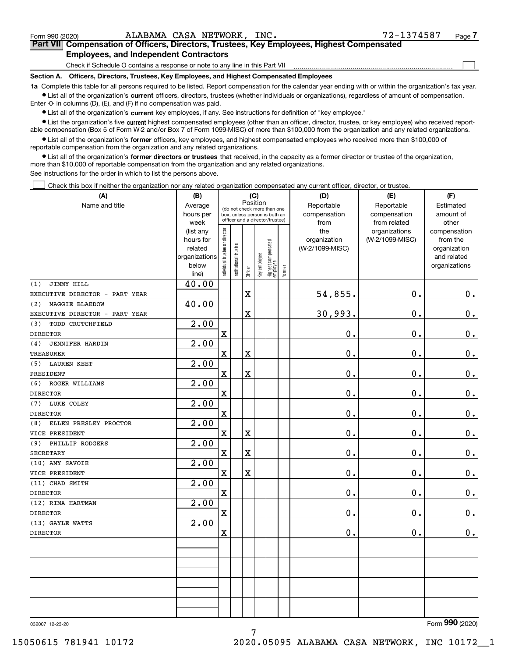$\mathcal{L}^{\text{max}}$ 

# **7Part VII Compensation of Officers, Directors, Trustees, Key Employees, Highest Compensated Employees, and Independent Contractors**

Check if Schedule O contains a response or note to any line in this Part VII

**Section A. Officers, Directors, Trustees, Key Employees, and Highest Compensated Employees**

**1a**  Complete this table for all persons required to be listed. Report compensation for the calendar year ending with or within the organization's tax year. **•** List all of the organization's current officers, directors, trustees (whether individuals or organizations), regardless of amount of compensation.

Enter -0- in columns (D), (E), and (F) if no compensation was paid.

 $\bullet$  List all of the organization's  $\,$ current key employees, if any. See instructions for definition of "key employee."

**•** List the organization's five current highest compensated employees (other than an officer, director, trustee, or key employee) who received reportable compensation (Box 5 of Form W-2 and/or Box 7 of Form 1099-MISC) of more than \$100,000 from the organization and any related organizations.

**•** List all of the organization's former officers, key employees, and highest compensated employees who received more than \$100,000 of reportable compensation from the organization and any related organizations.

**former directors or trustees**  ¥ List all of the organization's that received, in the capacity as a former director or trustee of the organization, more than \$10,000 of reportable compensation from the organization and any related organizations.

See instructions for the order in which to list the persons above.

Check this box if neither the organization nor any related organization compensated any current officer, director, or trustee.  $\mathcal{L}^{\text{max}}$ 

| (A)                               | (B)            | (C)                            |                             |          |              |                                                                  |        | (D)             | (E)             | (F)            |  |  |  |  |
|-----------------------------------|----------------|--------------------------------|-----------------------------|----------|--------------|------------------------------------------------------------------|--------|-----------------|-----------------|----------------|--|--|--|--|
| Name and title                    | Average        |                                | (do not check more than one | Position |              |                                                                  |        | Reportable      | Reportable      | Estimated      |  |  |  |  |
|                                   | hours per      |                                |                             |          |              | box, unless person is both an<br>officer and a director/trustee) |        | compensation    | compensation    | amount of      |  |  |  |  |
|                                   | week           |                                |                             |          |              |                                                                  |        | from            | from related    | other          |  |  |  |  |
|                                   | (list any      |                                |                             |          |              |                                                                  |        | the             | organizations   | compensation   |  |  |  |  |
|                                   | hours for      |                                |                             |          |              |                                                                  |        | organization    | (W-2/1099-MISC) | from the       |  |  |  |  |
|                                   | related        |                                |                             |          |              |                                                                  |        | (W-2/1099-MISC) |                 | organization   |  |  |  |  |
|                                   | organizations  |                                |                             |          |              |                                                                  |        |                 |                 | and related    |  |  |  |  |
|                                   | below<br>line) | Individual trustee or director | Institutional trustee       | Officer  | Key employee | Highest compensated<br> employee                                 | Former |                 |                 | organizations  |  |  |  |  |
| JIMMY HILL<br>(1)                 | 40.00          |                                |                             |          |              |                                                                  |        |                 |                 |                |  |  |  |  |
| EXECUTIVE DIRECTOR -<br>PART YEAR |                |                                |                             | X        |              |                                                                  |        | 54,855.         | 0.              | 0.             |  |  |  |  |
| (2)<br>MAGGIE BLAEDOW             | 40.00          |                                |                             |          |              |                                                                  |        |                 |                 |                |  |  |  |  |
| EXECUTIVE DIRECTOR - PART YEAR    |                |                                |                             | X        |              |                                                                  |        | 30,993.         | 0.              | 0.             |  |  |  |  |
| TODD CRUTCHFIELD<br>(3)           | 2.00           |                                |                             |          |              |                                                                  |        |                 |                 |                |  |  |  |  |
| <b>DIRECTOR</b>                   |                | $\mathbf x$                    |                             |          |              |                                                                  |        | 0.              | 0.              | $\mathbf 0$ .  |  |  |  |  |
| (4)<br><b>JENNIFER HARDIN</b>     | 2.00           |                                |                             |          |              |                                                                  |        |                 |                 |                |  |  |  |  |
| TREASURER                         |                | $\mathbf X$                    |                             | X        |              |                                                                  |        | 0.              | 0.              | $\mathbf 0$ .  |  |  |  |  |
| (5) LAUREN KEET                   | 2.00           |                                |                             |          |              |                                                                  |        |                 |                 |                |  |  |  |  |
| PRESIDENT                         |                | $\mathbf X$                    |                             | X        |              |                                                                  |        | $0$ .           | 0.              | $\mathbf 0$ .  |  |  |  |  |
| (6) ROGER WILLIAMS                | 2.00           |                                |                             |          |              |                                                                  |        |                 |                 |                |  |  |  |  |
| <b>DIRECTOR</b>                   |                | $\mathbf X$                    |                             |          |              |                                                                  |        | 0.              | 0.              | $\mathbf 0$ .  |  |  |  |  |
| (7)<br>LUKE COLEY                 | 2.00           |                                |                             |          |              |                                                                  |        |                 |                 |                |  |  |  |  |
| <b>DIRECTOR</b>                   |                | $\mathbf x$                    |                             |          |              |                                                                  |        | $\mathbf 0$ .   | 0.              | $\mathbf 0$ .  |  |  |  |  |
| ELLEN PRESLEY PROCTOR<br>(8)      | 2.00           |                                |                             |          |              |                                                                  |        |                 |                 |                |  |  |  |  |
| VICE PRESIDENT                    |                | $\mathbf X$                    |                             | X        |              |                                                                  |        | 0.              | 0.              | 0.             |  |  |  |  |
| (9)<br>PHILLIP RODGERS            | 2.00           |                                |                             |          |              |                                                                  |        |                 |                 |                |  |  |  |  |
| <b>SECRETARY</b>                  |                | $\mathbf x$                    |                             | X        |              |                                                                  |        | $\mathbf 0$ .   | 0.              | $0_{.}$        |  |  |  |  |
| (10) AMY SAVOIE                   | 2.00           |                                |                             |          |              |                                                                  |        |                 |                 |                |  |  |  |  |
| VICE PRESIDENT                    |                | $\mathbf x$                    |                             | X        |              |                                                                  |        | 0.              | 0.              | $0$ .          |  |  |  |  |
| (11) CHAD SMITH                   | 2.00           |                                |                             |          |              |                                                                  |        |                 |                 |                |  |  |  |  |
| <b>DIRECTOR</b>                   |                | $\overline{\textbf{X}}$        |                             |          |              |                                                                  |        | 0.              | 0.              | $\mathbf 0$ .  |  |  |  |  |
| (12) RIMA HARTMAN                 | 2.00           |                                |                             |          |              |                                                                  |        |                 |                 |                |  |  |  |  |
| <b>DIRECTOR</b>                   |                | $\mathbf x$                    |                             |          |              |                                                                  |        | 0.              | 0.              | $0_{.}$        |  |  |  |  |
| (13) GAYLE WATTS                  | 2.00           |                                |                             |          |              |                                                                  |        |                 |                 |                |  |  |  |  |
| <b>DIRECTOR</b>                   |                | $\mathbf x$                    |                             |          |              |                                                                  |        | 0.              | 0.              | $\mathbf 0$ .  |  |  |  |  |
|                                   |                |                                |                             |          |              |                                                                  |        |                 |                 |                |  |  |  |  |
|                                   |                |                                |                             |          |              |                                                                  |        |                 |                 |                |  |  |  |  |
|                                   |                |                                |                             |          |              |                                                                  |        |                 |                 |                |  |  |  |  |
|                                   |                |                                |                             |          |              |                                                                  |        |                 |                 |                |  |  |  |  |
|                                   |                |                                |                             |          |              |                                                                  |        |                 |                 |                |  |  |  |  |
|                                   |                |                                |                             |          |              |                                                                  |        |                 |                 |                |  |  |  |  |
|                                   |                |                                |                             |          |              |                                                                  |        |                 |                 |                |  |  |  |  |
|                                   |                |                                |                             |          |              |                                                                  |        |                 |                 | $\overline{2}$ |  |  |  |  |

032007 12-23-20

Form (2020) **990**

15050615 781941 10172 2020.05095 ALABAMA CASA NETWORK, INC 10172\_\_1

7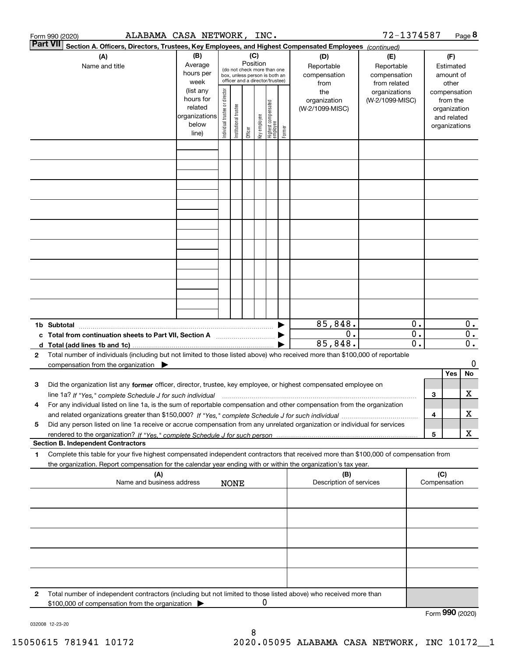|        | ALABAMA CASA NETWORK, INC.<br>Form 990 (2020)                                                                                                                                                                                                                |                                                                      |                                |                       |                                                                                                                    |              |                                 |        |                                           | 72-1374587                                        |                                      |     |                                                                          | Page 8                               |
|--------|--------------------------------------------------------------------------------------------------------------------------------------------------------------------------------------------------------------------------------------------------------------|----------------------------------------------------------------------|--------------------------------|-----------------------|--------------------------------------------------------------------------------------------------------------------|--------------|---------------------------------|--------|-------------------------------------------|---------------------------------------------------|--------------------------------------|-----|--------------------------------------------------------------------------|--------------------------------------|
|        | <b>Part VII</b><br>Section A. Officers, Directors, Trustees, Key Employees, and Highest Compensated Employees (continued)                                                                                                                                    |                                                                      |                                |                       |                                                                                                                    |              |                                 |        |                                           |                                                   |                                      |     |                                                                          |                                      |
|        | (A)<br>Name and title                                                                                                                                                                                                                                        | (B)<br>Average<br>hours per<br>week                                  |                                |                       | (C)<br>Position<br>(do not check more than one<br>box, unless person is both an<br>officer and a director/trustee) |              |                                 |        | (D)<br>Reportable<br>compensation<br>from | (E)<br>Reportable<br>compensation<br>from related |                                      |     | (F)<br>Estimated<br>amount of<br>other                                   |                                      |
|        |                                                                                                                                                                                                                                                              | (list any<br>hours for<br>related<br>organizations<br>below<br>line) | Individual trustee or director | Institutional trustee | Officer                                                                                                            | Key employee | Highest compensated<br>employee | Former | the<br>organization<br>(W-2/1099-MISC)    | organizations<br>(W-2/1099-MISC)                  |                                      |     | compensation<br>from the<br>organization<br>and related<br>organizations |                                      |
|        |                                                                                                                                                                                                                                                              |                                                                      |                                |                       |                                                                                                                    |              |                                 |        |                                           |                                                   |                                      |     |                                                                          |                                      |
|        |                                                                                                                                                                                                                                                              |                                                                      |                                |                       |                                                                                                                    |              |                                 |        |                                           |                                                   |                                      |     |                                                                          |                                      |
|        |                                                                                                                                                                                                                                                              |                                                                      |                                |                       |                                                                                                                    |              |                                 |        |                                           |                                                   |                                      |     |                                                                          |                                      |
|        |                                                                                                                                                                                                                                                              |                                                                      |                                |                       |                                                                                                                    |              |                                 |        |                                           |                                                   |                                      |     |                                                                          |                                      |
|        |                                                                                                                                                                                                                                                              |                                                                      |                                |                       |                                                                                                                    |              |                                 |        |                                           |                                                   |                                      |     |                                                                          |                                      |
|        |                                                                                                                                                                                                                                                              |                                                                      |                                |                       |                                                                                                                    |              |                                 |        |                                           |                                                   |                                      |     |                                                                          |                                      |
|        |                                                                                                                                                                                                                                                              |                                                                      |                                |                       |                                                                                                                    |              |                                 |        | 85,848.                                   |                                                   | 0.                                   |     |                                                                          | $0$ .                                |
| c<br>d | 1b Subtotal<br>Total from continuation sheets to Part VII, Section A<br>Total (add lines 1b and 1c).                                                                                                                                                         |                                                                      |                                |                       |                                                                                                                    |              |                                 |        | $0$ .<br>85,848.                          |                                                   | $\overline{0}$ .<br>$\overline{0}$ . |     |                                                                          | $\overline{0}$ .<br>$\overline{0}$ . |
| 2      | Total number of individuals (including but not limited to those listed above) who received more than \$100,000 of reportable<br>compensation from the organization $\blacktriangleright$                                                                     |                                                                      |                                |                       |                                                                                                                    |              |                                 |        |                                           |                                                   |                                      |     | Yes                                                                      | 0<br>No                              |
| з      | Did the organization list any former officer, director, trustee, key employee, or highest compensated employee on<br>line 1a? If "Yes," complete Schedule J for such individual manufactured contained and the Yes," complete Schedule J for such individual |                                                                      |                                |                       |                                                                                                                    |              |                                 |        |                                           |                                                   |                                      | З   |                                                                          | x                                    |
| 4      | For any individual listed on line 1a, is the sum of reportable compensation and other compensation from the organization                                                                                                                                     |                                                                      |                                |                       |                                                                                                                    |              |                                 |        |                                           |                                                   |                                      | 4   |                                                                          | x                                    |
| 5      | Did any person listed on line 1a receive or accrue compensation from any unrelated organization or individual for services<br><b>Section B. Independent Contractors</b>                                                                                      |                                                                      |                                |                       |                                                                                                                    |              |                                 |        |                                           |                                                   |                                      | 5   |                                                                          | x                                    |
| 1      | Complete this table for your five highest compensated independent contractors that received more than \$100,000 of compensation from<br>the organization. Report compensation for the calendar year ending with or within the organization's tax year.       |                                                                      |                                |                       |                                                                                                                    |              |                                 |        |                                           |                                                   |                                      |     |                                                                          |                                      |
|        | (A)<br>Name and business address                                                                                                                                                                                                                             |                                                                      |                                | <b>NONE</b>           |                                                                                                                    |              |                                 |        | (B)<br>Description of services            |                                                   |                                      | (C) | Compensation                                                             |                                      |
|        |                                                                                                                                                                                                                                                              |                                                                      |                                |                       |                                                                                                                    |              |                                 |        |                                           |                                                   |                                      |     |                                                                          |                                      |
|        |                                                                                                                                                                                                                                                              |                                                                      |                                |                       |                                                                                                                    |              |                                 |        |                                           |                                                   |                                      |     |                                                                          |                                      |
|        |                                                                                                                                                                                                                                                              |                                                                      |                                |                       |                                                                                                                    |              |                                 |        |                                           |                                                   |                                      |     |                                                                          |                                      |
| 2      | Total number of independent contractors (including but not limited to those listed above) who received more than                                                                                                                                             |                                                                      |                                |                       |                                                                                                                    | 0            |                                 |        |                                           |                                                   |                                      |     |                                                                          |                                      |
|        | \$100,000 of compensation from the organization                                                                                                                                                                                                              |                                                                      |                                |                       |                                                                                                                    |              |                                 |        |                                           |                                                   |                                      |     | Form 990 (2020)                                                          |                                      |

032008 12-23-20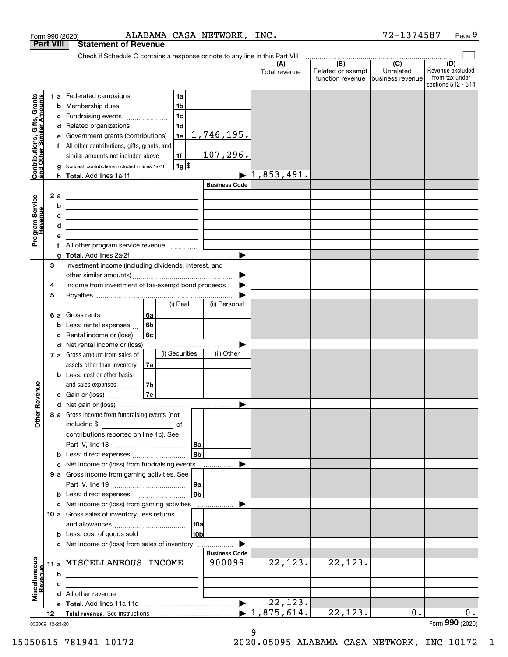|                                                           | Form 990 (2020)  |   |                                                                                                                                                                                      |    |                | ALABAMA CASA NETWORK, INC. |                                  |                                              | 72-1374587                                       | Page 9                                    |
|-----------------------------------------------------------|------------------|---|--------------------------------------------------------------------------------------------------------------------------------------------------------------------------------------|----|----------------|----------------------------|----------------------------------|----------------------------------------------|--------------------------------------------------|-------------------------------------------|
|                                                           | <b>Part VIII</b> |   | <b>Statement of Revenue</b>                                                                                                                                                          |    |                |                            |                                  |                                              |                                                  |                                           |
|                                                           |                  |   | Check if Schedule O contains a response or note to any line in this Part VIII                                                                                                        |    |                |                            |                                  |                                              |                                                  |                                           |
|                                                           |                  |   |                                                                                                                                                                                      |    |                |                            | (A)<br>Total revenue             | (B)<br>Related or exempt<br>function revenue | $\overline{C}$<br>Unrelated<br>Ibusiness revenue | (D)<br>Revenue excluded<br>from tax under |
|                                                           |                  |   |                                                                                                                                                                                      |    |                |                            |                                  |                                              |                                                  | sections 512 - 514                        |
| Contributions, Gifts, Grants<br>and Other Similar Amounts |                  |   | 1 a Federated campaigns                                                                                                                                                              |    | 1a             |                            |                                  |                                              |                                                  |                                           |
|                                                           |                  |   | <b>b</b> Membership dues                                                                                                                                                             |    | 1 <sub>b</sub> |                            |                                  |                                              |                                                  |                                           |
|                                                           |                  |   | c Fundraising events                                                                                                                                                                 |    | 1 <sub>c</sub> |                            |                                  |                                              |                                                  |                                           |
|                                                           |                  |   | d Related organizations                                                                                                                                                              |    | 1 <sub>d</sub> |                            |                                  |                                              |                                                  |                                           |
|                                                           |                  |   | e Government grants (contributions)                                                                                                                                                  |    | 1e             | 1,746,195.                 |                                  |                                              |                                                  |                                           |
|                                                           |                  |   | f All other contributions, gifts, grants, and                                                                                                                                        |    |                |                            |                                  |                                              |                                                  |                                           |
|                                                           |                  |   | similar amounts not included above                                                                                                                                                   |    | 1f             | 107,296.                   |                                  |                                              |                                                  |                                           |
|                                                           |                  |   | g Noncash contributions included in lines 1a-1f                                                                                                                                      |    | $1g$ \$        |                            | $\blacktriangleright$ 1,853,491. |                                              |                                                  |                                           |
|                                                           |                  |   |                                                                                                                                                                                      |    |                | <b>Business Code</b>       |                                  |                                              |                                                  |                                           |
|                                                           | 2 a              |   |                                                                                                                                                                                      |    |                |                            |                                  |                                              |                                                  |                                           |
| Program Service<br>Revenue                                |                  | b | <u> 1989 - Johann Barbara, martxa alemaniar arg</u>                                                                                                                                  |    |                |                            |                                  |                                              |                                                  |                                           |
|                                                           |                  | с | <u> 1989 - Johann Stein, mars an deutscher Stein († 1989)</u><br><u> 1980 - Jan Sterling, mars and de la politica de la politica de la politica de la politica de la politica de</u> |    |                |                            |                                  |                                              |                                                  |                                           |
|                                                           |                  | d | the control of the control of the control of the control of the control of the control of                                                                                            |    |                |                            |                                  |                                              |                                                  |                                           |
|                                                           |                  | е |                                                                                                                                                                                      |    |                |                            |                                  |                                              |                                                  |                                           |
|                                                           |                  | f |                                                                                                                                                                                      |    |                |                            |                                  |                                              |                                                  |                                           |
|                                                           |                  | a |                                                                                                                                                                                      |    |                |                            |                                  |                                              |                                                  |                                           |
|                                                           | 3                |   | Investment income (including dividends, interest, and                                                                                                                                |    |                |                            |                                  |                                              |                                                  |                                           |
|                                                           |                  |   |                                                                                                                                                                                      |    |                |                            |                                  |                                              |                                                  |                                           |
|                                                           | 4                |   | Income from investment of tax-exempt bond proceeds                                                                                                                                   |    |                |                            |                                  |                                              |                                                  |                                           |
|                                                           | 5                |   |                                                                                                                                                                                      |    |                |                            |                                  |                                              |                                                  |                                           |
|                                                           |                  |   |                                                                                                                                                                                      |    | (i) Real       | (ii) Personal              |                                  |                                              |                                                  |                                           |
|                                                           |                  |   | 6 a Gross rents                                                                                                                                                                      | 6a |                |                            |                                  |                                              |                                                  |                                           |
|                                                           |                  |   | <b>b</b> Less: rental expenses                                                                                                                                                       | 6b |                |                            |                                  |                                              |                                                  |                                           |
|                                                           |                  | c | Rental income or (loss)                                                                                                                                                              | 6c |                |                            |                                  |                                              |                                                  |                                           |
|                                                           |                  |   | <b>d</b> Net rental income or (loss)                                                                                                                                                 |    |                |                            |                                  |                                              |                                                  |                                           |
|                                                           |                  |   | <b>7 a</b> Gross amount from sales of                                                                                                                                                |    | (i) Securities | (ii) Other                 |                                  |                                              |                                                  |                                           |
|                                                           |                  |   | assets other than inventory                                                                                                                                                          | 7a |                |                            |                                  |                                              |                                                  |                                           |
|                                                           |                  |   | <b>b</b> Less: cost or other basis                                                                                                                                                   |    |                |                            |                                  |                                              |                                                  |                                           |
| venue                                                     |                  |   | and sales expenses                                                                                                                                                                   | 7b |                |                            |                                  |                                              |                                                  |                                           |
|                                                           |                  |   | <b>c</b> Gain or (loss) $\ldots$                                                                                                                                                     | 7c |                |                            |                                  |                                              |                                                  |                                           |
|                                                           |                  |   |                                                                                                                                                                                      |    |                |                            |                                  |                                              |                                                  |                                           |
| Other Re                                                  |                  |   | 8 a Gross income from fundraising events (not                                                                                                                                        |    |                |                            |                                  |                                              |                                                  |                                           |
|                                                           |                  |   | including \$<br>and the control of the control of                                                                                                                                    |    |                |                            |                                  |                                              |                                                  |                                           |
|                                                           |                  |   | contributions reported on line 1c). See                                                                                                                                              |    |                |                            |                                  |                                              |                                                  |                                           |
|                                                           |                  |   |                                                                                                                                                                                      |    |                | 8a<br>∣8b∣                 |                                  |                                              |                                                  |                                           |
|                                                           |                  |   | c Net income or (loss) from fundraising events                                                                                                                                       |    |                |                            |                                  |                                              |                                                  |                                           |
|                                                           |                  |   | 9 a Gross income from gaming activities. See                                                                                                                                         |    |                |                            |                                  |                                              |                                                  |                                           |
|                                                           |                  |   |                                                                                                                                                                                      |    |                | 9a                         |                                  |                                              |                                                  |                                           |
|                                                           |                  |   | <b>b</b> Less: direct expenses <b>manually</b>                                                                                                                                       |    |                | 9b                         |                                  |                                              |                                                  |                                           |
|                                                           |                  |   | c Net income or (loss) from gaming activities                                                                                                                                        |    |                |                            |                                  |                                              |                                                  |                                           |
|                                                           |                  |   | 10 a Gross sales of inventory, less returns                                                                                                                                          |    |                |                            |                                  |                                              |                                                  |                                           |
|                                                           |                  |   |                                                                                                                                                                                      |    |                | 10a                        |                                  |                                              |                                                  |                                           |
|                                                           |                  |   |                                                                                                                                                                                      |    |                | 10 <sub>b</sub>            |                                  |                                              |                                                  |                                           |
|                                                           |                  |   | c Net income or (loss) from sales of inventory                                                                                                                                       |    |                |                            |                                  |                                              |                                                  |                                           |
|                                                           |                  |   |                                                                                                                                                                                      |    |                | <b>Business Code</b>       |                                  |                                              |                                                  |                                           |
| Miscellaneous<br>Revenue                                  |                  |   | 11 a MISCELLANEOUS INCOME                                                                                                                                                            |    |                | 900099                     | 22, 123.                         | 22, 123.                                     |                                                  |                                           |
|                                                           |                  | b |                                                                                                                                                                                      |    |                |                            |                                  |                                              |                                                  |                                           |
|                                                           |                  | c |                                                                                                                                                                                      |    |                |                            |                                  |                                              |                                                  |                                           |
|                                                           |                  |   |                                                                                                                                                                                      |    |                |                            |                                  |                                              |                                                  |                                           |
|                                                           |                  |   |                                                                                                                                                                                      |    |                |                            | 22, 123.                         |                                              |                                                  |                                           |
|                                                           | 12               |   |                                                                                                                                                                                      |    |                |                            | $\blacktriangleright$ 1,875,614. | 22, 123.                                     | 0.                                               | 0.                                        |
|                                                           | 032009 12-23-20  |   |                                                                                                                                                                                      |    |                |                            |                                  |                                              |                                                  | Form 990 (2020)                           |
|                                                           |                  |   |                                                                                                                                                                                      |    |                |                            | 9                                |                                              |                                                  |                                           |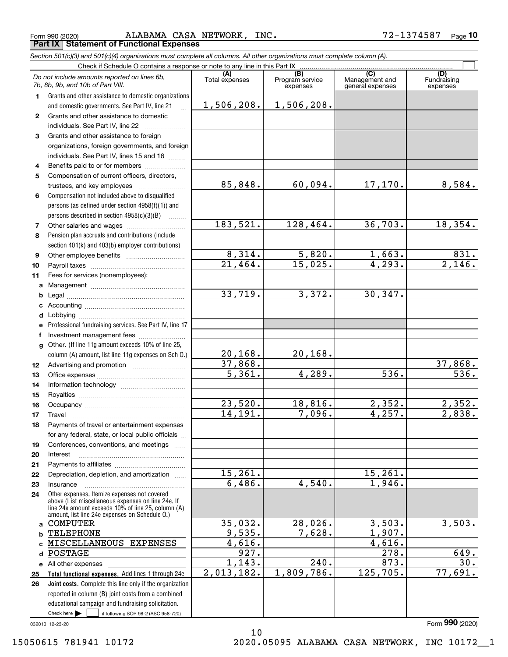Form 990 (2020) ALABAMA CASA NETWORK, INC. 7 $\,$ 2 $-1374587$   $\,$  Page **Part IX Statement of Functional Expenses**

 $60,094.$  17,170. 8,584.

128,464. 36,703. 18,354.

 $5,820.$  1,663. 831. 15,025. 4,293. 2,146.

4,289. 536. 536.

18,816. 2,352. 2,352.  $7,096.$  4,257. 2,838.

15,261.

28,026. 3,503. 3,503.

4,616.

1,809,786. 125,705. 77,691.

240. 873. 30.

4,540. 1,946.

7,628. 1,907.

3,372. 30,347.

20,168.

Fundraising expenses

 $\mathcal{L}^{\text{max}}$ 

**(A)**<br>Total expenses **(C)** (C) (C)<br>
penses Program service Management and Fundrai<br>
expenses general expenses expen **123***Section 501(c)(3) and 501(c)(4) organizations must complete all columns. All other organizations must complete column (A).* Grants and other assistance to domestic organizations and domestic governments. See Part IV, line 21 Check if Schedule O contains a response or note to any line in this Part IX (C) (C) (C) (C) (C) (C) Program service expensesGrants and other assistance to domestic individuals. See Part IV, line 22 Grants and other assistance to foreign organizations, foreign governments, and foreign *Do not include amounts reported on lines 6b, 7b, 8b, 9b, and 10b of Part VIII.* 1,506,208. 1,506,208.

85,848.

183,521.

8,314. 21,464.

33,719.

20,168. <mark>37,868.</mark> 5,361.

23,520. 14,191.

15,261. 6,486.

35,032. 9,535. 4,616. 927. 1,143. 2,013,182.

10

**45**individuals. See Part IV, lines 15 and 16  $\ldots$ Benefits paid to or for members ..................... Compensation of current officers, directors, trustees, and key employees  $\ldots$   $\ldots$   $\ldots$   $\ldots$   $\ldots$   $\ldots$ 

**6**Compensation not included above to disqualified persons (as defined under section 4958(f)(1)) and persons described in section 4958(c)(3)(B)  $\quad \ldots \ldots \ldots$ 

**78**Pension plan accruals and contributions (include section 401(k) and 403(b) employer contributions) Other salaries and wages ~~~~~~~~~~

**910**Other employee benefits ~~~~~~~~~~ Payroll taxes ~~~~~~~~~~~~~~~~

**11ab**Fees for services (nonemployees): Management ~~~~~~~~~~~~~~~~ Legal ~~~~~~~~~~~~~~~~~~~~

**cdefg121314**Professional fundraising services. See Part IV, line 17 Other. (If line 11g amount exceeds 10% of line 25, column (A) amount, list line 11g expenses on Sch O.) Accounting ~~~~~~~~~~~~~~~~~ Lobbying ~~~~~~~~~~~~~~~~~~ lnvestment management fees ....................... Advertising and promotion www.communication Office expenses ~~~~~~~~~~~~~~~ Information technology ~~~~~~~~~~~

**16171819202122**Royalties ~~~~~~~~~~~~~~~~~~ Occupancy ~~~~~~~~~~~~~~~~~ Travel ……………………………………………… Payments of travel or entertainment expenses for any federal, state, or local public officials ... Conferences, conventions, and meetings InterestPayments to affiliates ~~~~~~~~~~~~

**2324a**Other expenses. Itemize expenses not covered above (List miscellaneous expenses on line 24e. If line 24e amount exceeds 10% of line 25, column (A) amount, list line 24e expenses on Schedule O.) Insurance~~~~~~~~~~~~~~~~~COMPUTER

Depreciation, depletion, and amortization  $\,\,\ldots\,\,$ 

**Total functional expenses.**  Add lines 1 through 24e **bc**MISCELLANEOUS EXPENSES **d**POSTAGE **e** All other expenses **25**TELEPHONE

Check here  $\bullet$  if following SOP 98-2 (ASC 958-720) **Joint costs.** Complete this line only if the organization **26**reported in column (B) joint costs from a combined educational campaign and fundraising solicitation. Check here  $\blacktriangleright$ 

032010 12-23-20

**15**

Form (2020) **990**

278. 649.

37,868.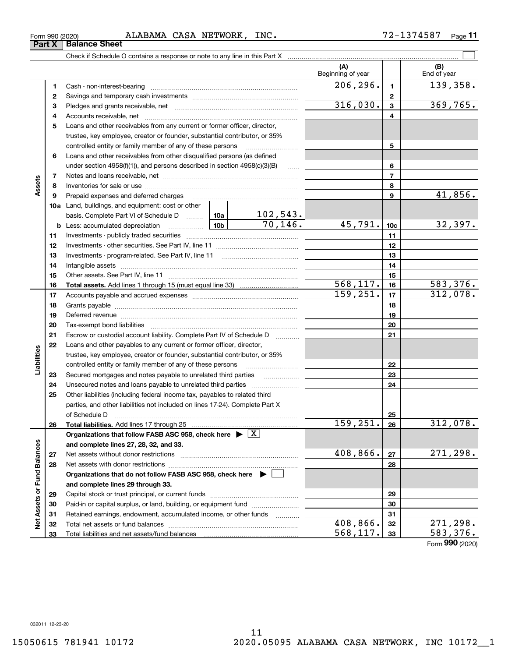**Part X Balance Sheet**

| Form 990 (2020) |  | ALABAMA | CASA | <b>NETWORK</b> | INC. | , 7 1 C 0 7<br>$\sqrt{ }$<br>- 20<br>-<br>$\epsilon$ | Page |  |
|-----------------|--|---------|------|----------------|------|------------------------------------------------------|------|--|
|-----------------|--|---------|------|----------------|------|------------------------------------------------------|------|--|

|                             |    | Check if Schedule O contains a response or note to any line in this Part X                                                                                                                                                     |           |                        |                          |                 |                    |
|-----------------------------|----|--------------------------------------------------------------------------------------------------------------------------------------------------------------------------------------------------------------------------------|-----------|------------------------|--------------------------|-----------------|--------------------|
|                             |    |                                                                                                                                                                                                                                |           |                        | (A)<br>Beginning of year |                 | (B)<br>End of year |
|                             | 1  |                                                                                                                                                                                                                                |           |                        | 206, 296.                | $\mathbf{1}$    | 139,358.           |
|                             | 2  |                                                                                                                                                                                                                                |           |                        |                          | $\mathbf{2}$    |                    |
|                             | з  |                                                                                                                                                                                                                                |           |                        | 316,030.                 | $\mathbf{3}$    | 369,765.           |
|                             | 4  |                                                                                                                                                                                                                                |           |                        |                          | 4               |                    |
|                             | 5  | Loans and other receivables from any current or former officer, director,                                                                                                                                                      |           |                        |                          |                 |                    |
|                             |    | trustee, key employee, creator or founder, substantial contributor, or 35%                                                                                                                                                     |           |                        |                          |                 |                    |
|                             |    | controlled entity or family member of any of these persons                                                                                                                                                                     |           |                        |                          | 5               |                    |
|                             | 6  | Loans and other receivables from other disqualified persons (as defined                                                                                                                                                        |           |                        |                          |                 |                    |
|                             |    | under section $4958(f)(1)$ , and persons described in section $4958(c)(3)(B)$                                                                                                                                                  |           | 6                      |                          |                 |                    |
|                             | 7  |                                                                                                                                                                                                                                |           |                        |                          | $\overline{7}$  |                    |
| Assets                      | 8  |                                                                                                                                                                                                                                |           |                        |                          | 8               |                    |
|                             | 9  | Prepaid expenses and deferred charges                                                                                                                                                                                          |           |                        |                          | 9               | 41,856.            |
|                             |    | 10a Land, buildings, and equipment: cost or other                                                                                                                                                                              |           |                        |                          |                 |                    |
|                             |    | basis. Complete Part VI of Schedule D  10a                                                                                                                                                                                     |           | <u>102,543.</u>        |                          |                 |                    |
|                             |    | $\begin{array}{ c c c c }\n\hline\n\hline\n\hline\n\end{array}$ $\begin{array}{ c c c c }\n\hline\n\end{array}$ $\begin{array}{ c c c }\n\hline\n\end{array}$<br><b>b</b> Less: accumulated depreciation                       |           | 70, 146.               | 45,791.                  | 10 <sub>c</sub> | 32,397.            |
|                             | 11 |                                                                                                                                                                                                                                |           | 11                     |                          |                 |                    |
|                             | 12 |                                                                                                                                                                                                                                |           |                        | 12                       |                 |                    |
|                             | 13 |                                                                                                                                                                                                                                |           | 13                     |                          |                 |                    |
|                             | 14 |                                                                                                                                                                                                                                |           |                        | 14                       |                 |                    |
|                             | 15 |                                                                                                                                                                                                                                |           | 15                     |                          |                 |                    |
|                             | 16 |                                                                                                                                                                                                                                |           | $\overline{568,117}$ . | 16                       | 583, 376.       |                    |
|                             | 17 |                                                                                                                                                                                                                                | 159, 251. | 17                     | 312,078.                 |                 |                    |
|                             | 18 |                                                                                                                                                                                                                                |           | 18                     |                          |                 |                    |
|                             | 19 | Deferred revenue manual contracts and contracts are all the contracts and contracts are contracted and contracts are contracted and contract are contracted and contract are contracted and contract are contracted and contra |           |                        | 19                       |                 |                    |
|                             | 20 |                                                                                                                                                                                                                                |           |                        |                          | 20              |                    |
|                             | 21 | Escrow or custodial account liability. Complete Part IV of Schedule D                                                                                                                                                          |           |                        |                          | 21              |                    |
|                             | 22 | Loans and other payables to any current or former officer, director,                                                                                                                                                           |           |                        |                          |                 |                    |
| Liabilities                 |    | trustee, key employee, creator or founder, substantial contributor, or 35%                                                                                                                                                     |           |                        |                          |                 |                    |
|                             |    | controlled entity or family member of any of these persons                                                                                                                                                                     |           |                        |                          | 22              |                    |
|                             | 23 | Secured mortgages and notes payable to unrelated third parties                                                                                                                                                                 |           |                        |                          | 23              |                    |
|                             | 24 |                                                                                                                                                                                                                                |           |                        |                          | 24              |                    |
|                             | 25 | Other liabilities (including federal income tax, payables to related third                                                                                                                                                     |           |                        |                          |                 |                    |
|                             |    | parties, and other liabilities not included on lines 17-24). Complete Part X                                                                                                                                                   |           |                        |                          |                 |                    |
|                             |    | of Schedule D                                                                                                                                                                                                                  |           |                        |                          | 25              |                    |
|                             | 26 |                                                                                                                                                                                                                                |           |                        | 159, 251.                | 26              | 312,078.           |
|                             |    | Organizations that follow FASB ASC 958, check here $\triangleright \lfloor X \rfloor$                                                                                                                                          |           |                        |                          |                 |                    |
|                             |    | and complete lines 27, 28, 32, and 33.                                                                                                                                                                                         |           |                        |                          |                 |                    |
|                             | 27 |                                                                                                                                                                                                                                |           |                        | 408,866.                 | 27              | 271,298.           |
|                             | 28 |                                                                                                                                                                                                                                |           |                        |                          | 28              |                    |
|                             |    | Organizations that do not follow FASB ASC 958, check here $\blacktriangleright$                                                                                                                                                |           |                        |                          |                 |                    |
|                             |    | and complete lines 29 through 33.                                                                                                                                                                                              |           |                        |                          |                 |                    |
|                             | 29 |                                                                                                                                                                                                                                |           |                        |                          | 29              |                    |
|                             | 30 | Paid-in or capital surplus, or land, building, or equipment fund                                                                                                                                                               |           |                        |                          | 30              |                    |
| Net Assets or Fund Balances | 31 | Retained earnings, endowment, accumulated income, or other funds                                                                                                                                                               |           |                        |                          | 31              |                    |
|                             | 32 |                                                                                                                                                                                                                                |           |                        | 408,866.                 | 32              | 271,298.           |
|                             | 33 |                                                                                                                                                                                                                                |           |                        | 568, 117.                | 33              | 583,376.           |

Form (2020) **990**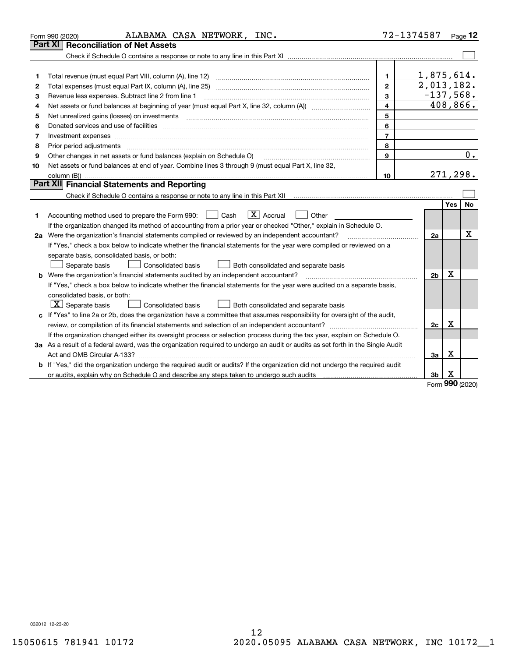|                                           | ALABAMA CASA NETWORK, INC.<br>Form 990 (2020)                                                                                                                                                                                                                                                                                                                                                                                         | 72-1374587                                                                               |                                                      |            | Page $12$      |
|-------------------------------------------|---------------------------------------------------------------------------------------------------------------------------------------------------------------------------------------------------------------------------------------------------------------------------------------------------------------------------------------------------------------------------------------------------------------------------------------|------------------------------------------------------------------------------------------|------------------------------------------------------|------------|----------------|
|                                           | Part XI   Reconciliation of Net Assets                                                                                                                                                                                                                                                                                                                                                                                                |                                                                                          |                                                      |            |                |
|                                           |                                                                                                                                                                                                                                                                                                                                                                                                                                       |                                                                                          |                                                      |            |                |
| 1<br>2<br>3<br>4<br>5<br>6<br>7<br>8<br>9 | Total revenue (must equal Part VIII, column (A), line 12)<br>Revenue less expenses. Subtract line 2 from line 1<br>Net assets or fund balances at beginning of year (must equal Part X, line 32, column (A))<br>Net unrealized gains (losses) on investments<br>Investment expenses www.communication.com/www.communication.com/www.communication.com/www.com<br>Other changes in net assets or fund balances (explain on Schedule O) | 1.<br>$\mathbf{2}$<br>3<br>$\overline{\mathbf{4}}$<br>5<br>6<br>$\overline{7}$<br>8<br>9 | 1,875,614.<br>$\overline{2,013,182.}$<br>$-137,568.$ |            | 408,866.<br>0. |
| 10                                        | Net assets or fund balances at end of year. Combine lines 3 through 9 (must equal Part X, line 32,                                                                                                                                                                                                                                                                                                                                    |                                                                                          |                                                      |            |                |
|                                           |                                                                                                                                                                                                                                                                                                                                                                                                                                       | 10                                                                                       |                                                      |            | 271,298.       |
|                                           | Part XII Financial Statements and Reporting                                                                                                                                                                                                                                                                                                                                                                                           |                                                                                          |                                                      |            |                |
|                                           |                                                                                                                                                                                                                                                                                                                                                                                                                                       |                                                                                          |                                                      | <b>Yes</b> | No             |
| 1                                         | $\boxed{\mathbf{X}}$ Accrual<br>Accounting method used to prepare the Form 990: <u>[</u> Cash<br>Other<br>If the organization changed its method of accounting from a prior year or checked "Other," explain in Schedule O.                                                                                                                                                                                                           |                                                                                          |                                                      |            |                |
|                                           | 2a Were the organization's financial statements compiled or reviewed by an independent accountant?<br>If "Yes," check a box below to indicate whether the financial statements for the year were compiled or reviewed on a<br>separate basis, consolidated basis, or both:<br>Separate basis<br><b>Consolidated basis</b><br>Both consolidated and separate basis                                                                     |                                                                                          | 2a                                                   |            | х              |
|                                           | <b>b</b> Were the organization's financial statements audited by an independent accountant?                                                                                                                                                                                                                                                                                                                                           |                                                                                          | 2 <sub>b</sub>                                       | Х          |                |
|                                           | If "Yes," check a box below to indicate whether the financial statements for the year were audited on a separate basis,<br>consolidated basis, or both:<br>$X$ Separate basis<br>Consolidated basis<br>Both consolidated and separate basis                                                                                                                                                                                           |                                                                                          |                                                      |            |                |
|                                           | c If "Yes" to line 2a or 2b, does the organization have a committee that assumes responsibility for oversight of the audit,                                                                                                                                                                                                                                                                                                           |                                                                                          | 2c                                                   | х          |                |
|                                           | If the organization changed either its oversight process or selection process during the tax year, explain on Schedule O.                                                                                                                                                                                                                                                                                                             |                                                                                          |                                                      |            |                |
|                                           | 3a As a result of a federal award, was the organization required to undergo an audit or audits as set forth in the Single Audit                                                                                                                                                                                                                                                                                                       |                                                                                          |                                                      |            |                |
|                                           |                                                                                                                                                                                                                                                                                                                                                                                                                                       |                                                                                          | 3a                                                   | Х          |                |
|                                           | b If "Yes," did the organization undergo the required audit or audits? If the organization did not undergo the required audit<br>or audits, explain why on Schedule O and describe any steps taken to undergo such audits [11] content to under                                                                                                                                                                                       |                                                                                          | 3b                                                   | х          |                |

Form (2020) **990**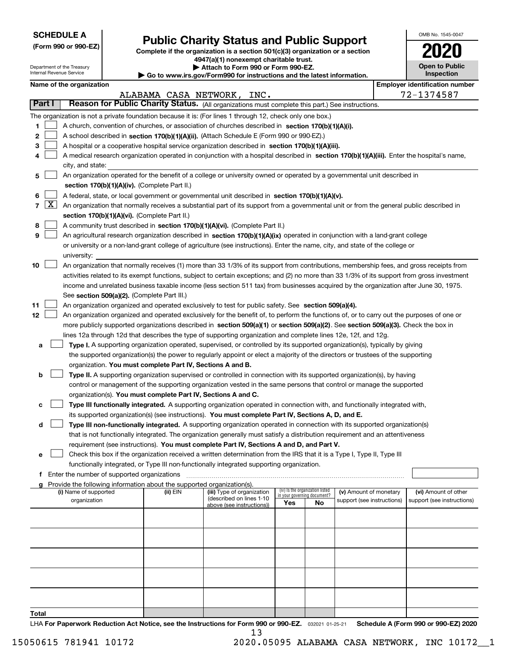| <b>SCHEDULE A</b> |
|-------------------|
|-------------------|

Department of the Treasury Internal Revenue Service

**(Form 990 or 990-EZ)**

# **Public Charity Status and Public Support**

**Complete if the organization is a section 501(c)(3) organization or a section 4947(a)(1) nonexempt charitable trust.**

| Attach to Form 990 or Form 990-EZ. |
|------------------------------------|
|                                    |

**| Go to www.irs.gov/Form990 for instructions and the latest information.**

| OMB No. 1545-0047                     |
|---------------------------------------|
| 2020                                  |
| <b>Open to Public</b><br>Inspection   |
| <b>Employer identification number</b> |

|  | Name of the organization |
|--|--------------------------|
|--|--------------------------|

|                |                     |                                                                                                                                                                                                                                                                |          | ALABAMA CASA NETWORK, INC.                             |                             |                                 |                                                      | 72-1374587                                         |
|----------------|---------------------|----------------------------------------------------------------------------------------------------------------------------------------------------------------------------------------------------------------------------------------------------------------|----------|--------------------------------------------------------|-----------------------------|---------------------------------|------------------------------------------------------|----------------------------------------------------|
|                | <b>Part I</b>       | Reason for Public Charity Status. (All organizations must complete this part.) See instructions.                                                                                                                                                               |          |                                                        |                             |                                 |                                                      |                                                    |
|                |                     | The organization is not a private foundation because it is: (For lines 1 through 12, check only one box.)                                                                                                                                                      |          |                                                        |                             |                                 |                                                      |                                                    |
| 1.             |                     | A church, convention of churches, or association of churches described in section 170(b)(1)(A)(i).                                                                                                                                                             |          |                                                        |                             |                                 |                                                      |                                                    |
| $\mathbf{2}$   |                     | A school described in section 170(b)(1)(A)(ii). (Attach Schedule E (Form 990 or 990-EZ).)                                                                                                                                                                      |          |                                                        |                             |                                 |                                                      |                                                    |
| 3              |                     | A hospital or a cooperative hospital service organization described in section 170(b)(1)(A)(iii).                                                                                                                                                              |          |                                                        |                             |                                 |                                                      |                                                    |
| 4              |                     | A medical research organization operated in conjunction with a hospital described in section 170(b)(1)(A)(iii). Enter the hospital's name,                                                                                                                     |          |                                                        |                             |                                 |                                                      |                                                    |
|                |                     | city, and state:                                                                                                                                                                                                                                               |          |                                                        |                             |                                 |                                                      |                                                    |
| 5              |                     | An organization operated for the benefit of a college or university owned or operated by a governmental unit described in                                                                                                                                      |          |                                                        |                             |                                 |                                                      |                                                    |
|                |                     | section 170(b)(1)(A)(iv). (Complete Part II.)                                                                                                                                                                                                                  |          |                                                        |                             |                                 |                                                      |                                                    |
| 6              |                     | A federal, state, or local government or governmental unit described in section 170(b)(1)(A)(v).                                                                                                                                                               |          |                                                        |                             |                                 |                                                      |                                                    |
| $\overline{7}$ | $\lfloor x \rfloor$ | An organization that normally receives a substantial part of its support from a governmental unit or from the general public described in                                                                                                                      |          |                                                        |                             |                                 |                                                      |                                                    |
|                |                     | section 170(b)(1)(A)(vi). (Complete Part II.)                                                                                                                                                                                                                  |          |                                                        |                             |                                 |                                                      |                                                    |
| 8              |                     | A community trust described in section 170(b)(1)(A)(vi). (Complete Part II.)                                                                                                                                                                                   |          |                                                        |                             |                                 |                                                      |                                                    |
| 9              |                     | An agricultural research organization described in section 170(b)(1)(A)(ix) operated in conjunction with a land-grant college                                                                                                                                  |          |                                                        |                             |                                 |                                                      |                                                    |
|                |                     | or university or a non-land-grant college of agriculture (see instructions). Enter the name, city, and state of the college or                                                                                                                                 |          |                                                        |                             |                                 |                                                      |                                                    |
|                |                     | university:                                                                                                                                                                                                                                                    |          |                                                        |                             |                                 |                                                      |                                                    |
| 10             |                     | An organization that normally receives (1) more than 33 1/3% of its support from contributions, membership fees, and gross receipts from                                                                                                                       |          |                                                        |                             |                                 |                                                      |                                                    |
|                |                     | activities related to its exempt functions, subject to certain exceptions; and (2) no more than 33 1/3% of its support from gross investment                                                                                                                   |          |                                                        |                             |                                 |                                                      |                                                    |
|                |                     | income and unrelated business taxable income (less section 511 tax) from businesses acquired by the organization after June 30, 1975.                                                                                                                          |          |                                                        |                             |                                 |                                                      |                                                    |
|                |                     | See section 509(a)(2). (Complete Part III.)                                                                                                                                                                                                                    |          |                                                        |                             |                                 |                                                      |                                                    |
| 11             |                     | An organization organized and operated exclusively to test for public safety. See section 509(a)(4).                                                                                                                                                           |          |                                                        |                             |                                 |                                                      |                                                    |
| 12             |                     | An organization organized and operated exclusively for the benefit of, to perform the functions of, or to carry out the purposes of one or                                                                                                                     |          |                                                        |                             |                                 |                                                      |                                                    |
|                |                     | more publicly supported organizations described in section 509(a)(1) or section 509(a)(2). See section 509(a)(3). Check the box in                                                                                                                             |          |                                                        |                             |                                 |                                                      |                                                    |
|                |                     | lines 12a through 12d that describes the type of supporting organization and complete lines 12e, 12f, and 12g.                                                                                                                                                 |          |                                                        |                             |                                 |                                                      |                                                    |
| а              |                     | Type I. A supporting organization operated, supervised, or controlled by its supported organization(s), typically by giving<br>the supported organization(s) the power to regularly appoint or elect a majority of the directors or trustees of the supporting |          |                                                        |                             |                                 |                                                      |                                                    |
|                |                     | organization. You must complete Part IV, Sections A and B.                                                                                                                                                                                                     |          |                                                        |                             |                                 |                                                      |                                                    |
| b              |                     | Type II. A supporting organization supervised or controlled in connection with its supported organization(s), by having                                                                                                                                        |          |                                                        |                             |                                 |                                                      |                                                    |
|                |                     | control or management of the supporting organization vested in the same persons that control or manage the supported                                                                                                                                           |          |                                                        |                             |                                 |                                                      |                                                    |
|                |                     | organization(s). You must complete Part IV, Sections A and C.                                                                                                                                                                                                  |          |                                                        |                             |                                 |                                                      |                                                    |
| с              |                     | Type III functionally integrated. A supporting organization operated in connection with, and functionally integrated with,                                                                                                                                     |          |                                                        |                             |                                 |                                                      |                                                    |
|                |                     | its supported organization(s) (see instructions). You must complete Part IV, Sections A, D, and E.                                                                                                                                                             |          |                                                        |                             |                                 |                                                      |                                                    |
| d              |                     | Type III non-functionally integrated. A supporting organization operated in connection with its supported organization(s)                                                                                                                                      |          |                                                        |                             |                                 |                                                      |                                                    |
|                |                     | that is not functionally integrated. The organization generally must satisfy a distribution requirement and an attentiveness                                                                                                                                   |          |                                                        |                             |                                 |                                                      |                                                    |
|                |                     | requirement (see instructions). You must complete Part IV, Sections A and D, and Part V.                                                                                                                                                                       |          |                                                        |                             |                                 |                                                      |                                                    |
| е              |                     | Check this box if the organization received a written determination from the IRS that it is a Type I, Type II, Type III                                                                                                                                        |          |                                                        |                             |                                 |                                                      |                                                    |
|                |                     | functionally integrated, or Type III non-functionally integrated supporting organization.                                                                                                                                                                      |          |                                                        |                             |                                 |                                                      |                                                    |
|                |                     | Enter the number of supported organizations                                                                                                                                                                                                                    |          |                                                        |                             |                                 |                                                      |                                                    |
| g              |                     | Provide the following information about the supported organization(s).                                                                                                                                                                                         |          |                                                        |                             | (iv) Is the organization listed |                                                      |                                                    |
|                |                     | (i) Name of supported<br>organization                                                                                                                                                                                                                          | (ii) EIN | (iii) Type of organization<br>(described on lines 1-10 | in your governing document? |                                 | (v) Amount of monetary<br>support (see instructions) | (vi) Amount of other<br>support (see instructions) |
|                |                     |                                                                                                                                                                                                                                                                |          | above (see instructions))                              | Yes                         | No                              |                                                      |                                                    |
|                |                     |                                                                                                                                                                                                                                                                |          |                                                        |                             |                                 |                                                      |                                                    |
|                |                     |                                                                                                                                                                                                                                                                |          |                                                        |                             |                                 |                                                      |                                                    |
|                |                     |                                                                                                                                                                                                                                                                |          |                                                        |                             |                                 |                                                      |                                                    |
|                |                     |                                                                                                                                                                                                                                                                |          |                                                        |                             |                                 |                                                      |                                                    |
|                |                     |                                                                                                                                                                                                                                                                |          |                                                        |                             |                                 |                                                      |                                                    |
|                |                     |                                                                                                                                                                                                                                                                |          |                                                        |                             |                                 |                                                      |                                                    |
|                |                     |                                                                                                                                                                                                                                                                |          |                                                        |                             |                                 |                                                      |                                                    |
|                |                     |                                                                                                                                                                                                                                                                |          |                                                        |                             |                                 |                                                      |                                                    |
|                |                     |                                                                                                                                                                                                                                                                |          |                                                        |                             |                                 |                                                      |                                                    |
| Total          |                     |                                                                                                                                                                                                                                                                |          |                                                        |                             |                                 |                                                      |                                                    |

LHA For Paperwork Reduction Act Notice, see the Instructions for Form 990 or 990-EZ. <sub>032021</sub> o1-25-21 Schedule A (Form 990 or 990-EZ) 2020 13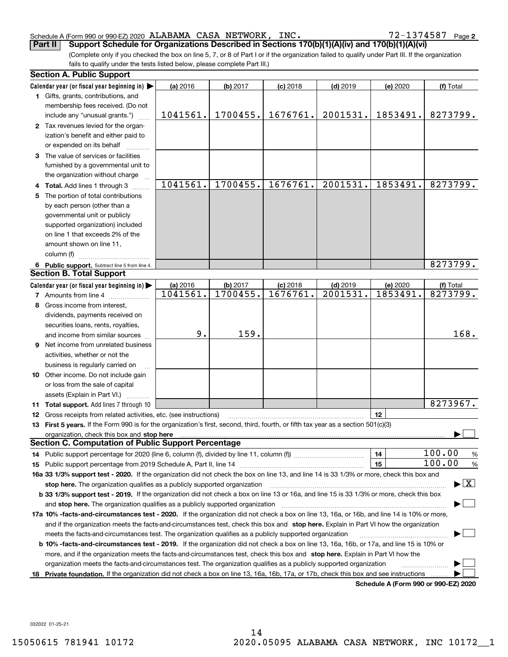## Schedule A (Form 990 or 990-EZ) 2020 Page ALABAMA CASA NETWORK, INC. 72-1374587

72-1374587 Page 2

(Complete only if you checked the box on line 5, 7, or 8 of Part I or if the organization failed to qualify under Part III. If the organization fails to qualify under the tests listed below, please complete Part III.) **Part II Support Schedule for Organizations Described in Sections 170(b)(1)(A)(iv) and 170(b)(1)(A)(vi)**

|    | <b>Section A. Public Support</b>                                                                                                               |          |          |            |            |                                      |                                          |
|----|------------------------------------------------------------------------------------------------------------------------------------------------|----------|----------|------------|------------|--------------------------------------|------------------------------------------|
|    | Calendar year (or fiscal year beginning in) $\blacktriangleright$                                                                              | (a) 2016 | (b) 2017 | $(c)$ 2018 | $(d)$ 2019 | (e) 2020                             | (f) Total                                |
|    | <b>1</b> Gifts, grants, contributions, and                                                                                                     |          |          |            |            |                                      |                                          |
|    | membership fees received. (Do not                                                                                                              |          |          |            |            |                                      |                                          |
|    | include any "unusual grants.")                                                                                                                 | 1041561. | 1700455. | 1676761.   | 2001531.   | 1853491.                             | 8273799.                                 |
|    | 2 Tax revenues levied for the organ-                                                                                                           |          |          |            |            |                                      |                                          |
|    | ization's benefit and either paid to                                                                                                           |          |          |            |            |                                      |                                          |
|    | or expended on its behalf                                                                                                                      |          |          |            |            |                                      |                                          |
|    | 3 The value of services or facilities                                                                                                          |          |          |            |            |                                      |                                          |
|    | furnished by a governmental unit to                                                                                                            |          |          |            |            |                                      |                                          |
|    | the organization without charge                                                                                                                |          |          |            |            |                                      |                                          |
|    | 4 Total. Add lines 1 through 3                                                                                                                 | 1041561. | 1700455. | 1676761.   | 2001531.   | 1853491.                             | 8273799.                                 |
| 5. | The portion of total contributions                                                                                                             |          |          |            |            |                                      |                                          |
|    | by each person (other than a                                                                                                                   |          |          |            |            |                                      |                                          |
|    | governmental unit or publicly                                                                                                                  |          |          |            |            |                                      |                                          |
|    | supported organization) included                                                                                                               |          |          |            |            |                                      |                                          |
|    | on line 1 that exceeds 2% of the                                                                                                               |          |          |            |            |                                      |                                          |
|    | amount shown on line 11,                                                                                                                       |          |          |            |            |                                      |                                          |
|    | column (f)                                                                                                                                     |          |          |            |            |                                      |                                          |
|    | 6 Public support. Subtract line 5 from line 4.                                                                                                 |          |          |            |            |                                      | 8273799.                                 |
|    | <b>Section B. Total Support</b>                                                                                                                |          |          |            |            |                                      |                                          |
|    | Calendar year (or fiscal year beginning in) $\blacktriangleright$                                                                              | (a) 2016 | (b) 2017 | $(c)$ 2018 | $(d)$ 2019 | (e) 2020                             | (f) Total                                |
|    | <b>7</b> Amounts from line 4                                                                                                                   | 1041561. | 1700455. | 1676761.   | 2001531.   | 1853491.                             | 8273799.                                 |
|    | 8 Gross income from interest,                                                                                                                  |          |          |            |            |                                      |                                          |
|    | dividends, payments received on                                                                                                                |          |          |            |            |                                      |                                          |
|    | securities loans, rents, royalties,                                                                                                            |          |          |            |            |                                      |                                          |
|    | and income from similar sources                                                                                                                | 9.       | 159.     |            |            |                                      | 168.                                     |
|    | <b>9</b> Net income from unrelated business                                                                                                    |          |          |            |            |                                      |                                          |
|    | activities, whether or not the                                                                                                                 |          |          |            |            |                                      |                                          |
|    | business is regularly carried on                                                                                                               |          |          |            |            |                                      |                                          |
|    | <b>10</b> Other income. Do not include gain                                                                                                    |          |          |            |            |                                      |                                          |
|    | or loss from the sale of capital                                                                                                               |          |          |            |            |                                      |                                          |
|    | assets (Explain in Part VI.)                                                                                                                   |          |          |            |            |                                      |                                          |
|    | <b>11 Total support.</b> Add lines 7 through 10                                                                                                |          |          |            |            |                                      | 8273967.                                 |
|    | <b>12</b> Gross receipts from related activities, etc. (see instructions)                                                                      |          |          |            |            | 12                                   |                                          |
|    | 13 First 5 years. If the Form 990 is for the organization's first, second, third, fourth, or fifth tax year as a section 501(c)(3)             |          |          |            |            |                                      |                                          |
|    | organization, check this box and stop here matured and contained and contained and contained and stop here in                                  |          |          |            |            |                                      |                                          |
|    | <b>Section C. Computation of Public Support Percentage</b>                                                                                     |          |          |            |            |                                      |                                          |
|    |                                                                                                                                                |          |          |            |            | 14                                   | 100.00<br>%                              |
|    |                                                                                                                                                |          |          |            |            | 15                                   | 100.00<br>$\%$                           |
|    | 16a 33 1/3% support test - 2020. If the organization did not check the box on line 13, and line 14 is 33 1/3% or more, check this box and      |          |          |            |            |                                      |                                          |
|    | stop here. The organization qualifies as a publicly supported organization                                                                     |          |          |            |            |                                      | $\blacktriangleright$ $\boxed{\text{X}}$ |
|    | b 33 1/3% support test - 2019. If the organization did not check a box on line 13 or 16a, and line 15 is 33 1/3% or more, check this box       |          |          |            |            |                                      |                                          |
|    | and stop here. The organization qualifies as a publicly supported organization                                                                 |          |          |            |            |                                      |                                          |
|    | 17a 10% -facts-and-circumstances test - 2020. If the organization did not check a box on line 13, 16a, or 16b, and line 14 is 10% or more,     |          |          |            |            |                                      |                                          |
|    | and if the organization meets the facts-and-circumstances test, check this box and stop here. Explain in Part VI how the organization          |          |          |            |            |                                      |                                          |
|    | meets the facts-and-circumstances test. The organization qualifies as a publicly supported organization                                        |          |          |            |            |                                      |                                          |
|    | <b>b 10% -facts-and-circumstances test - 2019.</b> If the organization did not check a box on line 13, 16a, 16b, or 17a, and line 15 is 10% or |          |          |            |            |                                      |                                          |
|    | more, and if the organization meets the facts-and-circumstances test, check this box and stop here. Explain in Part VI how the                 |          |          |            |            |                                      |                                          |
|    | organization meets the facts-and-circumstances test. The organization qualifies as a publicly supported organization                           |          |          |            |            |                                      |                                          |
| 18 | Private foundation. If the organization did not check a box on line 13, 16a, 16b, 17a, or 17b, check this box and see instructions             |          |          |            |            |                                      |                                          |
|    |                                                                                                                                                |          |          |            |            | Schedule A (Form 990 or 990-F7) 2020 |                                          |

**Schedule A (Form 990 or 990-EZ) 2020**

032022 01-25-21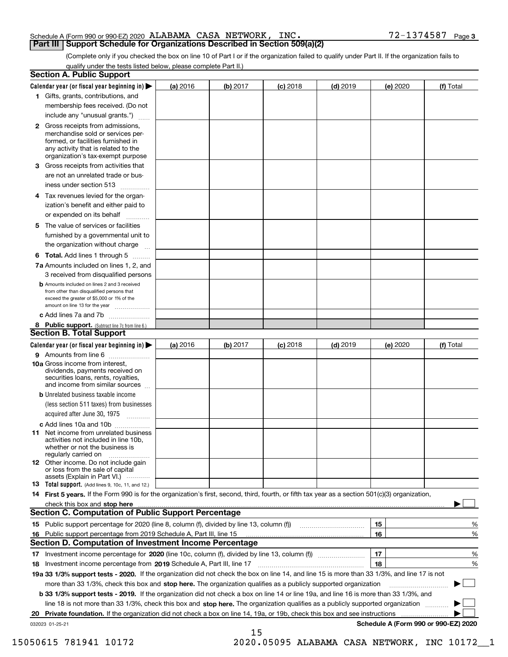## Schedule A (Form 990 or 990-EZ) 2020 Page ALABAMA CASA NETWORK, INC. 72-1374587 **Part III Support Schedule for Organizations Described in Section 509(a)(2)**

(Complete only if you checked the box on line 10 of Part I or if the organization failed to qualify under Part II. If the organization fails to qualify under the tests listed below, please complete Part II.)

|    | <b>Section A. Public Support</b>                                                                                                                                                                |            |          |            |            |          |                                      |
|----|-------------------------------------------------------------------------------------------------------------------------------------------------------------------------------------------------|------------|----------|------------|------------|----------|--------------------------------------|
|    | Calendar year (or fiscal year beginning in) $\blacktriangleright$                                                                                                                               | $(a)$ 2016 | (b) 2017 | $(c)$ 2018 | $(d)$ 2019 | (e) 2020 | (f) Total                            |
|    | 1 Gifts, grants, contributions, and                                                                                                                                                             |            |          |            |            |          |                                      |
|    | membership fees received. (Do not                                                                                                                                                               |            |          |            |            |          |                                      |
|    | include any "unusual grants.")                                                                                                                                                                  |            |          |            |            |          |                                      |
|    | <b>2</b> Gross receipts from admissions,<br>merchandise sold or services per-<br>formed, or facilities furnished in<br>any activity that is related to the<br>organization's tax-exempt purpose |            |          |            |            |          |                                      |
|    | 3 Gross receipts from activities that<br>are not an unrelated trade or bus-                                                                                                                     |            |          |            |            |          |                                      |
|    | iness under section 513                                                                                                                                                                         |            |          |            |            |          |                                      |
|    | 4 Tax revenues levied for the organ-<br>ization's benefit and either paid to                                                                                                                    |            |          |            |            |          |                                      |
|    | or expended on its behalf<br>.                                                                                                                                                                  |            |          |            |            |          |                                      |
|    | 5 The value of services or facilities<br>furnished by a governmental unit to                                                                                                                    |            |          |            |            |          |                                      |
|    | the organization without charge                                                                                                                                                                 |            |          |            |            |          |                                      |
|    | <b>6 Total.</b> Add lines 1 through 5                                                                                                                                                           |            |          |            |            |          |                                      |
|    | 7a Amounts included on lines 1, 2, and<br>3 received from disqualified persons                                                                                                                  |            |          |            |            |          |                                      |
|    | <b>b</b> Amounts included on lines 2 and 3 received<br>from other than disqualified persons that<br>exceed the greater of \$5,000 or 1% of the<br>amount on line 13 for the year                |            |          |            |            |          |                                      |
|    | c Add lines 7a and 7b                                                                                                                                                                           |            |          |            |            |          |                                      |
|    | 8 Public support. (Subtract line 7c from line 6.)<br><b>Section B. Total Support</b>                                                                                                            |            |          |            |            |          |                                      |
|    | Calendar year (or fiscal year beginning in)                                                                                                                                                     | (a) 2016   | (b) 2017 | $(c)$ 2018 | $(d)$ 2019 | (e) 2020 | (f) Total                            |
|    | 9 Amounts from line 6                                                                                                                                                                           |            |          |            |            |          |                                      |
|    | 10a Gross income from interest,<br>dividends, payments received on<br>securities loans, rents, royalties,<br>and income from similar sources                                                    |            |          |            |            |          |                                      |
|    | <b>b</b> Unrelated business taxable income                                                                                                                                                      |            |          |            |            |          |                                      |
|    | (less section 511 taxes) from businesses                                                                                                                                                        |            |          |            |            |          |                                      |
|    | acquired after June 30, 1975                                                                                                                                                                    |            |          |            |            |          |                                      |
|    | c Add lines 10a and 10b                                                                                                                                                                         |            |          |            |            |          |                                      |
|    | 11 Net income from unrelated business<br>activities not included in line 10b,<br>whether or not the business is<br>regularly carried on                                                         |            |          |            |            |          |                                      |
|    | <b>12</b> Other income. Do not include gain<br>or loss from the sale of capital<br>assets (Explain in Part VI.)                                                                                 |            |          |            |            |          |                                      |
|    | 13 Total support. (Add lines 9, 10c, 11, and 12.)                                                                                                                                               |            |          |            |            |          |                                      |
|    | 14 First 5 years. If the Form 990 is for the organization's first, second, third, fourth, or fifth tax year as a section 501(c)(3) organization,                                                |            |          |            |            |          |                                      |
|    | check this box and stop here measurements are constructed as the state of the state of the state of the state o<br><b>Section C. Computation of Public Support Percentage</b>                   |            |          |            |            |          |                                      |
|    |                                                                                                                                                                                                 |            |          |            |            | 15       | %                                    |
| 16 | Public support percentage from 2019 Schedule A, Part III, line 15<br><b>Section D. Computation of Investment Income Percentage</b>                                                              |            |          |            |            | 16       | %                                    |
|    | 17 Investment income percentage for 2020 (line 10c, column (f), divided by line 13, column (f))                                                                                                 |            |          |            |            | 17       | %                                    |
|    | 18 Investment income percentage from 2019 Schedule A, Part III, line 17                                                                                                                         |            |          |            |            | 18       | %                                    |
|    | 19a 33 1/3% support tests - 2020. If the organization did not check the box on line 14, and line 15 is more than 33 1/3%, and line 17 is not                                                    |            |          |            |            |          |                                      |
|    | more than 33 1/3%, check this box and stop here. The organization qualifies as a publicly supported organization                                                                                |            |          |            |            |          |                                      |
|    | b 33 1/3% support tests - 2019. If the organization did not check a box on line 14 or line 19a, and line 16 is more than 33 1/3%, and                                                           |            |          |            |            |          |                                      |
|    | line 18 is not more than 33 1/3%, check this box and stop here. The organization qualifies as a publicly supported organization                                                                 |            |          |            |            |          |                                      |
| 20 | Private foundation. If the organization did not check a box on line 14, 19a, or 19b, check this box and see instructions                                                                        |            |          |            |            |          | .                                    |
|    | 032023 01-25-21                                                                                                                                                                                 |            |          |            |            |          | Schedule A (Form 990 or 990-EZ) 2020 |
|    |                                                                                                                                                                                                 |            | 15       |            |            |          |                                      |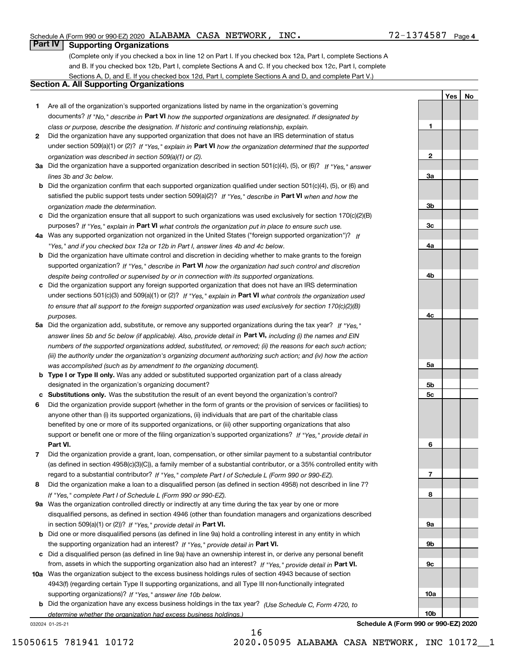**1**

**2**

**3a**

**3b**

**3c**

**4a**

**4b**

**4c**

**5a**

**5b5c**

**6**

**7**

**8**

**9a**

**9b**

**9c**

**10a**

**10b**

**YesNo**

# **Part IV Supporting Organizations**

(Complete only if you checked a box in line 12 on Part I. If you checked box 12a, Part I, complete Sections A and B. If you checked box 12b, Part I, complete Sections A and C. If you checked box 12c, Part I, complete Sections A, D, and E. If you checked box 12d, Part I, complete Sections A and D, and complete Part V.)

## **Section A. All Supporting Organizations**

- **1** Are all of the organization's supported organizations listed by name in the organization's governing documents? If "No," describe in **Part VI** how the supported organizations are designated. If designated by *class or purpose, describe the designation. If historic and continuing relationship, explain.*
- **2** Did the organization have any supported organization that does not have an IRS determination of status under section 509(a)(1) or (2)? If "Yes," explain in Part VI how the organization determined that the supported *organization was described in section 509(a)(1) or (2).*
- **3a** Did the organization have a supported organization described in section 501(c)(4), (5), or (6)? If "Yes," answer *lines 3b and 3c below.*
- **b** Did the organization confirm that each supported organization qualified under section 501(c)(4), (5), or (6) and satisfied the public support tests under section 509(a)(2)? If "Yes," describe in **Part VI** when and how the *organization made the determination.*
- **c**Did the organization ensure that all support to such organizations was used exclusively for section 170(c)(2)(B) purposes? If "Yes," explain in **Part VI** what controls the organization put in place to ensure such use.
- **4a***If* Was any supported organization not organized in the United States ("foreign supported organization")? *"Yes," and if you checked box 12a or 12b in Part I, answer lines 4b and 4c below.*
- **b** Did the organization have ultimate control and discretion in deciding whether to make grants to the foreign supported organization? If "Yes," describe in **Part VI** how the organization had such control and discretion *despite being controlled or supervised by or in connection with its supported organizations.*
- **c** Did the organization support any foreign supported organization that does not have an IRS determination under sections 501(c)(3) and 509(a)(1) or (2)? If "Yes," explain in **Part VI** what controls the organization used *to ensure that all support to the foreign supported organization was used exclusively for section 170(c)(2)(B) purposes.*
- **5a** Did the organization add, substitute, or remove any supported organizations during the tax year? If "Yes," answer lines 5b and 5c below (if applicable). Also, provide detail in **Part VI,** including (i) the names and EIN *numbers of the supported organizations added, substituted, or removed; (ii) the reasons for each such action; (iii) the authority under the organization's organizing document authorizing such action; and (iv) how the action was accomplished (such as by amendment to the organizing document).*
- **b** Type I or Type II only. Was any added or substituted supported organization part of a class already designated in the organization's organizing document?
- **cSubstitutions only.**  Was the substitution the result of an event beyond the organization's control?
- **6** Did the organization provide support (whether in the form of grants or the provision of services or facilities) to **Part VI.** *If "Yes," provide detail in* support or benefit one or more of the filing organization's supported organizations? anyone other than (i) its supported organizations, (ii) individuals that are part of the charitable class benefited by one or more of its supported organizations, or (iii) other supporting organizations that also
- **7**Did the organization provide a grant, loan, compensation, or other similar payment to a substantial contributor *If "Yes," complete Part I of Schedule L (Form 990 or 990-EZ).* regard to a substantial contributor? (as defined in section 4958(c)(3)(C)), a family member of a substantial contributor, or a 35% controlled entity with
- **8** Did the organization make a loan to a disqualified person (as defined in section 4958) not described in line 7? *If "Yes," complete Part I of Schedule L (Form 990 or 990-EZ).*
- **9a** Was the organization controlled directly or indirectly at any time during the tax year by one or more in section 509(a)(1) or (2))? If "Yes," *provide detail in* <code>Part VI.</code> disqualified persons, as defined in section 4946 (other than foundation managers and organizations described
- **b** Did one or more disqualified persons (as defined in line 9a) hold a controlling interest in any entity in which the supporting organization had an interest? If "Yes," provide detail in P**art VI**.
- **c**Did a disqualified person (as defined in line 9a) have an ownership interest in, or derive any personal benefit from, assets in which the supporting organization also had an interest? If "Yes," provide detail in P**art VI.**
- **10a** Was the organization subject to the excess business holdings rules of section 4943 because of section supporting organizations)? If "Yes," answer line 10b below. 4943(f) (regarding certain Type II supporting organizations, and all Type III non-functionally integrated
- **b** Did the organization have any excess business holdings in the tax year? (Use Schedule C, Form 4720, to *determine whether the organization had excess business holdings.)*

16

032024 01-25-21

**Schedule A (Form 990 or 990-EZ) 2020**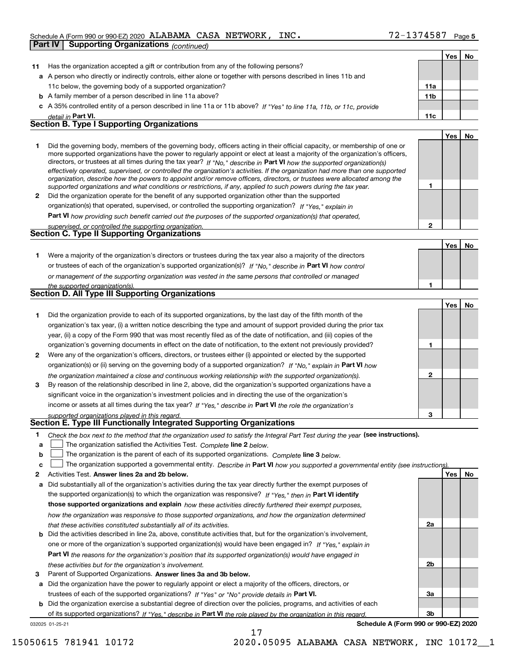## Schedule A (Form 990 or 990-EZ) 2020 Page ALABAMA CASA NETWORK, INC. 72-1374587

|              | Supporting Organizations (continued)<br>Part IV                                                                                                                                                                                                                                                                                                                                                                                                                                                                                                                                                                                                      |                |            |    |
|--------------|------------------------------------------------------------------------------------------------------------------------------------------------------------------------------------------------------------------------------------------------------------------------------------------------------------------------------------------------------------------------------------------------------------------------------------------------------------------------------------------------------------------------------------------------------------------------------------------------------------------------------------------------------|----------------|------------|----|
|              |                                                                                                                                                                                                                                                                                                                                                                                                                                                                                                                                                                                                                                                      |                | Yes        | No |
| 11           | Has the organization accepted a gift or contribution from any of the following persons?                                                                                                                                                                                                                                                                                                                                                                                                                                                                                                                                                              |                |            |    |
| а            | A person who directly or indirectly controls, either alone or together with persons described in lines 11b and                                                                                                                                                                                                                                                                                                                                                                                                                                                                                                                                       |                |            |    |
|              | 11c below, the governing body of a supported organization?                                                                                                                                                                                                                                                                                                                                                                                                                                                                                                                                                                                           | 11a            |            |    |
|              | <b>b</b> A family member of a person described in line 11a above?                                                                                                                                                                                                                                                                                                                                                                                                                                                                                                                                                                                    | 11b            |            |    |
|              | A 35% controlled entity of a person described in line 11a or 11b above? If "Yes" to line 11a, 11b, or 11c, provide                                                                                                                                                                                                                                                                                                                                                                                                                                                                                                                                   |                |            |    |
|              | detail in Part VI.                                                                                                                                                                                                                                                                                                                                                                                                                                                                                                                                                                                                                                   | 11c            |            |    |
|              | <b>Section B. Type I Supporting Organizations</b>                                                                                                                                                                                                                                                                                                                                                                                                                                                                                                                                                                                                    |                |            |    |
|              |                                                                                                                                                                                                                                                                                                                                                                                                                                                                                                                                                                                                                                                      |                | Yes        | No |
| 1            | Did the governing body, members of the governing body, officers acting in their official capacity, or membership of one or<br>more supported organizations have the power to regularly appoint or elect at least a majority of the organization's officers,<br>directors, or trustees at all times during the tax year? If "No," describe in Part VI how the supported organization(s)<br>effectively operated, supervised, or controlled the organization's activities. If the organization had more than one supported<br>organization, describe how the powers to appoint and/or remove officers, directors, or trustees were allocated among the | 1              |            |    |
| $\mathbf{2}$ | supported organizations and what conditions or restrictions, if any, applied to such powers during the tax year.<br>Did the organization operate for the benefit of any supported organization other than the supported                                                                                                                                                                                                                                                                                                                                                                                                                              |                |            |    |
|              | organization(s) that operated, supervised, or controlled the supporting organization? If "Yes," explain in                                                                                                                                                                                                                                                                                                                                                                                                                                                                                                                                           |                |            |    |
|              |                                                                                                                                                                                                                                                                                                                                                                                                                                                                                                                                                                                                                                                      |                |            |    |
|              | Part VI how providing such benefit carried out the purposes of the supported organization(s) that operated,<br>supervised, or controlled the supporting organization.                                                                                                                                                                                                                                                                                                                                                                                                                                                                                | $\overline{2}$ |            |    |
|              | Section C. Type II Supporting Organizations                                                                                                                                                                                                                                                                                                                                                                                                                                                                                                                                                                                                          |                |            |    |
|              |                                                                                                                                                                                                                                                                                                                                                                                                                                                                                                                                                                                                                                                      |                | Yes        | No |
| 1            | Were a majority of the organization's directors or trustees during the tax year also a majority of the directors                                                                                                                                                                                                                                                                                                                                                                                                                                                                                                                                     |                |            |    |
|              | or trustees of each of the organization's supported organization(s)? If "No," describe in Part VI how control                                                                                                                                                                                                                                                                                                                                                                                                                                                                                                                                        |                |            |    |
|              |                                                                                                                                                                                                                                                                                                                                                                                                                                                                                                                                                                                                                                                      |                |            |    |
|              | or management of the supporting organization was vested in the same persons that controlled or managed                                                                                                                                                                                                                                                                                                                                                                                                                                                                                                                                               | 1              |            |    |
|              | the supported organization(s).<br>Section D. All Type III Supporting Organizations                                                                                                                                                                                                                                                                                                                                                                                                                                                                                                                                                                   |                |            |    |
|              |                                                                                                                                                                                                                                                                                                                                                                                                                                                                                                                                                                                                                                                      |                | Yes        | No |
| 1            | Did the organization provide to each of its supported organizations, by the last day of the fifth month of the                                                                                                                                                                                                                                                                                                                                                                                                                                                                                                                                       |                |            |    |
|              | organization's tax year, (i) a written notice describing the type and amount of support provided during the prior tax                                                                                                                                                                                                                                                                                                                                                                                                                                                                                                                                |                |            |    |
|              | year, (ii) a copy of the Form 990 that was most recently filed as of the date of notification, and (iii) copies of the                                                                                                                                                                                                                                                                                                                                                                                                                                                                                                                               |                |            |    |
|              | organization's governing documents in effect on the date of notification, to the extent not previously provided?                                                                                                                                                                                                                                                                                                                                                                                                                                                                                                                                     | 1              |            |    |
| 2            | Were any of the organization's officers, directors, or trustees either (i) appointed or elected by the supported                                                                                                                                                                                                                                                                                                                                                                                                                                                                                                                                     |                |            |    |
|              | organization(s) or (ii) serving on the governing body of a supported organization? If "No," explain in Part VI how                                                                                                                                                                                                                                                                                                                                                                                                                                                                                                                                   |                |            |    |
|              |                                                                                                                                                                                                                                                                                                                                                                                                                                                                                                                                                                                                                                                      | 2              |            |    |
| 3            | the organization maintained a close and continuous working relationship with the supported organization(s).<br>By reason of the relationship described in line 2, above, did the organization's supported organizations have a                                                                                                                                                                                                                                                                                                                                                                                                                       |                |            |    |
|              | significant voice in the organization's investment policies and in directing the use of the organization's                                                                                                                                                                                                                                                                                                                                                                                                                                                                                                                                           |                |            |    |
|              |                                                                                                                                                                                                                                                                                                                                                                                                                                                                                                                                                                                                                                                      |                |            |    |
|              | income or assets at all times during the tax year? If "Yes," describe in Part VI the role the organization's                                                                                                                                                                                                                                                                                                                                                                                                                                                                                                                                         |                |            |    |
|              | supported organizations played in this regard.<br>Section E. Type III Functionally Integrated Supporting Organizations                                                                                                                                                                                                                                                                                                                                                                                                                                                                                                                               | 3              |            |    |
| 1            | Check the box next to the method that the organization used to satisfy the Integral Part Test during the year (see instructions).                                                                                                                                                                                                                                                                                                                                                                                                                                                                                                                    |                |            |    |
| a            | The organization satisfied the Activities Test. Complete line 2 below.                                                                                                                                                                                                                                                                                                                                                                                                                                                                                                                                                                               |                |            |    |
| b            | The organization is the parent of each of its supported organizations. Complete line 3 below.                                                                                                                                                                                                                                                                                                                                                                                                                                                                                                                                                        |                |            |    |
| c            | The organization supported a governmental entity. Describe in Part VI how you supported a governmental entity (see instructions)                                                                                                                                                                                                                                                                                                                                                                                                                                                                                                                     |                |            |    |
| 2            | Activities Test. Answer lines 2a and 2b below.                                                                                                                                                                                                                                                                                                                                                                                                                                                                                                                                                                                                       |                | <b>Yes</b> | No |
| а            | Did substantially all of the organization's activities during the tax year directly further the exempt purposes of                                                                                                                                                                                                                                                                                                                                                                                                                                                                                                                                   |                |            |    |
|              | the supported organization(s) to which the organization was responsive? If "Yes." then in Part VI identify                                                                                                                                                                                                                                                                                                                                                                                                                                                                                                                                           |                |            |    |
|              | those supported organizations and explain how these activities directly furthered their exempt purposes,                                                                                                                                                                                                                                                                                                                                                                                                                                                                                                                                             |                |            |    |
|              |                                                                                                                                                                                                                                                                                                                                                                                                                                                                                                                                                                                                                                                      |                |            |    |
|              | how the organization was responsive to those supported organizations, and how the organization determined                                                                                                                                                                                                                                                                                                                                                                                                                                                                                                                                            | 2a             |            |    |
| b            | that these activities constituted substantially all of its activities.<br>Did the activities described in line 2a, above, constitute activities that, but for the organization's involvement,                                                                                                                                                                                                                                                                                                                                                                                                                                                        |                |            |    |
|              | one or more of the organization's supported organization(s) would have been engaged in? If "Yes." explain in                                                                                                                                                                                                                                                                                                                                                                                                                                                                                                                                         |                |            |    |
|              |                                                                                                                                                                                                                                                                                                                                                                                                                                                                                                                                                                                                                                                      |                |            |    |

**3** Parent of Supported Organizations. Answer lines 3a and 3b below. *these activities but for the organization's involvement.*

**a** Did the organization have the power to regularly appoint or elect a majority of the officers, directors, or trustees of each of the supported organizations? If "Yes" or "No" provide details in **Part VI.** 

**Part VI**  *the reasons for the organization's position that its supported organization(s) would have engaged in*

**b** Did the organization exercise a substantial degree of direction over the policies, programs, and activities of each of its supported organizations? If "Yes," describe in Part VI the role played by the organization in this regard.

17

032025 01-25-21

**Schedule A (Form 990 or 990-EZ) 2020**

**2b**

**3a**

**3b**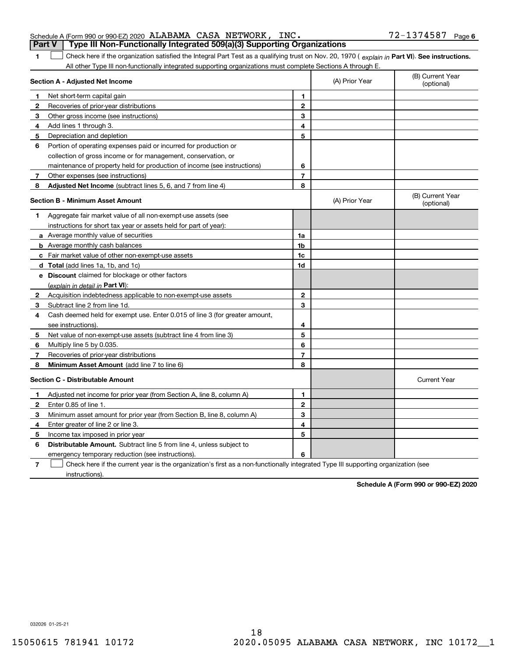| Schedule A (Form 990 or 990-EZ) 2020 ALABAMA CASA NETWORK, INC.                         |  | $72 - 1374587$ Page 6 |  |
|-----------------------------------------------------------------------------------------|--|-----------------------|--|
| <b>Part V</b>   Type III Non-Functionally Integrated 509(a)(3) Supporting Organizations |  |                       |  |

**1**1 Check here if the organization satisfied the Integral Part Test as a qualifying trust on Nov. 20, 1970 (explain in Part VI). See instructions. All other Type III non-functionally integrated supporting organizations must complete Sections A through E.

|              | Section A - Adjusted Net Income                                                                                                   |                | (A) Prior Year | (B) Current Year<br>(optional) |
|--------------|-----------------------------------------------------------------------------------------------------------------------------------|----------------|----------------|--------------------------------|
| 1.           | Net short-term capital gain                                                                                                       | 1              |                |                                |
| $\mathbf{2}$ | Recoveries of prior-year distributions                                                                                            | $\overline{2}$ |                |                                |
| 3            | Other gross income (see instructions)                                                                                             | 3              |                |                                |
| 4            | Add lines 1 through 3.                                                                                                            | 4              |                |                                |
| 5            | Depreciation and depletion                                                                                                        | 5              |                |                                |
| 6            | Portion of operating expenses paid or incurred for production or                                                                  |                |                |                                |
|              | collection of gross income or for management, conservation, or                                                                    |                |                |                                |
|              | maintenance of property held for production of income (see instructions)                                                          | 6              |                |                                |
| 7            | Other expenses (see instructions)                                                                                                 | 7              |                |                                |
| 8            | <b>Adjusted Net Income</b> (subtract lines 5, 6, and 7 from line 4)                                                               | 8              |                |                                |
|              | <b>Section B - Minimum Asset Amount</b>                                                                                           |                | (A) Prior Year | (B) Current Year<br>(optional) |
| 1            | Aggregate fair market value of all non-exempt-use assets (see                                                                     |                |                |                                |
|              | instructions for short tax year or assets held for part of year):                                                                 |                |                |                                |
|              | a Average monthly value of securities                                                                                             | 1a             |                |                                |
|              | <b>b</b> Average monthly cash balances                                                                                            | 1b             |                |                                |
|              | c Fair market value of other non-exempt-use assets                                                                                | 1c             |                |                                |
|              | d Total (add lines 1a, 1b, and 1c)                                                                                                | 1d             |                |                                |
|              | e Discount claimed for blockage or other factors                                                                                  |                |                |                                |
|              | (explain in detail in Part VI):                                                                                                   |                |                |                                |
| 2            | Acquisition indebtedness applicable to non-exempt-use assets                                                                      | $\mathbf 2$    |                |                                |
| 3            | Subtract line 2 from line 1d.                                                                                                     | 3              |                |                                |
| 4            | Cash deemed held for exempt use. Enter 0.015 of line 3 (for greater amount,                                                       |                |                |                                |
|              | see instructions)                                                                                                                 | 4              |                |                                |
| 5            | Net value of non-exempt-use assets (subtract line 4 from line 3)                                                                  | 5              |                |                                |
| 6            | Multiply line 5 by 0.035.                                                                                                         | 6              |                |                                |
| 7            | Recoveries of prior-year distributions                                                                                            | $\overline{7}$ |                |                                |
| 8            | Minimum Asset Amount (add line 7 to line 6)                                                                                       | 8              |                |                                |
|              | <b>Section C - Distributable Amount</b>                                                                                           |                |                | <b>Current Year</b>            |
| 1            | Adjusted net income for prior year (from Section A, line 8, column A)                                                             | $\mathbf{1}$   |                |                                |
| 2            | Enter 0.85 of line 1.                                                                                                             | $\overline{2}$ |                |                                |
| 3            | Minimum asset amount for prior year (from Section B, line 8, column A)                                                            | 3              |                |                                |
| 4            | Enter greater of line 2 or line 3.                                                                                                | 4              |                |                                |
| 5            | Income tax imposed in prior year                                                                                                  | 5              |                |                                |
| 6            | <b>Distributable Amount.</b> Subtract line 5 from line 4, unless subject to                                                       |                |                |                                |
|              | emergency temporary reduction (see instructions).                                                                                 | 6              |                |                                |
| 7            | Check here if the current year is the organization's first as a non-functionally integrated Type III supporting organization (see |                |                |                                |

instructions).

**Schedule A (Form 990 or 990-EZ) 2020**

032026 01-25-21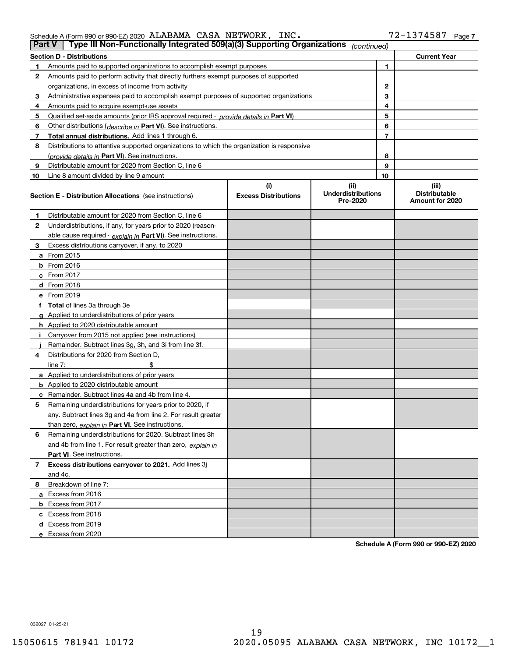| Schedule A (Form 990 or 990-EZ) 2020 $\,$ ALABAMA $\,$ CASA $\,$ NETWORK , |  | INC. | 72-1374587 | Page, |
|----------------------------------------------------------------------------|--|------|------------|-------|
|                                                                            |  |      |            |       |

| <b>Part V</b> | Type III Non-Functionally Integrated 509(a)(3) Supporting Organizations                    |                             | (continued)                           |    |                                         |
|---------------|--------------------------------------------------------------------------------------------|-----------------------------|---------------------------------------|----|-----------------------------------------|
|               | <b>Section D - Distributions</b>                                                           |                             |                                       |    | <b>Current Year</b>                     |
| 1             | Amounts paid to supported organizations to accomplish exempt purposes                      |                             |                                       | 1  |                                         |
| 2             | Amounts paid to perform activity that directly furthers exempt purposes of supported       |                             |                                       |    |                                         |
|               | organizations, in excess of income from activity                                           |                             |                                       | 2  |                                         |
| 3             | Administrative expenses paid to accomplish exempt purposes of supported organizations      |                             |                                       | 3  |                                         |
| 4             | Amounts paid to acquire exempt-use assets                                                  |                             |                                       | 4  |                                         |
| 5             | Qualified set-aside amounts (prior IRS approval required - provide details in Part VI)     |                             |                                       | 5  |                                         |
| 6             | Other distributions (describe in Part VI). See instructions.                               |                             |                                       | 6  |                                         |
| 7             | Total annual distributions. Add lines 1 through 6.                                         |                             |                                       | 7  |                                         |
| 8             | Distributions to attentive supported organizations to which the organization is responsive |                             |                                       |    |                                         |
|               | (provide details in Part VI). See instructions.                                            |                             |                                       | 8  |                                         |
| 9             | Distributable amount for 2020 from Section C, line 6                                       |                             |                                       | 9  |                                         |
| 10            | Line 8 amount divided by line 9 amount                                                     |                             |                                       | 10 |                                         |
|               |                                                                                            | (i)                         | (ii)                                  |    | (iii)                                   |
|               | <b>Section E - Distribution Allocations</b> (see instructions)                             | <b>Excess Distributions</b> | <b>Underdistributions</b><br>Pre-2020 |    | <b>Distributable</b><br>Amount for 2020 |
| 1             | Distributable amount for 2020 from Section C, line 6                                       |                             |                                       |    |                                         |
| 2             | Underdistributions, if any, for years prior to 2020 (reason-                               |                             |                                       |    |                                         |
|               | able cause required - explain in Part VI). See instructions.                               |                             |                                       |    |                                         |
| 3             | Excess distributions carryover, if any, to 2020                                            |                             |                                       |    |                                         |
|               | <b>a</b> From 2015                                                                         |                             |                                       |    |                                         |
|               | <b>b</b> From 2016                                                                         |                             |                                       |    |                                         |
|               | c From 2017                                                                                |                             |                                       |    |                                         |
|               | <b>d</b> From 2018                                                                         |                             |                                       |    |                                         |
|               | e From 2019                                                                                |                             |                                       |    |                                         |
|               | f Total of lines 3a through 3e                                                             |                             |                                       |    |                                         |
|               | g Applied to underdistributions of prior years                                             |                             |                                       |    |                                         |
|               | <b>h</b> Applied to 2020 distributable amount                                              |                             |                                       |    |                                         |
|               | Carryover from 2015 not applied (see instructions)                                         |                             |                                       |    |                                         |
|               | Remainder. Subtract lines 3g, 3h, and 3i from line 3f.                                     |                             |                                       |    |                                         |
| 4             | Distributions for 2020 from Section D,                                                     |                             |                                       |    |                                         |
|               | line $7:$                                                                                  |                             |                                       |    |                                         |
|               | a Applied to underdistributions of prior years                                             |                             |                                       |    |                                         |
|               | <b>b</b> Applied to 2020 distributable amount                                              |                             |                                       |    |                                         |
|               | c Remainder. Subtract lines 4a and 4b from line 4.                                         |                             |                                       |    |                                         |
| 5             | Remaining underdistributions for years prior to 2020, if                                   |                             |                                       |    |                                         |
|               | any. Subtract lines 3g and 4a from line 2. For result greater                              |                             |                                       |    |                                         |
|               | than zero, explain in Part VI. See instructions.                                           |                             |                                       |    |                                         |
| 6             | Remaining underdistributions for 2020. Subtract lines 3h                                   |                             |                                       |    |                                         |
|               | and 4b from line 1. For result greater than zero, explain in                               |                             |                                       |    |                                         |
|               | Part VI. See instructions.                                                                 |                             |                                       |    |                                         |
| 7             | Excess distributions carryover to 2021. Add lines 3j                                       |                             |                                       |    |                                         |
|               | and 4c.                                                                                    |                             |                                       |    |                                         |
| 8             | Breakdown of line 7:                                                                       |                             |                                       |    |                                         |
|               | a Excess from 2016                                                                         |                             |                                       |    |                                         |
|               | <b>b</b> Excess from 2017                                                                  |                             |                                       |    |                                         |
|               | c Excess from 2018                                                                         |                             |                                       |    |                                         |
|               | d Excess from 2019                                                                         |                             |                                       |    |                                         |
|               | e Excess from 2020                                                                         |                             |                                       |    |                                         |

**Schedule A (Form 990 or 990-EZ) 2020**

032027 01-25-21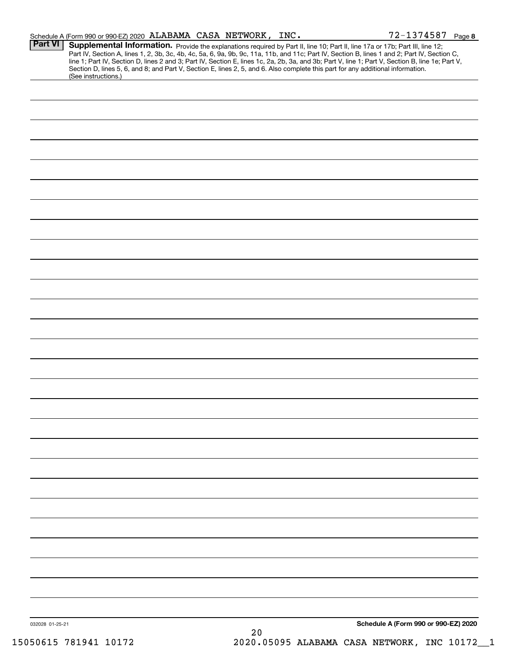|                 | Schedule A (Form 990 or 990-EZ) 2020 ALABAMA CASA NETWORK, INC.                                                                                                                                                                                                                                                                                                                                                                                                                                                                                                      |    | $72 - 1374587$ Page 8                |
|-----------------|----------------------------------------------------------------------------------------------------------------------------------------------------------------------------------------------------------------------------------------------------------------------------------------------------------------------------------------------------------------------------------------------------------------------------------------------------------------------------------------------------------------------------------------------------------------------|----|--------------------------------------|
| <b>Part VI</b>  | Supplemental Information. Provide the explanations required by Part II, line 10; Part II, line 17a or 17b; Part III, line 12;<br>Part IV, Section A, lines 1, 2, 3b, 3c, 4b, 4c, 5a, 6, 9a, 9b, 9c, 11a, 11b, and 11c; Part IV, Section B, lines 1 and 2; Part IV, Section C,<br>line 1; Part IV, Section D, lines 2 and 3; Part IV, Section E, lines 1c, 2a, 2b, 3a, and 3b; Part V, line 1; Part V, Section B, line 1e; Part V,<br>Section D, lines 5, 6, and 8; and Part V, Section E, lines 2, 5, and 6. Also complete this part for any additional information. |    |                                      |
|                 | (See instructions.)                                                                                                                                                                                                                                                                                                                                                                                                                                                                                                                                                  |    |                                      |
|                 |                                                                                                                                                                                                                                                                                                                                                                                                                                                                                                                                                                      |    |                                      |
|                 |                                                                                                                                                                                                                                                                                                                                                                                                                                                                                                                                                                      |    |                                      |
|                 |                                                                                                                                                                                                                                                                                                                                                                                                                                                                                                                                                                      |    |                                      |
|                 |                                                                                                                                                                                                                                                                                                                                                                                                                                                                                                                                                                      |    |                                      |
|                 |                                                                                                                                                                                                                                                                                                                                                                                                                                                                                                                                                                      |    |                                      |
|                 |                                                                                                                                                                                                                                                                                                                                                                                                                                                                                                                                                                      |    |                                      |
|                 |                                                                                                                                                                                                                                                                                                                                                                                                                                                                                                                                                                      |    |                                      |
|                 |                                                                                                                                                                                                                                                                                                                                                                                                                                                                                                                                                                      |    |                                      |
|                 |                                                                                                                                                                                                                                                                                                                                                                                                                                                                                                                                                                      |    |                                      |
|                 |                                                                                                                                                                                                                                                                                                                                                                                                                                                                                                                                                                      |    |                                      |
|                 |                                                                                                                                                                                                                                                                                                                                                                                                                                                                                                                                                                      |    |                                      |
|                 |                                                                                                                                                                                                                                                                                                                                                                                                                                                                                                                                                                      |    |                                      |
|                 |                                                                                                                                                                                                                                                                                                                                                                                                                                                                                                                                                                      |    |                                      |
|                 |                                                                                                                                                                                                                                                                                                                                                                                                                                                                                                                                                                      |    |                                      |
|                 |                                                                                                                                                                                                                                                                                                                                                                                                                                                                                                                                                                      |    |                                      |
|                 |                                                                                                                                                                                                                                                                                                                                                                                                                                                                                                                                                                      |    |                                      |
|                 |                                                                                                                                                                                                                                                                                                                                                                                                                                                                                                                                                                      |    |                                      |
|                 |                                                                                                                                                                                                                                                                                                                                                                                                                                                                                                                                                                      |    |                                      |
|                 |                                                                                                                                                                                                                                                                                                                                                                                                                                                                                                                                                                      |    |                                      |
|                 |                                                                                                                                                                                                                                                                                                                                                                                                                                                                                                                                                                      |    |                                      |
|                 |                                                                                                                                                                                                                                                                                                                                                                                                                                                                                                                                                                      |    |                                      |
|                 |                                                                                                                                                                                                                                                                                                                                                                                                                                                                                                                                                                      |    |                                      |
|                 |                                                                                                                                                                                                                                                                                                                                                                                                                                                                                                                                                                      |    |                                      |
|                 |                                                                                                                                                                                                                                                                                                                                                                                                                                                                                                                                                                      |    |                                      |
|                 |                                                                                                                                                                                                                                                                                                                                                                                                                                                                                                                                                                      |    |                                      |
|                 |                                                                                                                                                                                                                                                                                                                                                                                                                                                                                                                                                                      |    |                                      |
|                 |                                                                                                                                                                                                                                                                                                                                                                                                                                                                                                                                                                      |    |                                      |
|                 |                                                                                                                                                                                                                                                                                                                                                                                                                                                                                                                                                                      |    |                                      |
|                 |                                                                                                                                                                                                                                                                                                                                                                                                                                                                                                                                                                      |    |                                      |
|                 |                                                                                                                                                                                                                                                                                                                                                                                                                                                                                                                                                                      |    |                                      |
|                 |                                                                                                                                                                                                                                                                                                                                                                                                                                                                                                                                                                      |    |                                      |
|                 |                                                                                                                                                                                                                                                                                                                                                                                                                                                                                                                                                                      |    |                                      |
|                 |                                                                                                                                                                                                                                                                                                                                                                                                                                                                                                                                                                      |    |                                      |
|                 |                                                                                                                                                                                                                                                                                                                                                                                                                                                                                                                                                                      |    |                                      |
| 032028 01-25-21 |                                                                                                                                                                                                                                                                                                                                                                                                                                                                                                                                                                      |    | Schedule A (Form 990 or 990-EZ) 2020 |
|                 |                                                                                                                                                                                                                                                                                                                                                                                                                                                                                                                                                                      | 20 |                                      |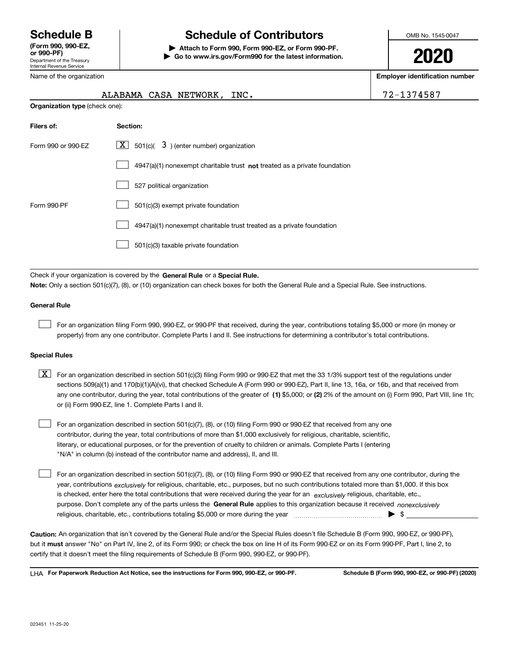Department of the Treasury Internal Revenue Service **(Form 990, 990-EZ, or 990-PF)** Name of the organization

# **Schedule B Schedule of Contributors**

**| Attach to Form 990, Form 990-EZ, or Form 990-PF. | Go to www.irs.gov/Form990 for the latest information.** OMB No. 1545-0047

**2020**

**Employer identification number**

|                                                                  | ALABAMA CASA NETWORK, INC.                                                  | 72-1374587 |  |  |  |
|------------------------------------------------------------------|-----------------------------------------------------------------------------|------------|--|--|--|
| <b>Organization type (check one):</b>                            |                                                                             |            |  |  |  |
| Filers of:                                                       | Section:                                                                    |            |  |  |  |
| $X$ 501(c)( 3) (enter number) organization<br>Form 990 or 990-EZ |                                                                             |            |  |  |  |
|                                                                  | $4947(a)(1)$ nonexempt charitable trust not treated as a private foundation |            |  |  |  |
|                                                                  | 527 political organization                                                  |            |  |  |  |
| Form 990-PF                                                      | 501(c)(3) exempt private foundation                                         |            |  |  |  |
|                                                                  | 4947(a)(1) nonexempt charitable trust treated as a private foundation       |            |  |  |  |
|                                                                  | 501(c)(3) taxable private foundation                                        |            |  |  |  |
|                                                                  |                                                                             |            |  |  |  |

Check if your organization is covered by the **General Rule** or a **Special Rule. Note:**  Only a section 501(c)(7), (8), or (10) organization can check boxes for both the General Rule and a Special Rule. See instructions.

## **General Rule**

 $\mathcal{L}^{\text{max}}$ 

For an organization filing Form 990, 990-EZ, or 990-PF that received, during the year, contributions totaling \$5,000 or more (in money or property) from any one contributor. Complete Parts I and II. See instructions for determining a contributor's total contributions.

#### **Special Rules**

any one contributor, during the year, total contributions of the greater of  $\,$  (1) \$5,000; or **(2)** 2% of the amount on (i) Form 990, Part VIII, line 1h;  $\boxed{\textbf{X}}$  For an organization described in section 501(c)(3) filing Form 990 or 990-EZ that met the 33 1/3% support test of the regulations under sections 509(a)(1) and 170(b)(1)(A)(vi), that checked Schedule A (Form 990 or 990-EZ), Part II, line 13, 16a, or 16b, and that received from or (ii) Form 990-EZ, line 1. Complete Parts I and II.

For an organization described in section 501(c)(7), (8), or (10) filing Form 990 or 990-EZ that received from any one contributor, during the year, total contributions of more than \$1,000 exclusively for religious, charitable, scientific, literary, or educational purposes, or for the prevention of cruelty to children or animals. Complete Parts I (entering "N/A" in column (b) instead of the contributor name and address), II, and III.  $\mathcal{L}^{\text{max}}$ 

purpose. Don't complete any of the parts unless the **General Rule** applies to this organization because it received *nonexclusively* year, contributions <sub>exclusively</sub> for religious, charitable, etc., purposes, but no such contributions totaled more than \$1,000. If this box is checked, enter here the total contributions that were received during the year for an  $\;$ exclusively religious, charitable, etc., For an organization described in section 501(c)(7), (8), or (10) filing Form 990 or 990-EZ that received from any one contributor, during the religious, charitable, etc., contributions totaling \$5,000 or more during the year  $\Box$ — $\Box$   $\Box$  $\mathcal{L}^{\text{max}}$ 

**Caution:**  An organization that isn't covered by the General Rule and/or the Special Rules doesn't file Schedule B (Form 990, 990-EZ, or 990-PF),  **must** but it answer "No" on Part IV, line 2, of its Form 990; or check the box on line H of its Form 990-EZ or on its Form 990-PF, Part I, line 2, to certify that it doesn't meet the filing requirements of Schedule B (Form 990, 990-EZ, or 990-PF).

**For Paperwork Reduction Act Notice, see the instructions for Form 990, 990-EZ, or 990-PF. Schedule B (Form 990, 990-EZ, or 990-PF) (2020)** LHA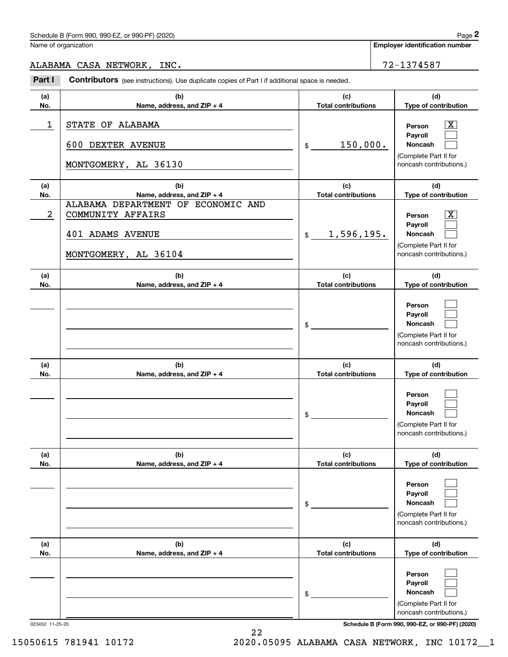# Schedule B (Form 990, 990-EZ, or 990-PF) (2020) Page 2

|                       | Schedule B (Form 990, 990-EZ, or 990-PF) (2020)                                                                                          |                                                | Page 2                                                                                                                   |
|-----------------------|------------------------------------------------------------------------------------------------------------------------------------------|------------------------------------------------|--------------------------------------------------------------------------------------------------------------------------|
|                       | Name of organization                                                                                                                     |                                                | <b>Employer identification number</b>                                                                                    |
|                       | ALABAMA CASA NETWORK, INC.                                                                                                               |                                                | 72-1374587                                                                                                               |
| Part I                | Contributors (see instructions). Use duplicate copies of Part I if additional space is needed.                                           |                                                |                                                                                                                          |
| (a)<br>No.            | (b)<br>Name, address, and ZIP + 4                                                                                                        | (c)<br><b>Total contributions</b>              | (d)<br>Type of contribution                                                                                              |
| 1                     | STATE OF ALABAMA<br>600 DEXTER AVENUE<br>MONTGOMERY, AL 36130                                                                            | 150,000.<br>\$                                 | $\mathbf{X}$<br>Person<br>Payroll<br>Noncash<br>(Complete Part II for<br>noncash contributions.)                         |
| (a)                   | (b)                                                                                                                                      | (c)                                            | (d)                                                                                                                      |
| No.<br>$\overline{2}$ | Name, address, and ZIP + 4<br>ALABAMA DEPARTMENT OF ECONOMIC AND<br>COMMUNITY AFFAIRS<br><b>401 ADAMS AVENUE</b><br>MONTGOMERY, AL 36104 | <b>Total contributions</b><br>1,596,195.<br>\$ | Type of contribution<br>$\mathbf{X}$<br>Person<br>Payroll<br>Noncash<br>(Complete Part II for<br>noncash contributions.) |
| (a)<br>No.            | (b)<br>Name, address, and ZIP + 4                                                                                                        | (c)<br><b>Total contributions</b>              | (d)<br>Type of contribution                                                                                              |
|                       |                                                                                                                                          | \$                                             | Person<br>Payroll<br>Noncash<br>(Complete Part II for<br>noncash contributions.)                                         |
| (a)<br>No.            | (b)<br>Name, address, and ZIP + 4                                                                                                        | (c)<br><b>Total contributions</b>              | (d)<br>Type of contribution                                                                                              |
|                       |                                                                                                                                          | \$                                             | Person<br>Payroll<br>Noncash<br>(Complete Part II for<br>noncash contributions.)                                         |
| (a)<br>No.            | (b)<br>Name, address, and ZIP + 4                                                                                                        | (c)<br><b>Total contributions</b>              | (d)<br>Type of contribution                                                                                              |
|                       |                                                                                                                                          | \$                                             | Person<br>Payroll<br>Noncash<br>(Complete Part II for<br>noncash contributions.)                                         |
| (a)<br>No.            | (b)<br>Name, address, and ZIP + 4                                                                                                        | (c)<br><b>Total contributions</b>              | (d)<br>Type of contribution                                                                                              |
|                       |                                                                                                                                          | \$                                             | Person<br>Payroll<br>Noncash<br>(Complete Part II for<br>noncash contributions.)                                         |

023452 11-25-20 **Schedule B (Form 990, 990-EZ, or 990-PF) (2020)**

15050615 781941 10172 2020.05095 ALABAMA CASA NETWORK, INC 10172\_\_1

22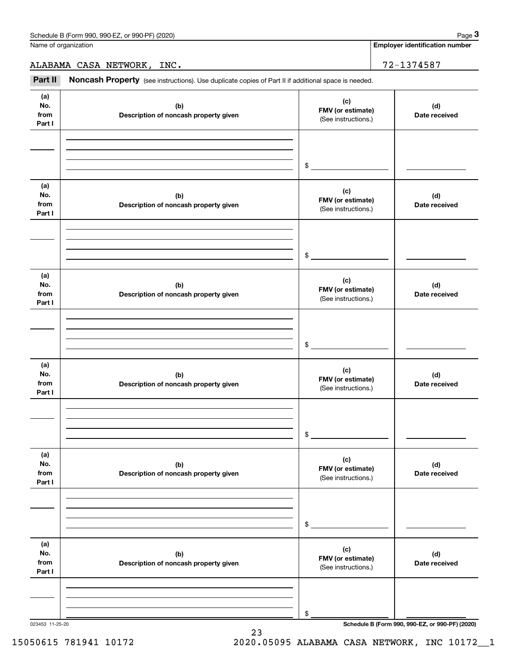Name of organization

**Employer identification number**

ALABAMA CASA NETWORK, INC. 72-1374587

Chedule B (Form 990, 990-EZ, or 990-PF) (2020)<br> **3Page 3**<br> **2Part II Noncash Property** (see instructions). Use duplicate copies of Part II if additional space is needed.<br> **3Part II Noncash Property** (see instructions).

| (a)<br>No.<br>from<br>Part I | (b)<br>Description of noncash property given | (c)<br>FMV (or estimate)<br>(See instructions.) | (d)<br>Date received |
|------------------------------|----------------------------------------------|-------------------------------------------------|----------------------|
|                              |                                              | \$                                              |                      |
| (a)<br>No.<br>from<br>Part I | (b)<br>Description of noncash property given | (c)<br>FMV (or estimate)<br>(See instructions.) | (d)<br>Date received |
|                              |                                              | \$                                              |                      |
| (a)<br>No.<br>from<br>Part I | (b)<br>Description of noncash property given | (c)<br>FMV (or estimate)<br>(See instructions.) | (d)<br>Date received |
|                              |                                              | \$                                              |                      |
| (a)<br>No.<br>from<br>Part I | (b)<br>Description of noncash property given | (c)<br>FMV (or estimate)<br>(See instructions.) | (d)<br>Date received |
|                              |                                              | \$                                              |                      |
| (a)<br>No.<br>from<br>Part I | (b)<br>Description of noncash property given | (c)<br>FMV (or estimate)<br>(See instructions.) | (d)<br>Date received |
|                              |                                              | \$                                              |                      |
| (a)<br>No.<br>from<br>Part I | (b)<br>Description of noncash property given | (c)<br>FMV (or estimate)<br>(See instructions.) | (d)<br>Date received |
|                              |                                              | \$                                              |                      |

23

023453 11-25-20 **Schedule B (Form 990, 990-EZ, or 990-PF) (2020)**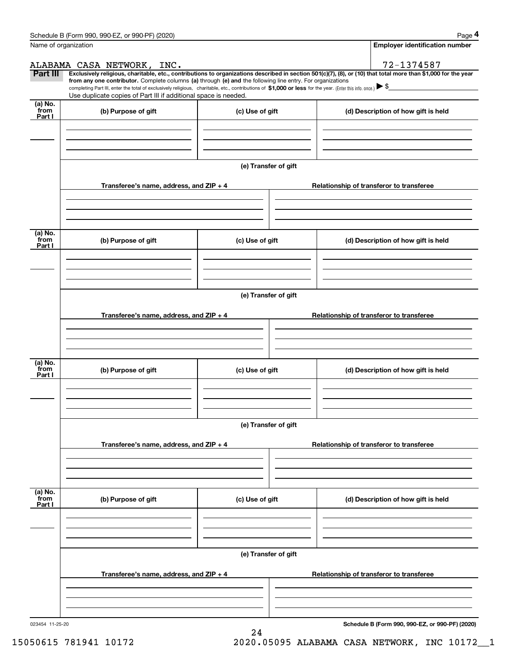|                           | Schedule B (Form 990, 990-EZ, or 990-PF) (2020)                                                                                                                                                                                                                                                                                                                                                                                                                   |                      | Page 4                                   |
|---------------------------|-------------------------------------------------------------------------------------------------------------------------------------------------------------------------------------------------------------------------------------------------------------------------------------------------------------------------------------------------------------------------------------------------------------------------------------------------------------------|----------------------|------------------------------------------|
|                           | Name of organization                                                                                                                                                                                                                                                                                                                                                                                                                                              |                      | <b>Employer identification number</b>    |
|                           | ALABAMA CASA NETWORK, INC.                                                                                                                                                                                                                                                                                                                                                                                                                                        |                      | 72-1374587                               |
| Part III                  | Exclusively religious, charitable, etc., contributions to organizations described in section 501(c)(7), (8), or (10) that total more than \$1,000 for the year<br>from any one contributor. Complete columns (a) through (e) and the following line entry. For organizations<br>completing Part III, enter the total of exclusively religious, charitable, etc., contributions of \$1,000 or less for the year. (Enter this info. once.) $\blacktriangleright$ \$ |                      |                                          |
|                           | Use duplicate copies of Part III if additional space is needed.                                                                                                                                                                                                                                                                                                                                                                                                   |                      |                                          |
| (a) No.<br>from<br>Part I | (b) Purpose of gift                                                                                                                                                                                                                                                                                                                                                                                                                                               | (c) Use of gift      | (d) Description of how gift is held      |
|                           |                                                                                                                                                                                                                                                                                                                                                                                                                                                                   |                      |                                          |
|                           |                                                                                                                                                                                                                                                                                                                                                                                                                                                                   |                      |                                          |
|                           |                                                                                                                                                                                                                                                                                                                                                                                                                                                                   | (e) Transfer of gift |                                          |
|                           | Transferee's name, address, and ZIP + 4                                                                                                                                                                                                                                                                                                                                                                                                                           |                      | Relationship of transferor to transferee |
|                           |                                                                                                                                                                                                                                                                                                                                                                                                                                                                   |                      |                                          |
| (a) No.<br>from<br>Part I | (b) Purpose of gift                                                                                                                                                                                                                                                                                                                                                                                                                                               | (c) Use of gift      | (d) Description of how gift is held      |
|                           |                                                                                                                                                                                                                                                                                                                                                                                                                                                                   |                      |                                          |
|                           |                                                                                                                                                                                                                                                                                                                                                                                                                                                                   | (e) Transfer of gift |                                          |
|                           | Transferee's name, address, and ZIP + 4                                                                                                                                                                                                                                                                                                                                                                                                                           |                      | Relationship of transferor to transferee |
|                           |                                                                                                                                                                                                                                                                                                                                                                                                                                                                   |                      |                                          |
|                           |                                                                                                                                                                                                                                                                                                                                                                                                                                                                   |                      |                                          |
| (a) No.<br>from<br>Part I | (b) Purpose of gift                                                                                                                                                                                                                                                                                                                                                                                                                                               | (c) Use of gift      | (d) Description of how gift is held      |
|                           |                                                                                                                                                                                                                                                                                                                                                                                                                                                                   |                      |                                          |
|                           |                                                                                                                                                                                                                                                                                                                                                                                                                                                                   | (e) Transfer of gift |                                          |
|                           | Transferee's name, address, and ZIP + 4                                                                                                                                                                                                                                                                                                                                                                                                                           |                      | Relationship of transferor to transferee |
|                           |                                                                                                                                                                                                                                                                                                                                                                                                                                                                   |                      |                                          |
|                           |                                                                                                                                                                                                                                                                                                                                                                                                                                                                   |                      |                                          |
| (a) No.<br>from<br>Part I | (b) Purpose of gift                                                                                                                                                                                                                                                                                                                                                                                                                                               | (c) Use of gift      | (d) Description of how gift is held      |
|                           |                                                                                                                                                                                                                                                                                                                                                                                                                                                                   |                      |                                          |
|                           |                                                                                                                                                                                                                                                                                                                                                                                                                                                                   |                      |                                          |
|                           |                                                                                                                                                                                                                                                                                                                                                                                                                                                                   | (e) Transfer of gift |                                          |
|                           | Transferee's name, address, and $ZIP + 4$                                                                                                                                                                                                                                                                                                                                                                                                                         |                      | Relationship of transferor to transferee |
|                           |                                                                                                                                                                                                                                                                                                                                                                                                                                                                   |                      |                                          |
|                           |                                                                                                                                                                                                                                                                                                                                                                                                                                                                   |                      |                                          |

24

023454 11-25-20

**Schedule B (Form 990, 990-EZ, or 990-PF) (2020)**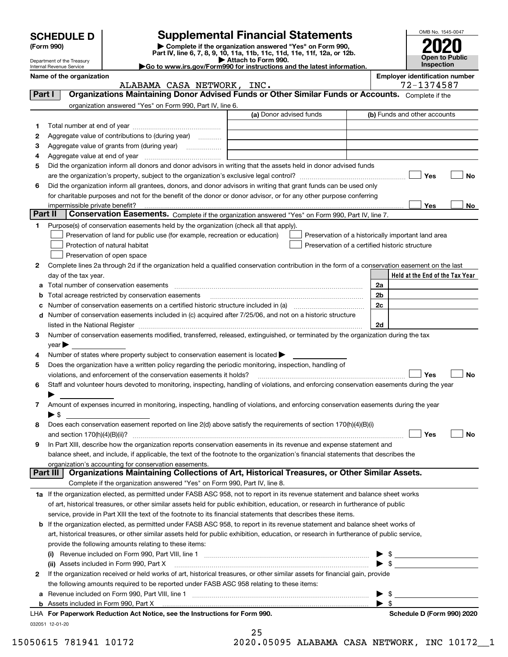|        | <b>SCHEDULE D</b>                         |                                                                                                                                                | <b>Supplemental Financial Statements</b>                                                                                                       |                         | OMB No. 1545-0047                                   |  |
|--------|-------------------------------------------|------------------------------------------------------------------------------------------------------------------------------------------------|------------------------------------------------------------------------------------------------------------------------------------------------|-------------------------|-----------------------------------------------------|--|
|        | (Form 990)                                |                                                                                                                                                | Complete if the organization answered "Yes" on Form 990,                                                                                       |                         |                                                     |  |
|        | Department of the Treasury                |                                                                                                                                                | Part IV, line 6, 7, 8, 9, 10, 11a, 11b, 11c, 11d, 11e, 11f, 12a, or 12b.<br>Attach to Form 990.                                                |                         | <b>Open to Public</b>                               |  |
|        | Internal Revenue Service                  |                                                                                                                                                | Go to www.irs.gov/Form990 for instructions and the latest information.                                                                         | <b>Inspection</b>       |                                                     |  |
|        | Name of the organization                  | ALABAMA CASA NETWORK, INC.                                                                                                                     |                                                                                                                                                |                         | <b>Employer identification number</b><br>72-1374587 |  |
| Part I |                                           |                                                                                                                                                | Organizations Maintaining Donor Advised Funds or Other Similar Funds or Accounts. Complete if the                                              |                         |                                                     |  |
|        |                                           | organization answered "Yes" on Form 990, Part IV, line 6.                                                                                      |                                                                                                                                                |                         |                                                     |  |
|        |                                           |                                                                                                                                                | (a) Donor advised funds                                                                                                                        |                         | (b) Funds and other accounts                        |  |
| 1.     |                                           |                                                                                                                                                |                                                                                                                                                |                         |                                                     |  |
| 2      |                                           | Aggregate value of contributions to (during year)                                                                                              |                                                                                                                                                |                         |                                                     |  |
| 3      |                                           |                                                                                                                                                |                                                                                                                                                |                         |                                                     |  |
| 4      |                                           |                                                                                                                                                |                                                                                                                                                |                         |                                                     |  |
| 5      |                                           |                                                                                                                                                | Did the organization inform all donors and donor advisors in writing that the assets held in donor advised funds                               |                         |                                                     |  |
|        |                                           |                                                                                                                                                |                                                                                                                                                |                         | Yes<br>No                                           |  |
| 6      |                                           |                                                                                                                                                | Did the organization inform all grantees, donors, and donor advisors in writing that grant funds can be used only                              |                         |                                                     |  |
|        |                                           |                                                                                                                                                | for charitable purposes and not for the benefit of the donor or donor advisor, or for any other purpose conferring                             |                         | Yes                                                 |  |
|        | impermissible private benefit?<br>Part II |                                                                                                                                                | Conservation Easements. Complete if the organization answered "Yes" on Form 990, Part IV, line 7.                                              |                         | No                                                  |  |
| 1      |                                           | Purpose(s) of conservation easements held by the organization (check all that apply).                                                          |                                                                                                                                                |                         |                                                     |  |
|        |                                           | Preservation of land for public use (for example, recreation or education)                                                                     | Preservation of a historically important land area                                                                                             |                         |                                                     |  |
|        |                                           | Protection of natural habitat                                                                                                                  | Preservation of a certified historic structure                                                                                                 |                         |                                                     |  |
|        |                                           | Preservation of open space                                                                                                                     |                                                                                                                                                |                         |                                                     |  |
| 2      |                                           |                                                                                                                                                | Complete lines 2a through 2d if the organization held a qualified conservation contribution in the form of a conservation easement on the last |                         |                                                     |  |
|        | day of the tax year.                      |                                                                                                                                                |                                                                                                                                                |                         | Held at the End of the Tax Year                     |  |
| a      |                                           | Total number of conservation easements                                                                                                         |                                                                                                                                                | 2a                      |                                                     |  |
| b      |                                           | Total acreage restricted by conservation easements                                                                                             |                                                                                                                                                | 2b                      |                                                     |  |
| c      |                                           |                                                                                                                                                | Number of conservation easements on a certified historic structure included in (a) manufacture of conservation                                 | 2c                      |                                                     |  |
| d      |                                           |                                                                                                                                                | Number of conservation easements included in (c) acquired after 7/25/06, and not on a historic structure                                       |                         |                                                     |  |
|        |                                           |                                                                                                                                                | listed in the National Register [11, 1200] [12] The National Register [11, 1200] [12] The National Register [1                                 | 2d                      |                                                     |  |
| З.     | $\vee$ ear $\blacktriangleright$          |                                                                                                                                                | Number of conservation easements modified, transferred, released, extinguished, or terminated by the organization during the tax               |                         |                                                     |  |
| 4      |                                           | Number of states where property subject to conservation easement is located $\blacktriangleright$                                              |                                                                                                                                                |                         |                                                     |  |
| 5      |                                           | Does the organization have a written policy regarding the periodic monitoring, inspection, handling of                                         |                                                                                                                                                |                         |                                                     |  |
|        |                                           | violations, and enforcement of the conservation easements it holds?                                                                            |                                                                                                                                                |                         | Yes<br>No                                           |  |
|        |                                           |                                                                                                                                                | Staff and volunteer hours devoted to monitoring, inspecting, handling of violations, and enforcing conservation easements during the year      |                         |                                                     |  |
|        |                                           |                                                                                                                                                |                                                                                                                                                |                         |                                                     |  |
| 7      |                                           |                                                                                                                                                | Amount of expenses incurred in monitoring, inspecting, handling of violations, and enforcing conservation easements during the year            |                         |                                                     |  |
|        | $\blacktriangleright$ \$                  |                                                                                                                                                |                                                                                                                                                |                         |                                                     |  |
| 8      |                                           |                                                                                                                                                | Does each conservation easement reported on line 2(d) above satisfy the requirements of section 170(h)(4)(B)(i)                                |                         |                                                     |  |
|        |                                           |                                                                                                                                                |                                                                                                                                                |                         | Yes<br>No                                           |  |
| 9      |                                           |                                                                                                                                                | In Part XIII, describe how the organization reports conservation easements in its revenue and expense statement and                            |                         |                                                     |  |
|        |                                           |                                                                                                                                                | balance sheet, and include, if applicable, the text of the footnote to the organization's financial statements that describes the              |                         |                                                     |  |
|        | Part III                                  | organization's accounting for conservation easements.                                                                                          | Organizations Maintaining Collections of Art, Historical Treasures, or Other Similar Assets.                                                   |                         |                                                     |  |
|        |                                           | Complete if the organization answered "Yes" on Form 990, Part IV, line 8.                                                                      |                                                                                                                                                |                         |                                                     |  |
|        |                                           |                                                                                                                                                | 1a If the organization elected, as permitted under FASB ASC 958, not to report in its revenue statement and balance sheet works                |                         |                                                     |  |
|        |                                           |                                                                                                                                                | of art, historical treasures, or other similar assets held for public exhibition, education, or research in furtherance of public              |                         |                                                     |  |
|        |                                           |                                                                                                                                                | service, provide in Part XIII the text of the footnote to its financial statements that describes these items.                                 |                         |                                                     |  |
| b      |                                           |                                                                                                                                                | If the organization elected, as permitted under FASB ASC 958, to report in its revenue statement and balance sheet works of                    |                         |                                                     |  |
|        |                                           |                                                                                                                                                | art, historical treasures, or other similar assets held for public exhibition, education, or research in furtherance of public service,        |                         |                                                     |  |
|        |                                           | provide the following amounts relating to these items:                                                                                         |                                                                                                                                                |                         |                                                     |  |
|        |                                           |                                                                                                                                                |                                                                                                                                                |                         |                                                     |  |
|        |                                           | (ii) Assets included in Form 990, Part X                                                                                                       |                                                                                                                                                | $\blacktriangleright$ s |                                                     |  |
| 2      |                                           |                                                                                                                                                | If the organization received or held works of art, historical treasures, or other similar assets for financial gain, provide                   |                         |                                                     |  |
|        |                                           | the following amounts required to be reported under FASB ASC 958 relating to these items:<br>a Revenue included on Form 990. Part VIII, line 1 |                                                                                                                                                | ► \$                    |                                                     |  |
|        |                                           |                                                                                                                                                |                                                                                                                                                |                         |                                                     |  |

**a** Revenue included on Form 990, Part VIII, line 1 **with the contained as a Revenue included** on Form 990, Part VIII, line 1 **with the contained and a b** Assets included in Form 990, Part X

032051 12-01-20 **For Paperwork Reduction Act Notice, see the Instructions for Form 990. Schedule D (Form 990) 2020** LHA

25

15050615 781941 10172 2020.05095 ALABAMA CASA NETWORK, INC 10172\_\_1

 $\blacktriangleright$  \$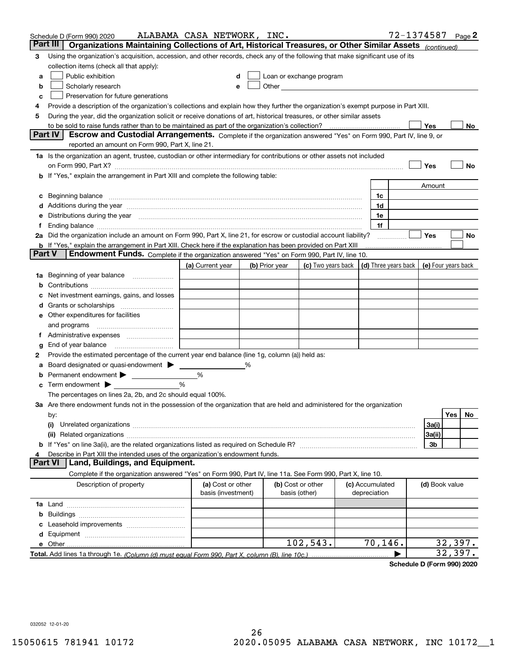|        | Schedule D (Form 990) 2020                                                                                                                                                                                                     | ALABAMA CASA NETWORK, INC.              |   |                |                                                                                                                                                                                                                               |  |                                 | 72-1374587 |                |            | Page 2 |
|--------|--------------------------------------------------------------------------------------------------------------------------------------------------------------------------------------------------------------------------------|-----------------------------------------|---|----------------|-------------------------------------------------------------------------------------------------------------------------------------------------------------------------------------------------------------------------------|--|---------------------------------|------------|----------------|------------|--------|
|        | Part III<br>Organizations Maintaining Collections of Art, Historical Treasures, or Other Similar Assets (continued)                                                                                                            |                                         |   |                |                                                                                                                                                                                                                               |  |                                 |            |                |            |        |
| 3      | Using the organization's acquisition, accession, and other records, check any of the following that make significant use of its                                                                                                |                                         |   |                |                                                                                                                                                                                                                               |  |                                 |            |                |            |        |
|        | collection items (check all that apply):                                                                                                                                                                                       |                                         |   |                |                                                                                                                                                                                                                               |  |                                 |            |                |            |        |
| a      | Public exhibition                                                                                                                                                                                                              |                                         |   |                | Loan or exchange program                                                                                                                                                                                                      |  |                                 |            |                |            |        |
| b      | Scholarly research                                                                                                                                                                                                             |                                         |   |                | Other and the contract of the contract of the contract of the contract of the contract of the contract of the contract of the contract of the contract of the contract of the contract of the contract of the contract of the |  |                                 |            |                |            |        |
| с      | Preservation for future generations                                                                                                                                                                                            |                                         |   |                |                                                                                                                                                                                                                               |  |                                 |            |                |            |        |
| 4      | Provide a description of the organization's collections and explain how they further the organization's exempt purpose in Part XIII.                                                                                           |                                         |   |                |                                                                                                                                                                                                                               |  |                                 |            |                |            |        |
| 5      | During the year, did the organization solicit or receive donations of art, historical treasures, or other similar assets                                                                                                       |                                         |   |                |                                                                                                                                                                                                                               |  |                                 |            |                |            |        |
|        | <b>Part IV</b>                                                                                                                                                                                                                 |                                         |   |                |                                                                                                                                                                                                                               |  |                                 |            | Yes            |            | No     |
|        | Escrow and Custodial Arrangements. Complete if the organization answered "Yes" on Form 990, Part IV, line 9, or<br>reported an amount on Form 990, Part X, line 21.                                                            |                                         |   |                |                                                                                                                                                                                                                               |  |                                 |            |                |            |        |
|        |                                                                                                                                                                                                                                |                                         |   |                |                                                                                                                                                                                                                               |  |                                 |            |                |            |        |
|        | 1a Is the organization an agent, trustee, custodian or other intermediary for contributions or other assets not included                                                                                                       |                                         |   |                |                                                                                                                                                                                                                               |  |                                 |            | Yes            |            | No     |
|        | on Form 990, Part X? [11] matter contracts and contracts and contracts are contracted as a form 990, Part X?<br><b>b</b> If "Yes," explain the arrangement in Part XIII and complete the following table:                      |                                         |   |                |                                                                                                                                                                                                                               |  |                                 |            |                |            |        |
|        |                                                                                                                                                                                                                                |                                         |   |                |                                                                                                                                                                                                                               |  |                                 |            | Amount         |            |        |
| c      | Beginning balance <u>www.maren.communication.communication.communication.communication.com</u>                                                                                                                                 |                                         |   |                |                                                                                                                                                                                                                               |  | 1c                              |            |                |            |        |
|        |                                                                                                                                                                                                                                |                                         |   |                |                                                                                                                                                                                                                               |  | 1d                              |            |                |            |        |
|        | e Distributions during the year manufactured and continuum and contact the year manufactured and contact the year manufactured and contact the year manufactured and contact the year manufactured and contact the year manufa |                                         |   |                |                                                                                                                                                                                                                               |  | 1e                              |            |                |            |        |
|        |                                                                                                                                                                                                                                |                                         |   |                |                                                                                                                                                                                                                               |  | 1f                              |            |                |            |        |
|        | 2a Did the organization include an amount on Form 990, Part X, line 21, for escrow or custodial account liability?                                                                                                             |                                         |   |                |                                                                                                                                                                                                                               |  |                                 | .          | Yes            |            | No     |
|        | <b>b</b> If "Yes," explain the arrangement in Part XIII. Check here if the explanation has been provided on Part XIII                                                                                                          |                                         |   |                |                                                                                                                                                                                                                               |  |                                 |            |                |            |        |
| Part V | Endowment Funds. Complete if the organization answered "Yes" on Form 990, Part IV, line 10.                                                                                                                                    |                                         |   |                |                                                                                                                                                                                                                               |  |                                 |            |                |            |        |
|        |                                                                                                                                                                                                                                | (a) Current year                        |   | (b) Prior year | (c) Two years back $\vert$ (d) Three years back $\vert$ (e) Four years back                                                                                                                                                   |  |                                 |            |                |            |        |
|        | 1a Beginning of year balance                                                                                                                                                                                                   |                                         |   |                |                                                                                                                                                                                                                               |  |                                 |            |                |            |        |
| b      |                                                                                                                                                                                                                                |                                         |   |                |                                                                                                                                                                                                                               |  |                                 |            |                |            |        |
|        | Net investment earnings, gains, and losses                                                                                                                                                                                     |                                         |   |                |                                                                                                                                                                                                                               |  |                                 |            |                |            |        |
|        |                                                                                                                                                                                                                                |                                         |   |                |                                                                                                                                                                                                                               |  |                                 |            |                |            |        |
|        | e Other expenditures for facilities                                                                                                                                                                                            |                                         |   |                |                                                                                                                                                                                                                               |  |                                 |            |                |            |        |
|        | and programs                                                                                                                                                                                                                   |                                         |   |                |                                                                                                                                                                                                                               |  |                                 |            |                |            |        |
|        | f Administrative expenses                                                                                                                                                                                                      |                                         |   |                |                                                                                                                                                                                                                               |  |                                 |            |                |            |        |
| g      | End of year balance <i>manually contained</i>                                                                                                                                                                                  |                                         |   |                |                                                                                                                                                                                                                               |  |                                 |            |                |            |        |
| 2      | Provide the estimated percentage of the current year end balance (line 1g, column (a)) held as:                                                                                                                                |                                         |   |                |                                                                                                                                                                                                                               |  |                                 |            |                |            |        |
| а      | Board designated or quasi-endowment                                                                                                                                                                                            |                                         | % |                |                                                                                                                                                                                                                               |  |                                 |            |                |            |        |
| b      | Permanent endowment >                                                                                                                                                                                                          | %                                       |   |                |                                                                                                                                                                                                                               |  |                                 |            |                |            |        |
|        | <b>c</b> Term endowment $\blacktriangleright$                                                                                                                                                                                  | %                                       |   |                |                                                                                                                                                                                                                               |  |                                 |            |                |            |        |
|        | The percentages on lines 2a, 2b, and 2c should equal 100%.                                                                                                                                                                     |                                         |   |                |                                                                                                                                                                                                                               |  |                                 |            |                |            |        |
|        | 3a Are there endowment funds not in the possession of the organization that are held and administered for the organization                                                                                                     |                                         |   |                |                                                                                                                                                                                                                               |  |                                 |            |                | <b>Yes</b> | No.    |
|        | by:<br>(i)                                                                                                                                                                                                                     |                                         |   |                |                                                                                                                                                                                                                               |  |                                 |            | 3a(i)          |            |        |
|        |                                                                                                                                                                                                                                |                                         |   |                |                                                                                                                                                                                                                               |  |                                 |            | 3a(ii)         |            |        |
|        |                                                                                                                                                                                                                                |                                         |   |                |                                                                                                                                                                                                                               |  |                                 |            | 3b             |            |        |
|        | Describe in Part XIII the intended uses of the organization's endowment funds.                                                                                                                                                 |                                         |   |                |                                                                                                                                                                                                                               |  |                                 |            |                |            |        |
|        | Land, Buildings, and Equipment.<br>Part VI                                                                                                                                                                                     |                                         |   |                |                                                                                                                                                                                                                               |  |                                 |            |                |            |        |
|        | Complete if the organization answered "Yes" on Form 990, Part IV, line 11a. See Form 990, Part X, line 10.                                                                                                                     |                                         |   |                |                                                                                                                                                                                                                               |  |                                 |            |                |            |        |
|        | Description of property                                                                                                                                                                                                        | (a) Cost or other<br>basis (investment) |   |                | (b) Cost or other<br>basis (other)                                                                                                                                                                                            |  | (c) Accumulated<br>depreciation |            | (d) Book value |            |        |
|        |                                                                                                                                                                                                                                |                                         |   |                |                                                                                                                                                                                                                               |  |                                 |            |                |            |        |
| b      |                                                                                                                                                                                                                                |                                         |   |                |                                                                                                                                                                                                                               |  |                                 |            |                |            |        |
|        |                                                                                                                                                                                                                                |                                         |   |                |                                                                                                                                                                                                                               |  |                                 |            |                |            |        |
|        |                                                                                                                                                                                                                                |                                         |   |                |                                                                                                                                                                                                                               |  |                                 |            |                |            |        |
|        |                                                                                                                                                                                                                                |                                         |   |                | 102,543.                                                                                                                                                                                                                      |  | 70,146.                         |            |                | 32,397.    |        |
|        |                                                                                                                                                                                                                                |                                         |   |                |                                                                                                                                                                                                                               |  |                                 |            |                | 32,397.    |        |

**Schedule D (Form 990) 2020**

032052 12-01-20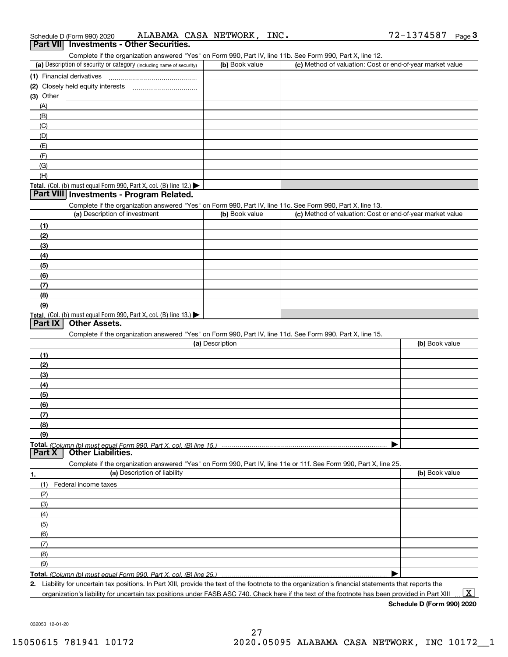|  | ALABAMA CASA NETWORK,<br>T V C<br>Schedule D (Form 990) 2020 |  |
|--|--------------------------------------------------------------|--|
|--|--------------------------------------------------------------|--|

|           | Schedule D (Form 990) 2020    | ALABAMA CASA NETWORK,                                                | INC.            |                                                                                                                                                      | 72-1374587<br>Page 3 |
|-----------|-------------------------------|----------------------------------------------------------------------|-----------------|------------------------------------------------------------------------------------------------------------------------------------------------------|----------------------|
| Part VII  |                               | <b>Investments - Other Securities.</b>                               |                 |                                                                                                                                                      |                      |
|           |                               |                                                                      |                 | Complete if the organization answered "Yes" on Form 990, Part IV, line 11b. See Form 990, Part X, line 12.                                           |                      |
|           |                               | (a) Description of security or category (including name of security) | (b) Book value  | (c) Method of valuation: Cost or end-of-year market value                                                                                            |                      |
|           |                               |                                                                      |                 |                                                                                                                                                      |                      |
|           |                               |                                                                      |                 |                                                                                                                                                      |                      |
| (3) Other |                               |                                                                      |                 |                                                                                                                                                      |                      |
| (A)       |                               |                                                                      |                 |                                                                                                                                                      |                      |
| (B)       |                               |                                                                      |                 |                                                                                                                                                      |                      |
| (C)       |                               |                                                                      |                 |                                                                                                                                                      |                      |
| (D)       |                               |                                                                      |                 |                                                                                                                                                      |                      |
| (E)       |                               |                                                                      |                 |                                                                                                                                                      |                      |
| (F)       |                               |                                                                      |                 |                                                                                                                                                      |                      |
| (G)       |                               |                                                                      |                 |                                                                                                                                                      |                      |
| (H)       |                               |                                                                      |                 |                                                                                                                                                      |                      |
|           |                               | Total. (Col. (b) must equal Form 990, Part X, col. (B) line 12.)     |                 |                                                                                                                                                      |                      |
|           |                               | Part VIII Investments - Program Related.                             |                 |                                                                                                                                                      |                      |
|           |                               |                                                                      |                 | Complete if the organization answered "Yes" on Form 990, Part IV, line 11c. See Form 990, Part X, line 13.                                           |                      |
|           | (a) Description of investment |                                                                      | (b) Book value  | (c) Method of valuation: Cost or end-of-year market value                                                                                            |                      |
| (1)       |                               |                                                                      |                 |                                                                                                                                                      |                      |
| (2)       |                               |                                                                      |                 |                                                                                                                                                      |                      |
| (3)       |                               |                                                                      |                 |                                                                                                                                                      |                      |
| (4)       |                               |                                                                      |                 |                                                                                                                                                      |                      |
| (5)       |                               |                                                                      |                 |                                                                                                                                                      |                      |
| (6)       |                               |                                                                      |                 |                                                                                                                                                      |                      |
| (7)       |                               |                                                                      |                 |                                                                                                                                                      |                      |
| (8)       |                               |                                                                      |                 |                                                                                                                                                      |                      |
| (9)       |                               |                                                                      |                 |                                                                                                                                                      |                      |
|           |                               | Total. (Col. (b) must equal Form 990, Part X, col. (B) line 13.)     |                 |                                                                                                                                                      |                      |
| Part IX   | <b>Other Assets.</b>          |                                                                      |                 |                                                                                                                                                      |                      |
|           |                               |                                                                      |                 | Complete if the organization answered "Yes" on Form 990, Part IV, line 11d. See Form 990, Part X, line 15.                                           |                      |
|           |                               |                                                                      | (a) Description |                                                                                                                                                      | (b) Book value       |
| (1)       |                               |                                                                      |                 |                                                                                                                                                      |                      |
| (2)       |                               |                                                                      |                 |                                                                                                                                                      |                      |
| (3)       |                               |                                                                      |                 |                                                                                                                                                      |                      |
| (4)       |                               |                                                                      |                 |                                                                                                                                                      |                      |
| (5)       |                               |                                                                      |                 |                                                                                                                                                      |                      |
| (6)       |                               |                                                                      |                 |                                                                                                                                                      |                      |
| (7)       |                               |                                                                      |                 |                                                                                                                                                      |                      |
| (8)       |                               |                                                                      |                 |                                                                                                                                                      |                      |
| (9)       |                               |                                                                      |                 |                                                                                                                                                      |                      |
|           |                               | Total. (Column (b) must equal Form 990, Part X, col. (B) line 15.)   |                 |                                                                                                                                                      |                      |
| Part X    | <b>Other Liabilities.</b>     |                                                                      |                 |                                                                                                                                                      |                      |
|           |                               |                                                                      |                 | Complete if the organization answered "Yes" on Form 990, Part IV, line 11e or 11f. See Form 990, Part X, line 25.                                    |                      |
| 1.        |                               | (a) Description of liability                                         |                 |                                                                                                                                                      | (b) Book value       |
| (1)       | Federal income taxes          |                                                                      |                 |                                                                                                                                                      |                      |
| (2)       |                               |                                                                      |                 |                                                                                                                                                      |                      |
| (3)       |                               |                                                                      |                 |                                                                                                                                                      |                      |
| (4)       |                               |                                                                      |                 |                                                                                                                                                      |                      |
| (5)       |                               |                                                                      |                 |                                                                                                                                                      |                      |
| (6)       |                               |                                                                      |                 |                                                                                                                                                      |                      |
| (7)       |                               |                                                                      |                 |                                                                                                                                                      |                      |
| (8)       |                               |                                                                      |                 |                                                                                                                                                      |                      |
| (9)       |                               |                                                                      |                 |                                                                                                                                                      |                      |
|           |                               | Total. (Column (b) must equal Form 990, Part X, col. (B) line 25.)   |                 |                                                                                                                                                      |                      |
|           |                               |                                                                      |                 | 2. Liability for uncertain tax positions. In Part XIII, provide the text of the footnote to the organization's financial statements that reports the |                      |
|           |                               |                                                                      |                 |                                                                                                                                                      |                      |

organization's liability for uncertain tax positions under FASB ASC 740. Check here if the text of the footnote has been provided in Part XIII  $\,\ldots\,$   $\overline{\rm X}$ 

**Schedule D (Form 990) 2020**

032053 12-01-20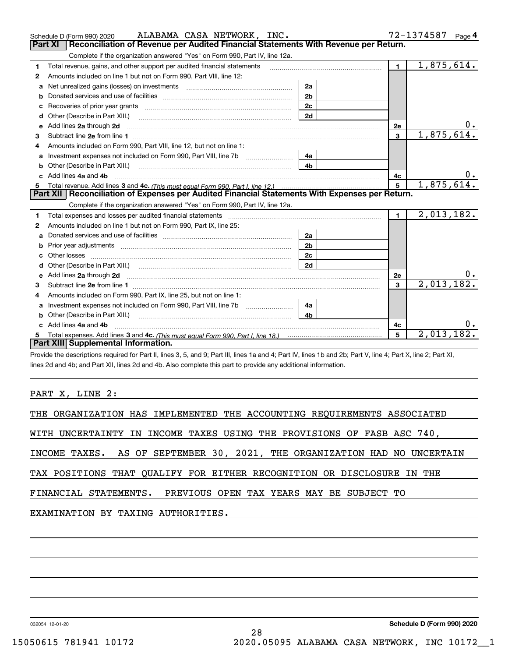|    | ALABAMA CASA NETWORK, INC.<br>Schedule D (Form 990) 2020                                                                                                                                                                             |                |                 | 72-1374587 Page 4 |
|----|--------------------------------------------------------------------------------------------------------------------------------------------------------------------------------------------------------------------------------------|----------------|-----------------|-------------------|
|    | Reconciliation of Revenue per Audited Financial Statements With Revenue per Return.<br>Part XI                                                                                                                                       |                |                 |                   |
|    | Complete if the organization answered "Yes" on Form 990, Part IV, line 12a.                                                                                                                                                          |                |                 |                   |
| 1  | Total revenue, gains, and other support per audited financial statements                                                                                                                                                             |                | $\mathbf 1$     | 1,875,614.        |
| 2  | Amounts included on line 1 but not on Form 990, Part VIII, line 12:                                                                                                                                                                  |                |                 |                   |
| a  |                                                                                                                                                                                                                                      | 2a             |                 |                   |
| b  |                                                                                                                                                                                                                                      | 2 <sub>b</sub> |                 |                   |
| c  | Recoveries of prior year grants [11] Recoveries of prior year grants [11] Recoveries of prior year grants                                                                                                                            | 2 <sub>c</sub> |                 |                   |
| d  | Other (Describe in Part XIII.)                                                                                                                                                                                                       | 2d             |                 |                   |
| e  | Add lines 2a through 2d <b>must be a constructed as the constant of the constant of the constant of the construction</b>                                                                                                             |                | 2e              |                   |
| 3  |                                                                                                                                                                                                                                      |                | $\overline{3}$  | 1,875,614.        |
| 4  | Amounts included on Form 990, Part VIII, line 12, but not on line 1:                                                                                                                                                                 |                |                 |                   |
| а  |                                                                                                                                                                                                                                      | 4a             |                 |                   |
| b  | Other (Describe in Part XIII.) <b>Construction Contract Construction</b> Chemistry Chemistry Chemistry Chemistry Chemistry                                                                                                           | 4 <sub>b</sub> |                 |                   |
| c. | Add lines 4a and 4b                                                                                                                                                                                                                  |                | 4c              | 0.                |
| 5  |                                                                                                                                                                                                                                      |                | $5\overline{5}$ | 1,875,614.        |
|    |                                                                                                                                                                                                                                      |                |                 |                   |
|    | Part XII   Reconciliation of Expenses per Audited Financial Statements With Expenses per Return.                                                                                                                                     |                |                 |                   |
|    | Complete if the organization answered "Yes" on Form 990, Part IV, line 12a.                                                                                                                                                          |                |                 |                   |
| 1  |                                                                                                                                                                                                                                      |                | $\blacksquare$  | 2,013,182.        |
| 2  | Amounts included on line 1 but not on Form 990, Part IX, line 25:                                                                                                                                                                    |                |                 |                   |
| a  |                                                                                                                                                                                                                                      | 2a             |                 |                   |
| b  |                                                                                                                                                                                                                                      | 2 <sub>b</sub> |                 |                   |
| c  |                                                                                                                                                                                                                                      | 2c             |                 |                   |
| d  |                                                                                                                                                                                                                                      | 2d             |                 |                   |
| е  | Add lines 2a through 2d <b>contained a contained a contained a contained a contained a contained a contained a contained a contact a contact a contact a contact a contact a contact a contact a contact a contact a contact a c</b> |                | 2e              | υ.                |
| 3  | Subtract line 2e from line 1 <b>manufacture and contract line 2e</b> from line 1                                                                                                                                                     |                | 3               | 2,013,182.        |
| 4  | Amounts included on Form 990, Part IX, line 25, but not on line 1:                                                                                                                                                                   |                |                 |                   |
| a  |                                                                                                                                                                                                                                      | 4a             |                 |                   |
| b  | Other (Describe in Part XIII.) <b>Construction Contract Construction</b> Chemistry Chemistry Chemistry Chemistry Chemistry                                                                                                           | 4 <sub>b</sub> |                 |                   |
|    | Add lines 4a and 4b                                                                                                                                                                                                                  |                | 4c              |                   |
|    | Part XIII Supplemental Information.                                                                                                                                                                                                  |                | 5               | 2,013,182.        |

Provide the descriptions required for Part II, lines 3, 5, and 9; Part III, lines 1a and 4; Part IV, lines 1b and 2b; Part V, line 4; Part X, line 2; Part XI, lines 2d and 4b; and Part XII, lines 2d and 4b. Also complete this part to provide any additional information.

PART X, LINE 2:

| THE ORGANIZATION HAS IMPLEMENTED THE ACCOUNTING REQUIREMENTS ASSOCIATED   |
|---------------------------------------------------------------------------|
| WITH UNCERTAINTY IN INCOME TAXES USING THE PROVISIONS OF FASB ASC 740,    |
| INCOME TAXES. AS OF SEPTEMBER 30, 2021, THE ORGANIZATION HAD NO UNCERTAIN |
| TAX POSITIONS THAT QUALIFY FOR EITHER RECOGNITION OR DISCLOSURE IN THE    |
| FINANCIAL STATEMENTS. PREVIOUS OPEN TAX YEARS MAY BE SUBJECT TO           |
| EXAMINATION BY TAXING AUTHORITIES.                                        |
|                                                                           |
|                                                                           |

032054 12-01-20

**Schedule D (Form 990) 2020**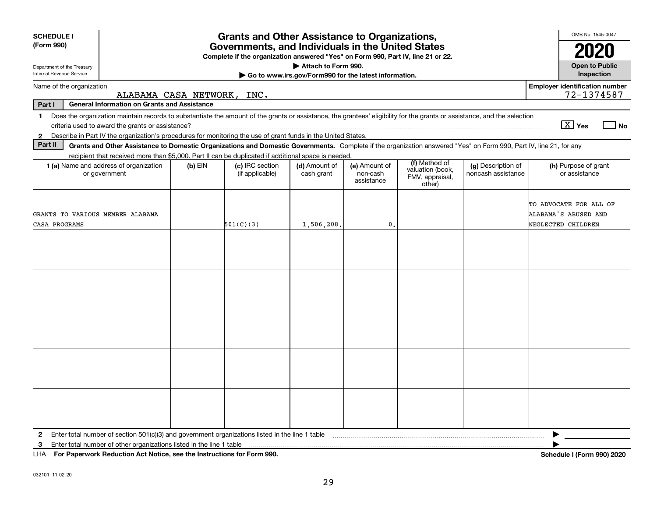| <b>SCHEDULE I</b>                                                                                                                                                                                                                                                         |                                                                                                                                       | <b>Grants and Other Assistance to Organizations,</b> |                                                                              |                                         |                                                                |                                          | OMB No. 1545-0047                                                    |  |
|---------------------------------------------------------------------------------------------------------------------------------------------------------------------------------------------------------------------------------------------------------------------------|---------------------------------------------------------------------------------------------------------------------------------------|------------------------------------------------------|------------------------------------------------------------------------------|-----------------------------------------|----------------------------------------------------------------|------------------------------------------|----------------------------------------------------------------------|--|
| (Form 990)                                                                                                                                                                                                                                                                | Governments, and Individuals in the United States<br>Complete if the organization answered "Yes" on Form 990, Part IV, line 21 or 22. |                                                      |                                                                              |                                         |                                                                |                                          |                                                                      |  |
| Department of the Treasury<br>Internal Revenue Service                                                                                                                                                                                                                    |                                                                                                                                       |                                                      | Attach to Form 990.<br>Go to www.irs.gov/Form990 for the latest information. |                                         |                                                                |                                          | 2020<br><b>Open to Public</b><br>Inspection                          |  |
| Name of the organization                                                                                                                                                                                                                                                  | ALABAMA CASA NETWORK, INC.                                                                                                            |                                                      |                                                                              |                                         |                                                                |                                          | <b>Employer identification number</b><br>72-1374587                  |  |
| <b>General Information on Grants and Assistance</b><br>Part I                                                                                                                                                                                                             |                                                                                                                                       |                                                      |                                                                              |                                         |                                                                |                                          |                                                                      |  |
| Does the organization maintain records to substantiate the amount of the grants or assistance, the grantees' eligibility for the grants or assistance, and the selection<br>1.                                                                                            |                                                                                                                                       |                                                      |                                                                              |                                         |                                                                |                                          | $\boxed{\text{X}}$ Yes<br>$ $ No                                     |  |
| Describe in Part IV the organization's procedures for monitoring the use of grant funds in the United States.<br>$\mathbf{2}$<br>Part II                                                                                                                                  |                                                                                                                                       |                                                      |                                                                              |                                         |                                                                |                                          |                                                                      |  |
| Grants and Other Assistance to Domestic Organizations and Domestic Governments. Complete if the organization answered "Yes" on Form 990, Part IV, line 21, for any<br>recipient that received more than \$5,000. Part II can be duplicated if additional space is needed. |                                                                                                                                       |                                                      |                                                                              |                                         |                                                                |                                          |                                                                      |  |
| 1 (a) Name and address of organization<br>or government                                                                                                                                                                                                                   | $(b)$ EIN                                                                                                                             | (c) IRC section<br>(if applicable)                   | (d) Amount of<br>cash grant                                                  | (e) Amount of<br>non-cash<br>assistance | (f) Method of<br>valuation (book,<br>FMV, appraisal,<br>other) | (g) Description of<br>noncash assistance | (h) Purpose of grant<br>or assistance                                |  |
| GRANTS TO VARIOUS MEMBER ALABAMA<br>CASA PROGRAMS                                                                                                                                                                                                                         |                                                                                                                                       | 501(C)(3)                                            | 1,506,208.                                                                   | $\mathbf{0}$                            |                                                                |                                          | TO ADVOCATE FOR ALL OF<br>ALABAMA'S ABUSED AND<br>NEGLECTED CHILDREN |  |
|                                                                                                                                                                                                                                                                           |                                                                                                                                       |                                                      |                                                                              |                                         |                                                                |                                          |                                                                      |  |
|                                                                                                                                                                                                                                                                           |                                                                                                                                       |                                                      |                                                                              |                                         |                                                                |                                          |                                                                      |  |
|                                                                                                                                                                                                                                                                           |                                                                                                                                       |                                                      |                                                                              |                                         |                                                                |                                          |                                                                      |  |
|                                                                                                                                                                                                                                                                           |                                                                                                                                       |                                                      |                                                                              |                                         |                                                                |                                          |                                                                      |  |
|                                                                                                                                                                                                                                                                           |                                                                                                                                       |                                                      |                                                                              |                                         |                                                                |                                          |                                                                      |  |
| Enter total number of section $501(c)(3)$ and government organizations listed in the line 1 table<br>$\mathbf{2}$                                                                                                                                                         |                                                                                                                                       |                                                      |                                                                              |                                         |                                                                |                                          |                                                                      |  |
| Enter total number of other organizations listed in the line 1 table<br>3                                                                                                                                                                                                 |                                                                                                                                       |                                                      |                                                                              |                                         |                                                                |                                          |                                                                      |  |
| LHA For Paperwork Reduction Act Notice, see the Instructions for Form 990.                                                                                                                                                                                                |                                                                                                                                       |                                                      |                                                                              |                                         |                                                                |                                          | <b>Schedule I (Form 990) 2020</b>                                    |  |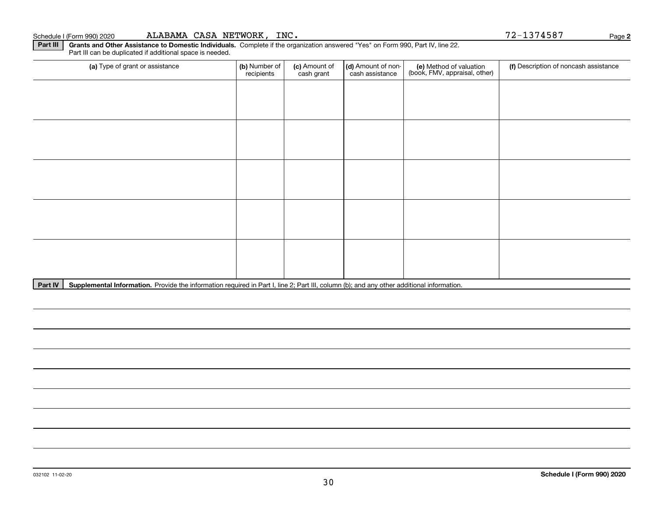(a) Type of grant or assistance **(b)** Number of **(c)** Amount of **(d)** Amount of non-**(e)** Method of valuation (f)<br>cash are continuous cash are cash assistance (book, FMV, appraisal, other) Part III can be duplicated if additional space is needed. (a) Type of grant or assistance  $\vert$  (b) Number of recipients(c) Amount of cash grant (d) Amount of noncash assistance (f) Description of noncash assistance

Part IV | Supplemental Information. Provide the information required in Part I, line 2; Part III, column (b); and any other additional information.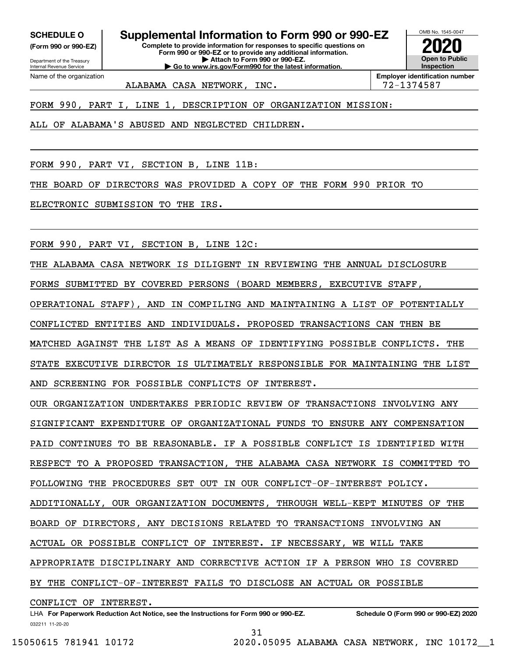**(Form 990 or 990-EZ)**

Department of the Treasury Internal Revenue Service Name of the organization

**SCHEDULE O Supplemental Information to Form 990 or 990-EZ**

**Complete to provide information for responses to specific questions on Form 990 or 990-EZ or to provide any additional information. | Attach to Form 990 or 990-EZ. | Go to www.irs.gov/Form990 for the latest information.**



ALABAMA CASA NETWORK, INC.  $\vert$  72-1374587

FORM 990, PART I, LINE 1, DESCRIPTION OF ORGANIZATION MISSION:

ALL OF ALABAMA'S ABUSED AND NEGLECTED CHILDREN.

FORM 990, PART VI, SECTION B, LINE 11B:

THE BOARD OF DIRECTORS WAS PROVIDED A COPY OF THE FORM 990 PRIOR TO

ELECTRONIC SUBMISSION TO THE IRS.

FORM 990, PART VI, SECTION B, LINE 12C:

THE ALABAMA CASA NETWORK IS DILIGENT IN REVIEWING THE ANNUAL DISCLOSURE

FORMS SUBMITTED BY COVERED PERSONS (BOARD MEMBERS, EXECUTIVE STAFF,

OPERATIONAL STAFF), AND IN COMPILING AND MAINTAINING A LIST OF POTENTIALLY

CONFLICTED ENTITIES AND INDIVIDUALS. PROPOSED TRANSACTIONS CAN THEN BE

MATCHED AGAINST THE LIST AS A MEANS OF IDENTIFYING POSSIBLE CONFLICTS. THE

STATE EXECUTIVE DIRECTOR IS ULTIMATELY RESPONSIBLE FOR MAINTAINING THE LIST

AND SCREENING FOR POSSIBLE CONFLICTS OF INTEREST.

OUR ORGANIZATION UNDERTAKES PERIODIC REVIEW OF TRANSACTIONS INVOLVING ANY SIGNIFICANT EXPENDITURE OF ORGANIZATIONAL FUNDS TO ENSURE ANY COMPENSATION PAID CONTINUES TO BE REASONABLE. IF A POSSIBLE CONFLICT IS IDENTIFIED WITH RESPECT TO A PROPOSED TRANSACTION, THE ALABAMA CASA NETWORK IS COMMITTED TO FOLLOWING THE PROCEDURES SET OUT IN OUR CONFLICT-OF-INTEREST POLICY. ADDITIONALLY, OUR ORGANIZATION DOCUMENTS, THROUGH WELL-KEPT MINUTES OF THE BOARD OF DIRECTORS, ANY DECISIONS RELATED TO TRANSACTIONS INVOLVING AN ACTUAL OR POSSIBLE CONFLICT OF INTEREST. IF NECESSARY, WE WILL TAKE APPROPRIATE DISCIPLINARY AND CORRECTIVE ACTION IF A PERSON WHO IS COVERED BY THE CONFLICT-OF-INTEREST FAILS TO DISCLOSE AN ACTUAL OR POSSIBLE

CONFLICT OF INTEREST.